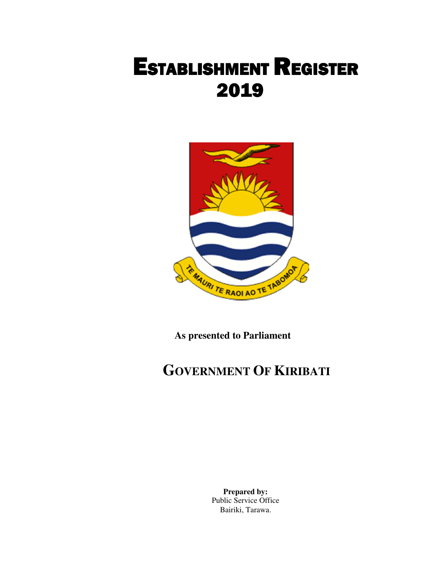

**As presented to Parliament** 

# **GOVERNMENT OF KIRIBATI**

 **Prepared by:** Public Service Office Bairiki, Tarawa.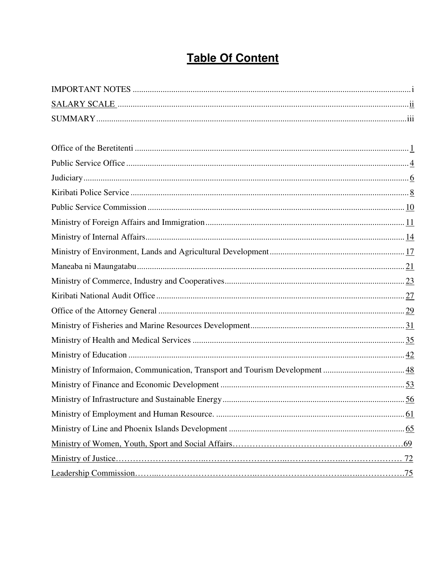# **Table Of Content**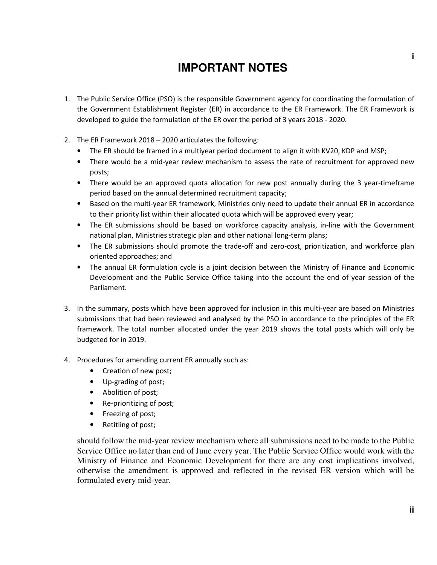## **IMPORTANT NOTES**

- 1. The Public Service Office (PSO) is the responsible Government agency for coordinating the formulation of the Government Establishment Register (ER) in accordance to the ER Framework. The ER Framework is developed to guide the formulation of the ER over the period of 3 years 2018 - 2020.
- 2. The ER Framework 2018 2020 articulates the following:
	- The ER should be framed in a multiyear period document to align it with KV20, KDP and MSP;
	- There would be a mid-year review mechanism to assess the rate of recruitment for approved new posts;
	- There would be an approved quota allocation for new post annually during the 3 year-timeframe period based on the annual determined recruitment capacity;
	- Based on the multi-year ER framework, Ministries only need to update their annual ER in accordance to their priority list within their allocated quota which will be approved every year;
	- The ER submissions should be based on workforce capacity analysis, in-line with the Government national plan, Ministries strategic plan and other national long-term plans;
	- The ER submissions should promote the trade-off and zero-cost, prioritization, and workforce plan oriented approaches; and
	- The annual ER formulation cycle is a joint decision between the Ministry of Finance and Economic Development and the Public Service Office taking into the account the end of year session of the Parliament.
- 3. In the summary, posts which have been approved for inclusion in this multi-year are based on Ministries submissions that had been reviewed and analysed by the PSO in accordance to the principles of the ER framework. The total number allocated under the year 2019 shows the total posts which will only be budgeted for in 2019.
- 4. Procedures for amending current ER annually such as:
	- Creation of new post;
	- Up-grading of post;
	- Abolition of post;
	- Re-prioritizing of post;
	- Freezing of post;
	- Retitling of post;

should follow the mid-year review mechanism where all submissions need to be made to the Public Service Office no later than end of June every year. The Public Service Office would work with the Ministry of Finance and Economic Development for there are any cost implications involved, otherwise the amendment is approved and reflected in the revised ER version which will be formulated every mid-year.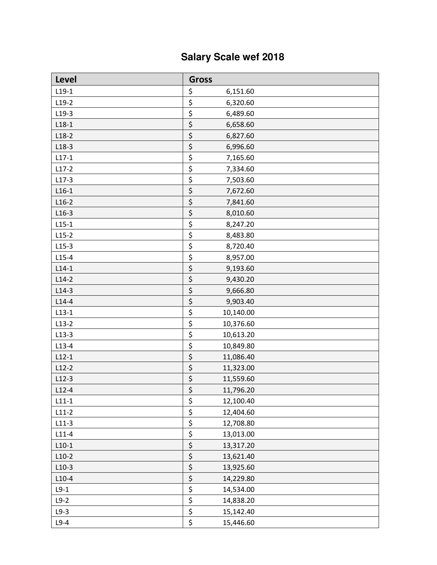# **Salary Scale wef 2018**

| <b>Level</b> | <b>Gross</b>         |
|--------------|----------------------|
| $L19-1$      | \$<br>6,151.60       |
| $L19-2$      | \$<br>6,320.60       |
| $L19-3$      | \$<br>6,489.60       |
| $L18-1$      | \$<br>6,658.60       |
| $L18-2$      | \$<br>6,827.60       |
| $L18-3$      | \$<br>6,996.60       |
| $L17-1$      | \$<br>7,165.60       |
| $L17-2$      | \$<br>7,334.60       |
| $L17-3$      | \$<br>7,503.60       |
| $L16-1$      | \$<br>7,672.60       |
| $L16-2$      | \$<br>7,841.60       |
| $L16-3$      | \$<br>8,010.60       |
| $L15-1$      | \$<br>8,247.20       |
| $L15-2$      | \$<br>8,483.80       |
| $L15-3$      | \$<br>8,720.40       |
| $L15-4$      | \$<br>8,957.00       |
| $L14-1$      | \$<br>9,193.60       |
| $L14-2$      | \$<br>9,430.20       |
| $L14-3$      | \$<br>9,666.80       |
| $L14-4$      | \$<br>9,903.40       |
| $L13-1$      | \$<br>10,140.00      |
| $L13-2$      | \$<br>10,376.60      |
| $L13-3$      | \$<br>10,613.20      |
| $L13-4$      | \$<br>10,849.80      |
| $L12-1$      | \$<br>11,086.40      |
| $L12-2$      | \$<br>11,323.00      |
| $L12-3$      | \$<br>11,559.60      |
| $L12-4$      | $\zeta$<br>11,796.20 |
| $L11-1$      | \$<br>12,100.40      |
| $L11-2$      | \$<br>12,404.60      |
| $L11-3$      | \$<br>12,708.80      |
| $L11-4$      | \$<br>13,013.00      |
| $L10-1$      | \$<br>13,317.20      |
| $L10-2$      | \$<br>13,621.40      |
| $L10-3$      | \$<br>13,925.60      |
| $L10-4$      | \$<br>14,229.80      |
| $L9-1$       | \$<br>14,534.00      |
| $L9-2$       | \$<br>14,838.20      |
| $L9-3$       | \$<br>15,142.40      |
| $L9-4$       | \$<br>15,446.60      |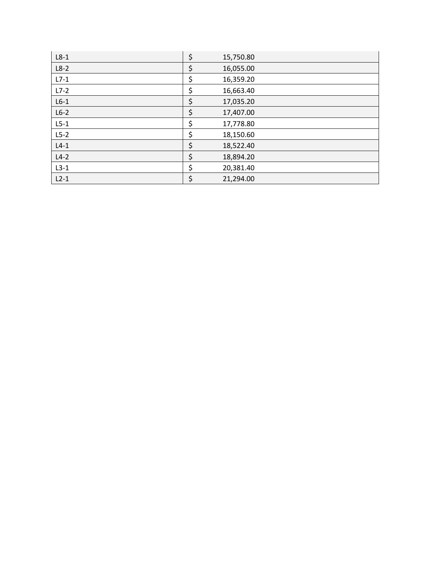| $L8-1$ | \$<br>15,750.80 |
|--------|-----------------|
| $L8-2$ | \$<br>16,055.00 |
| $L7-1$ | \$<br>16,359.20 |
| $L7-2$ | \$<br>16,663.40 |
| $L6-1$ | \$<br>17,035.20 |
| $L6-2$ | \$<br>17,407.00 |
| $L5-1$ | \$<br>17,778.80 |
| $L5-2$ | \$<br>18,150.60 |
| $L4-1$ | \$<br>18,522.40 |
| $L4-2$ | \$<br>18,894.20 |
| $L3-1$ | \$<br>20,381.40 |
| $L2-1$ | \$<br>21,294.00 |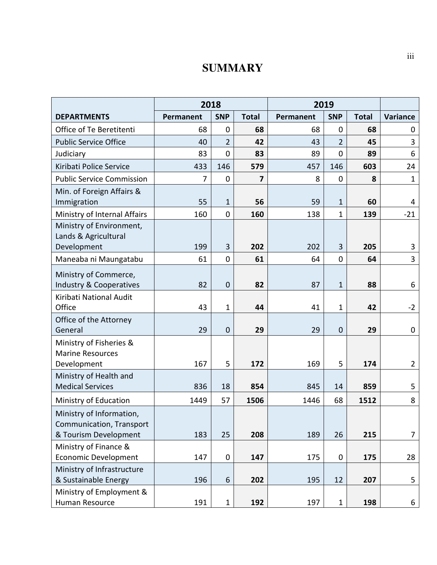### **SUMMARY**

|                                                                              | 2018      |                |              | 2019      |                |              |                |
|------------------------------------------------------------------------------|-----------|----------------|--------------|-----------|----------------|--------------|----------------|
| <b>DEPARTMENTS</b>                                                           | Permanent | <b>SNP</b>     | <b>Total</b> | Permanent | <b>SNP</b>     | <b>Total</b> | Variance       |
| Office of Te Beretitenti                                                     | 68        | $\mathbf 0$    | 68           | 68        | $\mathbf 0$    | 68           | 0              |
| <b>Public Service Office</b>                                                 | 40        | $\overline{2}$ | 42           | 43        | $\overline{2}$ | 45           | 3              |
| Judiciary                                                                    | 83        | $\overline{0}$ | 83           | 89        | 0              | 89           | 6              |
| Kiribati Police Service                                                      | 433       | 146            | 579          | 457       | 146            | 603          | 24             |
| <b>Public Service Commission</b>                                             | 7         | $\mathbf 0$    | 7            | 8         | $\mathbf 0$    | 8            | $\mathbf{1}$   |
| Min. of Foreign Affairs &<br>Immigration                                     | 55        | $\mathbf{1}$   | 56           | 59        | $\mathbf{1}$   | 60           | 4              |
| Ministry of Internal Affairs                                                 | 160       | $\mathbf 0$    | 160          | 138       | $\mathbf{1}$   | 139          | $-21$          |
| Ministry of Environment,<br>Lands & Agricultural<br>Development              | 199       | 3              | 202          | 202       | 3              | 205          | 3              |
| Maneaba ni Maungatabu                                                        | 61        | $\mathbf{0}$   | 61           | 64        | 0              | 64           | $\overline{3}$ |
| Ministry of Commerce,<br>Industry & Cooperatives                             | 82        | $\mathbf 0$    | 82           | 87        | $\mathbf{1}$   | 88           | 6              |
| Kiribati National Audit<br>Office                                            | 43        | $\mathbf{1}$   | 44           | 41        | $\mathbf{1}$   | 42           | $-2$           |
| Office of the Attorney<br>General                                            | 29        | $\mathbf 0$    | 29           | 29        | $\mathbf 0$    | 29           | $\pmb{0}$      |
| Ministry of Fisheries &<br><b>Marine Resources</b><br>Development            | 167       | 5              | 172          | 169       | 5              | 174          | $\overline{2}$ |
| Ministry of Health and<br><b>Medical Services</b>                            | 836       | 18             | 854          | 845       | 14             | 859          | 5              |
| Ministry of Education                                                        | 1449      | 57             | 1506         | 1446      | 68             | 1512         | 8              |
| Ministry of Information<br>Communication, Transport<br>& Tourism Development | 183       | 25             | 208          | 189       | 26             | 215          | 7              |
| Ministry of Finance &<br><b>Economic Development</b>                         | 147       | $\pmb{0}$      | 147          | 175       | 0              | 175          | 28             |
| Ministry of Infrastructure<br>& Sustainable Energy                           | 196       | 6              | 202          | 195       | 12             | 207          | 5              |
| Ministry of Employment &<br>Human Resource                                   | 191       | $\mathbf{1}$   | 192          | 197       | $\mathbf{1}$   | 198          | 6              |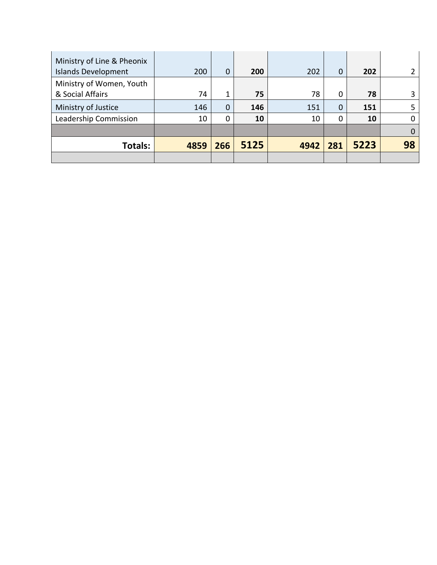| Ministry of Line & Pheonix<br><b>Islands Development</b> | 200  | 0   | 200  | 202  | $\overline{0}$ | 202  |    |
|----------------------------------------------------------|------|-----|------|------|----------------|------|----|
| Ministry of Women, Youth<br>& Social Affairs             | 74   | 1   | 75   | 78   | 0              | 78   |    |
| Ministry of Justice                                      | 146  | 0   | 146  | 151  | 0              | 151  |    |
| Leadership Commission                                    | 10   | 0   | 10   | 10   | 0              | 10   |    |
|                                                          |      |     |      |      |                |      |    |
| Totals:                                                  | 4859 | 266 | 5125 | 4942 | 281            | 5223 | 98 |
|                                                          |      |     |      |      |                |      |    |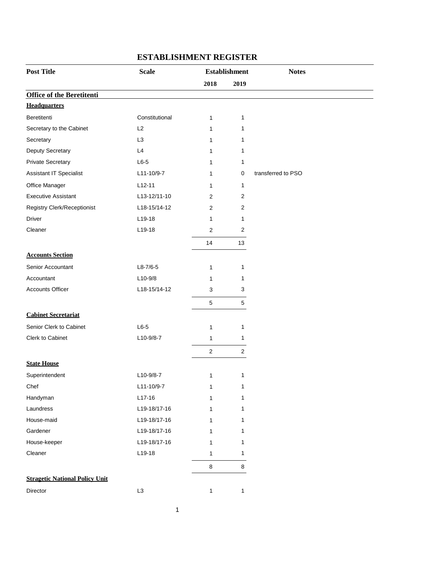| 2018<br>2019<br><b>Office of the Beretitenti</b><br><b>Headquarters</b><br>Beretitenti<br>Constitutional<br>$\mathbf{1}$<br>1<br>Secretary to the Cabinet<br>L2<br>1<br>1<br>L <sub>3</sub><br>Secretary<br>1<br>1 |  |
|--------------------------------------------------------------------------------------------------------------------------------------------------------------------------------------------------------------------|--|
|                                                                                                                                                                                                                    |  |
|                                                                                                                                                                                                                    |  |
|                                                                                                                                                                                                                    |  |
|                                                                                                                                                                                                                    |  |
|                                                                                                                                                                                                                    |  |
|                                                                                                                                                                                                                    |  |
| Deputy Secretary<br>L4<br>1<br>1                                                                                                                                                                                   |  |
| <b>Private Secretary</b><br>$L6-5$<br>1<br>1                                                                                                                                                                       |  |
| Assistant IT Specialist<br>L11-10/9-7<br>transferred to PSO<br>0<br>1                                                                                                                                              |  |
| Office Manager<br>$L12-11$<br>1<br>1                                                                                                                                                                               |  |
| <b>Executive Assistant</b><br>L13-12/11-10<br>2<br>2                                                                                                                                                               |  |
| Registry Clerk/Receptionist<br>L18-15/14-12<br>2<br>2                                                                                                                                                              |  |
| <b>Driver</b><br>L19-18<br>1<br>$\mathbf 1$                                                                                                                                                                        |  |
| Cleaner<br>L19-18<br>$\overline{2}$<br>2                                                                                                                                                                           |  |
| 14<br>13                                                                                                                                                                                                           |  |
| <b>Accounts Section</b>                                                                                                                                                                                            |  |
| Senior Accountant<br>$L8 - 7/6 - 5$<br>1<br>1                                                                                                                                                                      |  |
| $L10-9/8$<br>Accountant<br>1<br>1                                                                                                                                                                                  |  |
| <b>Accounts Officer</b><br>L18-15/14-12<br>3<br>3                                                                                                                                                                  |  |
| 5<br>$\sqrt{5}$                                                                                                                                                                                                    |  |
| <b>Cabinet Secretariat</b>                                                                                                                                                                                         |  |
|                                                                                                                                                                                                                    |  |
| Senior Clerk to Cabinet<br>$L6-5$<br>1<br>$\mathbf{1}$                                                                                                                                                             |  |
| Clerk to Cabinet<br>L10-9/8-7<br>1<br>1                                                                                                                                                                            |  |
| $\sqrt{2}$<br>$\overline{2}$                                                                                                                                                                                       |  |
| <b>State House</b>                                                                                                                                                                                                 |  |
| L10-9/8-7<br>Superintendent<br>$\mathbf{1}$<br>1                                                                                                                                                                   |  |
| L11-10/9-7<br>Chef<br>1<br>1                                                                                                                                                                                       |  |
| $L17-16$<br>Handyman<br>1<br>1                                                                                                                                                                                     |  |
| Laundress<br>L19-18/17-16<br>1<br>1                                                                                                                                                                                |  |
| L19-18/17-16<br>House-maid<br>1<br>1                                                                                                                                                                               |  |
| Gardener<br>L19-18/17-16<br>1<br>1                                                                                                                                                                                 |  |
| L19-18/17-16<br>House-keeper<br>1<br>1                                                                                                                                                                             |  |
| Cleaner<br>L19-18<br>$\mathbf{1}$<br>1                                                                                                                                                                             |  |
| 8<br>8                                                                                                                                                                                                             |  |
| <b>Stragetic National Policy Unit</b>                                                                                                                                                                              |  |
| L3<br>Director<br>$\mathbf{1}$<br>$\mathbf{1}$                                                                                                                                                                     |  |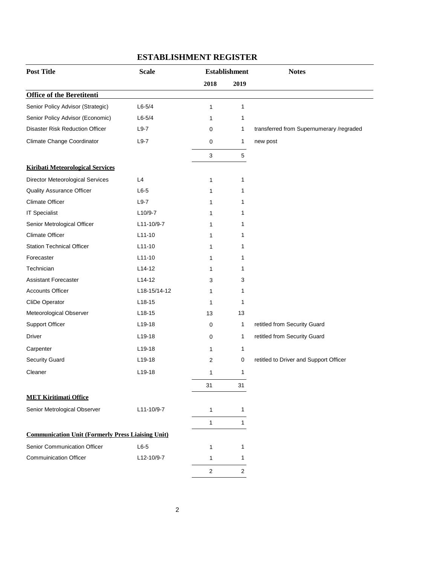| <b>Post Title</b>                                        | <b>Scale</b>        | <b>Establishment</b>    |                | <b>Notes</b>                             |
|----------------------------------------------------------|---------------------|-------------------------|----------------|------------------------------------------|
|                                                          |                     | 2018                    | 2019           |                                          |
| <b>Office of the Beretitenti</b>                         |                     |                         |                |                                          |
| Senior Policy Advisor (Strategic)                        | $L6 - 5/4$          | 1                       | 1              |                                          |
| Senior Policy Advisor (Economic)                         | $L6 - 5/4$          | 1                       | 1              |                                          |
| <b>Disaster Risk Reduction Officer</b>                   | $L9-7$              | 0                       | 1              | transferred from Supernumerary /regraded |
| Climate Change Coordinator                               | $L9-7$              | 0                       | 1              | new post                                 |
|                                                          |                     | 3                       | 5              |                                          |
| <b>Kiribati Meteorological Services</b>                  |                     |                         |                |                                          |
| Director Meteorological Services                         | L4                  | 1                       | 1              |                                          |
| <b>Quality Assurance Officer</b>                         | $L6-5$              | 1                       | 1              |                                          |
| <b>Climate Officer</b>                                   | $L9-7$              | 1                       | 1              |                                          |
| <b>IT Specialist</b>                                     | L10/9-7             | 1                       | 1              |                                          |
| Senior Metrological Officer                              | L11-10/9-7          | 1                       | 1              |                                          |
| <b>Climate Officer</b>                                   | $L11-10$            | 1                       | 1              |                                          |
| <b>Station Technical Officer</b>                         | $L11-10$            | 1                       | 1              |                                          |
| Forecaster                                               | $L11-10$            | 1                       | 1              |                                          |
| Technician                                               | L <sub>14</sub> -12 | 1                       | 1              |                                          |
| <b>Assistant Forecaster</b>                              | L <sub>14</sub> -12 | 3                       | 3              |                                          |
| <b>Accounts Officer</b>                                  | L18-15/14-12        | 1                       | 1              |                                          |
| CliDe Operator                                           | $L18-15$            | 1                       | 1              |                                          |
| Meteorological Observer                                  | $L18-15$            | 13                      | 13             |                                          |
| <b>Support Officer</b>                                   | $L19-18$            | 0                       | 1              | retitled from Security Guard             |
| Driver                                                   | L19-18              | 0                       | 1              | retitled from Security Guard             |
| Carpenter                                                | L19-18              | 1                       | 1              |                                          |
| <b>Security Guard</b>                                    | $L19-18$            | 2                       | 0              | retitled to Driver and Support Officer   |
| Cleaner                                                  | $L19-18$            | 1                       | 1              |                                          |
|                                                          |                     | 31                      | 31             |                                          |
| <b>MET Kiritimati Office</b>                             |                     |                         |                |                                          |
| Senior Metrological Observer                             | L11-10/9-7          | 1                       | $\mathbf{1}$   |                                          |
|                                                          |                     | $\mathbf{1}$            | $\mathbf{1}$   |                                          |
| <b>Communication Unit (Formerly Press Liaising Unit)</b> |                     |                         |                |                                          |
| Senior Communication Officer                             | $L6-5$              | 1                       | 1              |                                          |
| <b>Commuinication Officer</b>                            | L12-10/9-7          | 1                       | 1              |                                          |
|                                                          |                     | $\overline{\mathbf{c}}$ | $\overline{2}$ |                                          |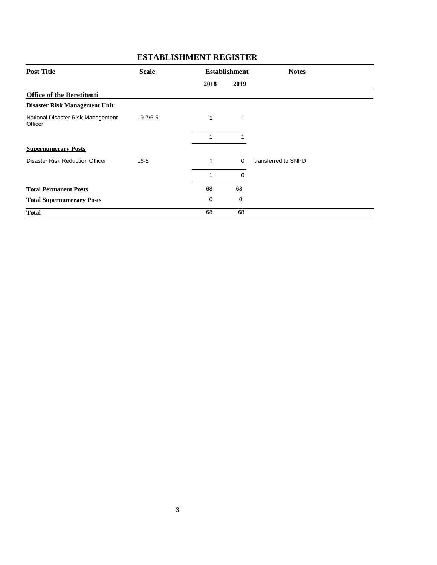| <b>Post Title</b>                            | <b>Scale</b>   |      | <b>Establishment</b> | <b>Notes</b>        |
|----------------------------------------------|----------------|------|----------------------|---------------------|
|                                              |                | 2018 | 2019                 |                     |
| <b>Office of the Beretitenti</b>             |                |      |                      |                     |
| <b>Disaster Risk Management Unit</b>         |                |      |                      |                     |
| National Disaster Risk Management<br>Officer | $L9 - 7/6 - 5$ | 1    | 1                    |                     |
|                                              |                | 1    |                      |                     |
| <b>Supernumerary Posts</b>                   |                |      |                      |                     |
| <b>Disaster Risk Reduction Officer</b>       | $L6-5$         | 1    | 0                    | transferred to SNPD |
|                                              |                | 1    | 0                    |                     |
| <b>Total Permanent Posts</b>                 |                | 68   | 68                   |                     |
| <b>Total Supernumerary Posts</b>             |                | 0    | 0                    |                     |
| <b>Total</b>                                 |                | 68   | 68                   |                     |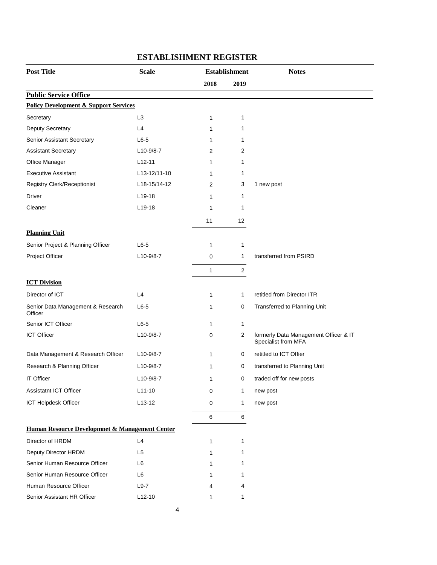| <b>Post Title</b>                                | <b>Scale</b>   | <b>Establishment</b> |              | <b>Notes</b>                                                 |
|--------------------------------------------------|----------------|----------------------|--------------|--------------------------------------------------------------|
|                                                  |                | 2018                 | 2019         |                                                              |
| <b>Public Service Office</b>                     |                |                      |              |                                                              |
| <b>Policy Development &amp; Support Services</b> |                |                      |              |                                                              |
| Secretary                                        | L <sub>3</sub> | $\mathbf{1}$         | 1            |                                                              |
| Deputy Secretary                                 | L4             | 1                    | 1            |                                                              |
| Senior Assistant Secretary                       | $L6-5$         | 1                    | 1            |                                                              |
| <b>Assistant Secretary</b>                       | $L10-9/8-7$    | 2                    | 2            |                                                              |
| Office Manager                                   | $L12 - 11$     | 1                    | 1            |                                                              |
| <b>Executive Assistant</b>                       | L13-12/11-10   | 1                    | 1            |                                                              |
| Registry Clerk/Receptionist                      | L18-15/14-12   | 2                    | 3            | 1 new post                                                   |
| Driver                                           | $L19-18$       | 1                    | 1            |                                                              |
| Cleaner                                          | $L$ 19-18      | 1                    | 1            |                                                              |
|                                                  |                | 11                   | 12           |                                                              |
| <b>Planning Unit</b>                             |                |                      |              |                                                              |
| Senior Project & Planning Officer                | $L6-5$         | 1                    | 1            |                                                              |
| Project Officer                                  | L10-9/8-7      | 0                    | 1            | transferred from PSIRD                                       |
|                                                  |                | 1                    | 2            |                                                              |
| <b>ICT Division</b>                              |                |                      |              |                                                              |
| Director of ICT                                  | L4             | 1                    | 1            | retitled from Director ITR                                   |
| Senior Data Management & Research<br>Officer     | $L6-5$         | 1                    | 0            | Transferred to Planning Unit                                 |
| Senior ICT Officer                               | $L6-5$         | $\mathbf{1}$         | 1            |                                                              |
| <b>ICT Officer</b>                               | L10-9/8-7      | 0                    | 2            | formerly Data Management Officer & IT<br>Specialist from MFA |
| Data Management & Research Officer               | $L10-9/8-7$    | 1                    | 0            | retitled to ICT Offier                                       |
| Research & Planning Officer                      | $L10-9/8-7$    | $\mathbf 1$          | 0            | transferred to Planning Unit                                 |
| <b>IT Officer</b>                                | $L10-9/8-7$    | 1                    | 0            | traded off for new posts                                     |
| Assistatnt ICT Officer                           | $L11-10$       | $\mathbf 0$          | $\mathbf{1}$ | new post                                                     |
| ICT Helpdesk Officer                             | $L13-12$       | 0                    | $\mathbf{1}$ | new post                                                     |
|                                                  |                | 6                    | 6            |                                                              |
| Human Resource Developmnet & Management Center   |                |                      |              |                                                              |
| Director of HRDM                                 | L4             | $\mathbf{1}$         | 1            |                                                              |
| Deputy Director HRDM                             | L <sub>5</sub> | $\mathbf{1}$         | 1            |                                                              |
| Senior Human Resource Officer                    | L <sub>6</sub> | 1                    | 1            |                                                              |
| Senior Human Resource Officer                    | L6             | 1                    | 1            |                                                              |
| Human Resource Officer                           | $L9-7$         | 4                    | 4            |                                                              |
| Senior Assistant HR Officer                      | $L12-10$       | 1                    | 1            |                                                              |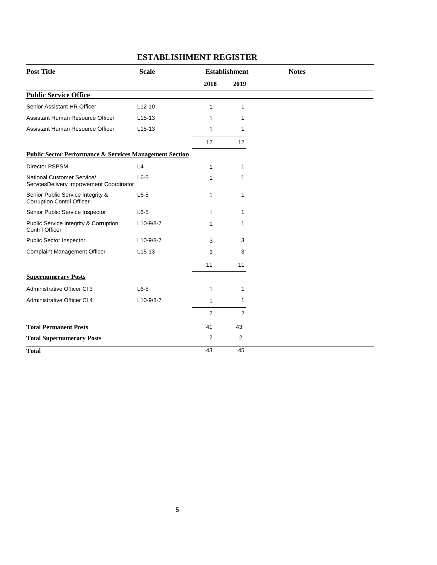| <b>Post Title</b>                                                      | <b>Scale</b> |              | <b>Establishment</b> | <b>Notes</b> |
|------------------------------------------------------------------------|--------------|--------------|----------------------|--------------|
|                                                                        |              | 2018         | 2019                 |              |
| <b>Public Service Office</b>                                           |              |              |                      |              |
| Senior Assistant HR Officer                                            | $L12-10$     | 1            | $\mathbf{1}$         |              |
| Assistant Human Resource Officer                                       | $L15-13$     | 1            | 1                    |              |
| Assistant Human Resource Officer                                       | $L15-13$     | 1            | 1                    |              |
|                                                                        |              | 12           | $12 \overline{ }$    |              |
| <b>Public Sector Performance &amp; Services Management Section</b>     |              |              |                      |              |
| <b>Director PSPSM</b>                                                  | L4           | 1            | 1                    |              |
| National Customer Service/<br>ServcesDelivery Improvement Coordinator  | $L6-5$       | 1            | 1                    |              |
| Senior Public Service Integrity &<br><b>Corruption Contril Officer</b> | $L6-5$       | $\mathbf{1}$ | $\mathbf{1}$         |              |
| Senior Public Service Inspector                                        | $L6-5$       | 1            | $\mathbf 1$          |              |
| Public Service Integrity & Corruption<br><b>Contril Officer</b>        | $L10-9/8-7$  | 1            | 1                    |              |
| Public Sector Inspector                                                | $L10-9/8-7$  | 3            | 3                    |              |
| <b>Complaint Management Officer</b>                                    | $L15-13$     | 3            | 3                    |              |
|                                                                        |              | 11           | 11                   |              |
| <b>Supernumerary Posts</b>                                             |              |              |                      |              |
| Administrative Officer CI 3                                            | $L6-5$       | 1            | 1                    |              |
| Administrative Officer CI 4                                            | L10-9/8-7    | 1            | 1                    |              |
|                                                                        |              | 2            | 2                    |              |
| <b>Total Permanent Posts</b>                                           |              | 41           | 43                   |              |
| <b>Total Supernumerary Posts</b>                                       |              | 2            | 2                    |              |
| <b>Total</b>                                                           |              | 43           | 45                   |              |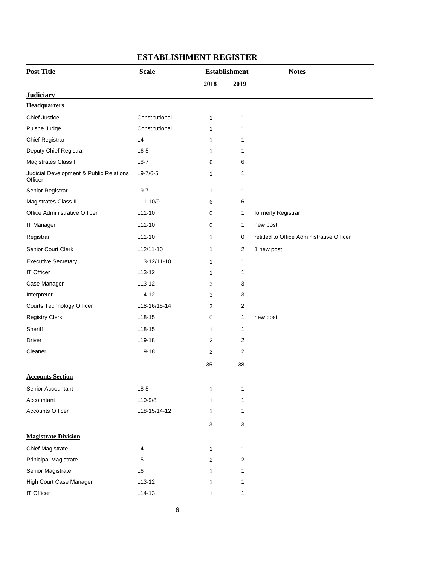| <b>Post Title</b>                                  | <b>Scale</b>   |                | <b>Establishment</b> | <b>Notes</b>                              |
|----------------------------------------------------|----------------|----------------|----------------------|-------------------------------------------|
|                                                    |                | 2018           | 2019                 |                                           |
| <b>Judiciary</b>                                   |                |                |                      |                                           |
| <b>Headquarters</b>                                |                |                |                      |                                           |
| <b>Chief Justice</b>                               | Constitutional | 1              | 1                    |                                           |
| Puisne Judge                                       | Constitutional | 1              | 1                    |                                           |
| Chief Registrar                                    | L4             | 1              | 1                    |                                           |
| Deputy Chief Registrar                             | $L6-5$         | 1              | 1                    |                                           |
| Magistrates Class I                                | $L8-7$         | 6              | 6                    |                                           |
| Judicial Development & Public Relations<br>Officer | $L9-7/6-5$     | 1              | 1                    |                                           |
| Senior Registrar                                   | $L9-7$         | 1              | 1                    |                                           |
| Magistrates Class II                               | L11-10/9       | 6              | 6                    |                                           |
| Office Administrative Officer                      | $L11-10$       | 0              | 1                    | formerly Registrar                        |
| IT Manager                                         | $L11-10$       | 0              | 1                    | new post                                  |
| Registrar                                          | $L11-10$       | 1              | 0                    | retitled to Office Administrative Officer |
| Senior Court Clerk                                 | $L12/11-10$    | 1              | $\overline{c}$       | 1 new post                                |
| <b>Executive Secretary</b>                         | L13-12/11-10   | 1              | 1                    |                                           |
| IT Officer                                         | $L13-12$       | 1              | 1                    |                                           |
| Case Manager                                       | $L$ 13-12      | 3              | 3                    |                                           |
| Interpreter                                        | $L14-12$       | 3              | 3                    |                                           |
| Courts Technology Officer                          | L18-16/15-14   | $\overline{c}$ | 2                    |                                           |
| <b>Registry Clerk</b>                              | $L18-15$       | 0              | 1                    | new post                                  |
| Sheriff                                            | L18-15         | 1              | 1                    |                                           |
| <b>Driver</b>                                      | L19-18         | $\sqrt{2}$     | 2                    |                                           |
| Cleaner                                            | L19-18         | 2              | 2                    |                                           |
|                                                    |                | 35             | 38                   |                                           |
| <b>Accounts Section</b>                            |                |                |                      |                                           |
| Senior Accountant                                  | $L8-5$         | 1              | 1                    |                                           |
| Accountant                                         | L10-9/8        | 1              | 1                    |                                           |
| <b>Accounts Officer</b>                            | L18-15/14-12   | 1              | 1                    |                                           |
|                                                    |                | $\mathsf 3$    | $\mathbf{3}$         |                                           |
| <b>Magistrate Division</b>                         |                |                |                      |                                           |
| <b>Chief Magistrate</b>                            | L4             | 1              | 1                    |                                           |
| Prinicipal Magistrate                              | L <sub>5</sub> | 2              | 2                    |                                           |
| Senior Magistrate                                  | L6             | 1              | 1                    |                                           |
| High Court Case Manager                            | $L13-12$       | 1              | 1                    |                                           |
| IT Officer                                         | $L14-13$       | 1              | 1                    |                                           |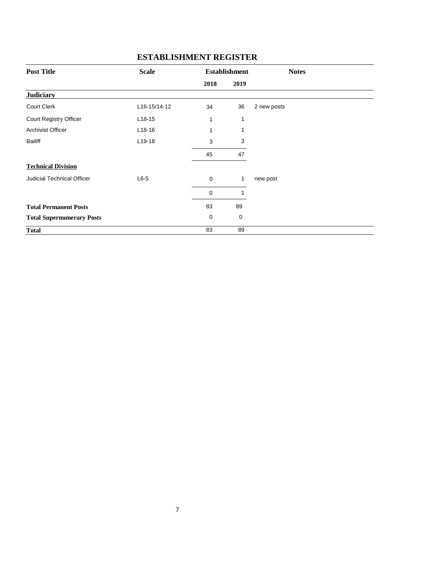| <b>Post Title</b>                 | <b>Scale</b> |             | <b>Establishment</b> | <b>Notes</b> |
|-----------------------------------|--------------|-------------|----------------------|--------------|
|                                   |              | 2018        | 2019                 |              |
| <b>Judiciary</b>                  |              |             |                      |              |
| <b>Court Clerk</b>                | L16-15/14-12 | 34          | 36                   | 2 new posts  |
| Court Registry Officer            | $L18-15$     | 1           | 1                    |              |
| <b>Archivist Officer</b>          | $L18-16$     | 1           | 1                    |              |
| <b>Bailiff</b>                    | $L19-18$     | 3           | 3                    |              |
|                                   |              | 45          | 47                   |              |
| <b>Technical Division</b>         |              |             |                      |              |
| <b>Judicial Technical Officer</b> | $L6-5$       | $\mathbf 0$ | $\mathbf{1}$         | new post     |
|                                   |              | $\mathbf 0$ | 1                    |              |
| <b>Total Permanent Posts</b>      |              | 83          | 89                   |              |
| <b>Total Supernumerary Posts</b>  |              | $\mathbf 0$ | 0                    |              |
| <b>Total</b>                      |              | 83          | 89                   |              |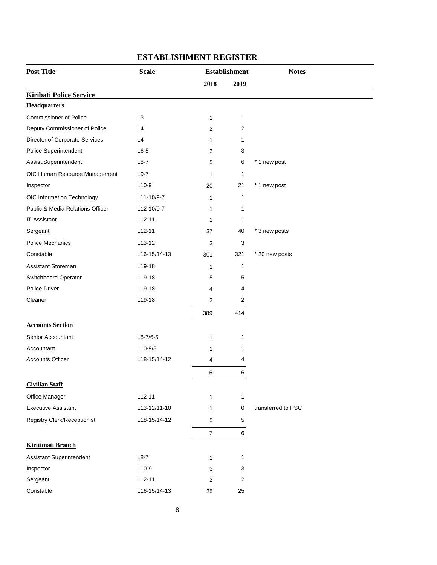| <b>Post Title</b>                  | <b>Scale</b>   |                         | <b>Establishment</b> | <b>Notes</b>       |
|------------------------------------|----------------|-------------------------|----------------------|--------------------|
|                                    |                | 2018                    | 2019                 |                    |
| <b>Kiribati Police Service</b>     |                |                         |                      |                    |
| <b>Headquarters</b>                |                |                         |                      |                    |
| <b>Commissioner of Police</b>      | L <sub>3</sub> | $\mathbf{1}$            | $\mathbf{1}$         |                    |
| Deputy Commissioner of Police      | L4             | $\boldsymbol{2}$        | $\overline{2}$       |                    |
| Director of Corporate Services     | L4             | 1                       | 1                    |                    |
| Police Superintendent              | $L6-5$         | 3                       | 3                    |                    |
| Assist.Superintendent              | $L8-7$         | 5                       | 6                    | * 1 new post       |
| OIC Human Resource Management      | $L9-7$         | 1                       | 1                    |                    |
| Inspector                          | $L10-9$        | 20                      | 21                   | * 1 new post       |
| OIC Information Technology         | L11-10/9-7     | 1                       | $\mathbf{1}$         |                    |
| Public & Media Relations Officer   | L12-10/9-7     | 1                       | 1                    |                    |
| <b>IT Assistant</b>                | $L12-11$       | 1                       | 1                    |                    |
| Sergeant                           | $L12-11$       | 37                      | 40                   | * 3 new posts      |
| <b>Police Mechanics</b>            | $L13-12$       | 3                       | 3                    |                    |
| Constable                          | L16-15/14-13   | 301                     | 321                  | * 20 new posts     |
| Assistant Storeman                 | L19-18         | 1                       | 1                    |                    |
| Switchboard Operator               | $L19-18$       | 5                       | 5                    |                    |
| Police Driver                      | L19-18         | 4                       | 4                    |                    |
| Cleaner                            | L19-18         | $\boldsymbol{2}$        | 2                    |                    |
|                                    |                | 389                     | 414                  |                    |
| <b>Accounts Section</b>            |                |                         |                      |                    |
| Senior Accountant                  | $L8-7/6-5$     | 1                       | 1                    |                    |
| Accountant                         | $L10-9/8$      | 1                       | 1                    |                    |
| <b>Accounts Officer</b>            | L18-15/14-12   | $\overline{\mathbf{4}}$ | 4                    |                    |
|                                    |                | 6                       | 6                    |                    |
| <b>Civilian Staff</b>              |                |                         |                      |                    |
| Office Manager                     | $L12-11$       | 1                       | $\mathbf{1}$         |                    |
| <b>Executive Assistant</b>         | L13-12/11-10   | 1                       | $\mathbf 0$          | transferred to PSC |
| <b>Registry Clerk/Receptionist</b> | L18-15/14-12   | 5                       | $\,$ 5 $\,$          |                    |
|                                    |                | $\overline{7}$          | $\,6\,$              |                    |
| <b>Kiritimati Branch</b>           |                |                         |                      |                    |
| <b>Assistant Superintendent</b>    | $L8-7$         | 1                       | 1                    |                    |
| Inspector                          | $L10-9$        | 3                       | 3                    |                    |
| Sergeant                           | $L12-11$       | $\boldsymbol{2}$        | $\boldsymbol{2}$     |                    |
| Constable                          | L16-15/14-13   | 25                      | 25                   |                    |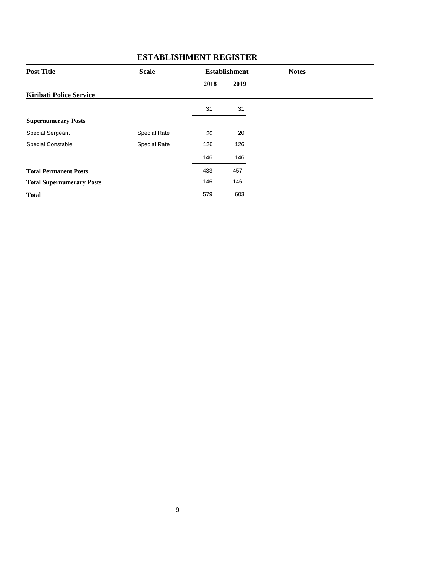| <b>Post Title</b>                | <b>Scale</b>        | <b>Establishment</b> |      | <b>Notes</b> |
|----------------------------------|---------------------|----------------------|------|--------------|
|                                  |                     | 2018                 | 2019 |              |
| <b>Kiribati Police Service</b>   |                     |                      |      |              |
|                                  |                     | 31                   | 31   |              |
| <b>Supernumerary Posts</b>       |                     |                      |      |              |
| <b>Special Sergeant</b>          | <b>Special Rate</b> | 20                   | 20   |              |
| <b>Special Constable</b>         | <b>Special Rate</b> | 126                  | 126  |              |
|                                  |                     | 146                  | 146  |              |
| <b>Total Permanent Posts</b>     |                     | 433                  | 457  |              |
| <b>Total Supernumerary Posts</b> |                     | 146                  | 146  |              |
| <b>Total</b>                     |                     | 579                  | 603  |              |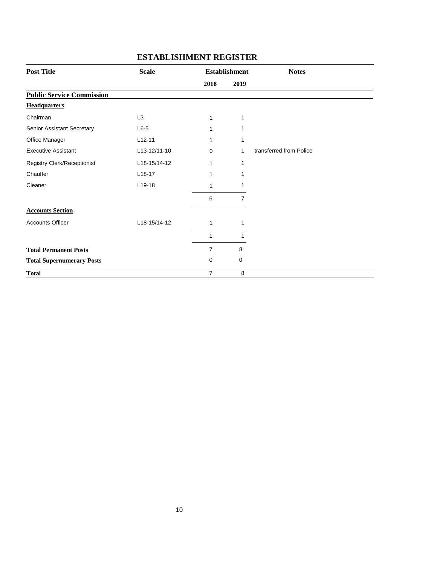| <b>Post Title</b>                | <b>Scale</b>   |                | <b>Establishment</b> | <b>Notes</b>            |
|----------------------------------|----------------|----------------|----------------------|-------------------------|
|                                  |                | 2018           | 2019                 |                         |
| <b>Public Service Commission</b> |                |                |                      |                         |
| <b>Headquarters</b>              |                |                |                      |                         |
| Chairman                         | L <sub>3</sub> | 1              | 1                    |                         |
| Senior Assistant Secretary       | $L6-5$         | 1              | 1                    |                         |
| Office Manager                   | $L12 - 11$     |                | 1                    |                         |
| <b>Executive Assistant</b>       | L13-12/11-10   | $\Omega$       | 1                    | transferred from Police |
| Registry Clerk/Receptionist      | L18-15/14-12   | 1              | 1                    |                         |
| Chauffer                         | $L18-17$       |                | 1                    |                         |
| Cleaner                          | L19-18         |                | 1                    |                         |
|                                  |                | 6              | $\overline{7}$       |                         |
| <b>Accounts Section</b>          |                |                |                      |                         |
| <b>Accounts Officer</b>          | L18-15/14-12   | 1              | 1                    |                         |
|                                  |                | 1              | 1                    |                         |
| <b>Total Permanent Posts</b>     |                | $\overline{7}$ | 8                    |                         |
| <b>Total Supernumerary Posts</b> |                | $\mathbf 0$    | 0                    |                         |
| <b>Total</b>                     |                | $\overline{7}$ | 8                    |                         |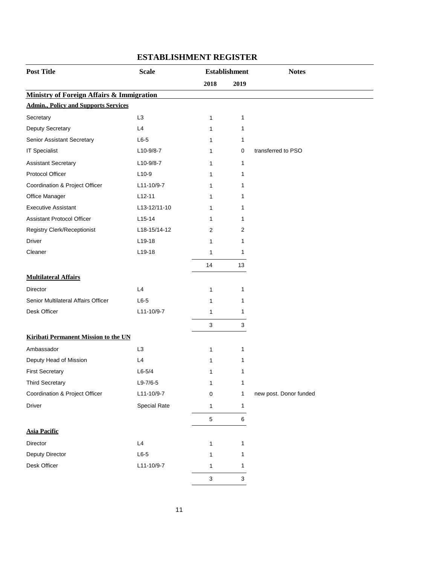| <b>Post Title</b>                                    | <b>Scale</b>   | <b>Establishment</b> |              | <b>Notes</b>           |
|------------------------------------------------------|----------------|----------------------|--------------|------------------------|
|                                                      |                | 2018                 | 2019         |                        |
| <b>Ministry of Foreign Affairs &amp; Immigration</b> |                |                      |              |                        |
| <b>Admin., Policy and Supports Services</b>          |                |                      |              |                        |
| Secretary                                            | L <sub>3</sub> | $\mathbf{1}$         | 1            |                        |
| Deputy Secretary                                     | L4             | 1                    | 1            |                        |
| Senior Assistant Secretary                           | $L6-5$         | 1                    | 1            |                        |
| <b>IT Specialist</b>                                 | L10-9/8-7      | 1                    | 0            | transferred to PSO     |
| <b>Assistant Secretary</b>                           | L10-9/8-7      | 1                    | 1            |                        |
| Protocol Officer                                     | $L10-9$        | 1                    | 1            |                        |
| Coordination & Project Officer                       | L11-10/9-7     | 1                    | 1            |                        |
| Office Manager                                       | $L12-11$       | $\mathbf{1}$         | 1            |                        |
| <b>Executive Assistant</b>                           | L13-12/11-10   | 1                    | 1            |                        |
| <b>Assistant Protocol Officer</b>                    | $L15-14$       | 1                    | 1            |                        |
| <b>Registry Clerk/Receptionist</b>                   | L18-15/14-12   | 2                    | 2            |                        |
| <b>Driver</b>                                        | L19-18         | 1                    | 1            |                        |
| Cleaner                                              | L19-18         | $\mathbf{1}$         | $\mathbf{1}$ |                        |
|                                                      |                | 14                   | 13           |                        |
| <b>Multilateral Affairs</b>                          |                |                      |              |                        |
| Director                                             | L4             | $\mathbf{1}$         | 1            |                        |
| Senior Multilateral Affairs Officer                  | $L6-5$         | 1                    | 1            |                        |
| Desk Officer                                         | L11-10/9-7     | 1                    | 1            |                        |
|                                                      |                | 3                    | $\mathbf{3}$ |                        |
| <b>Kiribati Permanent Mission to the UN</b>          |                |                      |              |                        |
| Ambassador                                           | L <sub>3</sub> | $\mathbf{1}$         | 1            |                        |
| Deputy Head of Mission                               | L4             | 1                    | 1            |                        |
| <b>First Secretary</b>                               | $L6 - 5/4$     | 1                    | 1            |                        |
| <b>Third Secretary</b>                               | $L9-7/6-5$     |                      | 1            |                        |
| Coordination & Project Officer                       | L11-10/9-7     | 1<br>$\pmb{0}$       | 1            | new post. Donor funded |
| Driver                                               |                |                      |              |                        |
|                                                      | Special Rate   | 1                    | 1            |                        |
|                                                      |                | $\mathbf 5$          | 6            |                        |
| <b>Asia Pacific</b>                                  |                |                      |              |                        |
| Director                                             | $\mathsf{L}4$  | $\mathbf{1}$         | 1            |                        |
| Deputy Director                                      | $L6-5$         | 1                    | 1            |                        |
| Desk Officer                                         | L11-10/9-7     | 1                    | 1            |                        |
|                                                      |                | $\sqrt{3}$           | $\sqrt{3}$   |                        |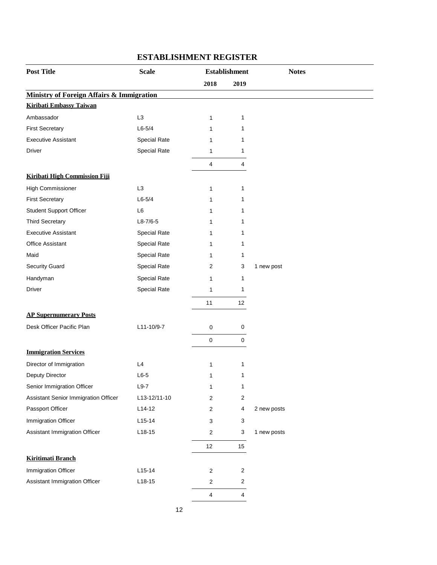| <b>Post Title</b>                                    | <b>Scale</b>        |                         | <b>Establishment</b> | <b>Notes</b> |
|------------------------------------------------------|---------------------|-------------------------|----------------------|--------------|
|                                                      |                     | 2018                    | 2019                 |              |
| <b>Ministry of Foreign Affairs &amp; Immigration</b> |                     |                         |                      |              |
| <b>Kiribati Embassy Taiwan</b>                       |                     |                         |                      |              |
| Ambassador                                           | L <sub>3</sub>      | $\mathbf{1}$            | $\mathbf{1}$         |              |
| <b>First Secretary</b>                               | $L6 - 5/4$          | 1                       | 1                    |              |
| <b>Executive Assistant</b>                           | Special Rate        | 1                       | 1                    |              |
| Driver                                               | Special Rate        | 1                       | 1                    |              |
|                                                      |                     | 4                       | 4                    |              |
| <b>Kiribati High Commission Fiji</b>                 |                     |                         |                      |              |
| <b>High Commissioner</b>                             | L <sub>3</sub>      | 1                       | 1                    |              |
| <b>First Secretary</b>                               | $L6-5/4$            | 1                       | 1                    |              |
| <b>Student Support Officer</b>                       | L6                  | 1                       | 1                    |              |
| <b>Third Secretary</b>                               | $L8-7/6-5$          | 1                       | 1                    |              |
| <b>Executive Assistant</b>                           | Special Rate        | 1                       | 1                    |              |
| <b>Office Assistant</b>                              | Special Rate        | 1                       | 1                    |              |
| Maid                                                 | <b>Special Rate</b> | 1                       | 1                    |              |
| Security Guard                                       | Special Rate        | 2                       | 3                    | 1 new post   |
| Handyman                                             | Special Rate        | 1                       | 1                    |              |
| Driver                                               | Special Rate        | 1                       | 1                    |              |
|                                                      |                     | 11                      | 12                   |              |
| <b>AP Supernumerary Posts</b>                        |                     |                         |                      |              |
| Desk Officer Pacific Plan                            | L11-10/9-7          | 0                       | 0                    |              |
|                                                      |                     | 0                       | 0                    |              |
| <b>Immigration Services</b>                          |                     |                         |                      |              |
| Director of Immigration                              | L4                  | 1                       | $\mathbf{1}$         |              |
| Deputy Director                                      | $L6-5$              | 1                       | 1                    |              |
| Senior Immigration Officer                           | $L9-7$              | 1                       | $\mathbf{1}$         |              |
| Assistant Senior Immigration Officer                 | L13-12/11-10        | 2                       | 2                    |              |
| Passport Officer                                     | $L14-12$            | $\overline{c}$          | 4                    | 2 new posts  |
| Immigration Officer                                  | $L15-14$            | 3                       | 3                    |              |
| Assistant Immigration Officer                        | $L18-15$            | $\overline{c}$          | 3                    | 1 new posts  |
|                                                      |                     | 12                      | 15                   |              |
| <b>Kiritimati Branch</b>                             |                     |                         |                      |              |
| Immigration Officer                                  | $L15-14$            | $\overline{\mathbf{c}}$ | 2                    |              |
| Assistant Immigration Officer                        | $L18-15$            | 2                       | 2                    |              |
|                                                      |                     |                         |                      |              |
|                                                      |                     | 4                       | 4                    |              |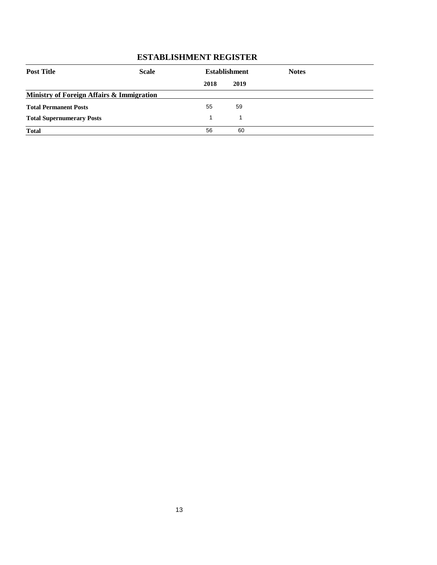| <b>Post Title</b>                         | <b>Scale</b> |      | <b>Establishment</b> | <b>Notes</b> |  |
|-------------------------------------------|--------------|------|----------------------|--------------|--|
|                                           |              | 2018 | 2019                 |              |  |
| Ministry of Foreign Affairs & Immigration |              |      |                      |              |  |
| <b>Total Permanent Posts</b>              |              | 55   | 59                   |              |  |
| <b>Total Supernumerary Posts</b>          |              |      |                      |              |  |
| <b>Total</b>                              |              | 56   | 60                   |              |  |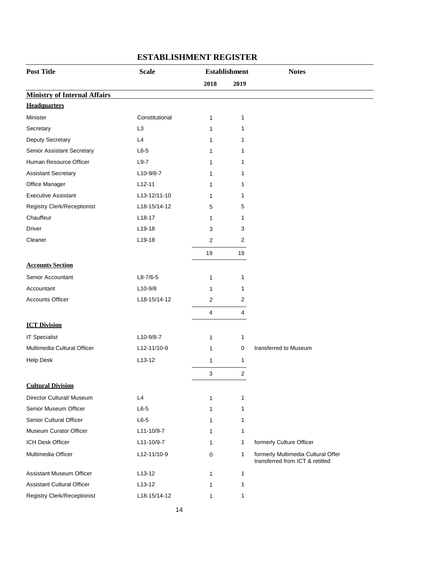| <b>Post Title</b>                   | <b>Scale</b>   |                | <b>Establishment</b> | <b>Notes</b>                                                          |
|-------------------------------------|----------------|----------------|----------------------|-----------------------------------------------------------------------|
|                                     |                | 2018           | 2019                 |                                                                       |
| <b>Ministry of Internal Affairs</b> |                |                |                      |                                                                       |
| <b>Headquarters</b>                 |                |                |                      |                                                                       |
| Minister                            | Constitutional | 1              | 1                    |                                                                       |
| Secretary                           | L <sub>3</sub> | 1              | 1                    |                                                                       |
| Deputy Secretary                    | L4             | 1              | 1                    |                                                                       |
| Senior Assistant Secretary          | $L6-5$         | 1              | 1                    |                                                                       |
| Human Resource Officer              | $L9-7$         | 1              | 1                    |                                                                       |
| <b>Assistant Secretary</b>          | L10-9/8-7      | 1              | 1                    |                                                                       |
| Office Manager                      | $L12 - 11$     | 1              | 1                    |                                                                       |
| <b>Executive Assistant</b>          | L13-12/11-10   | 1              | 1                    |                                                                       |
| Registry Clerk/Receptionist         | L18-15/14-12   | 5              | 5                    |                                                                       |
| Chauffeur                           | $L18-17$       | 1              | 1                    |                                                                       |
| <b>Driver</b>                       | L19-18         | 3              | 3                    |                                                                       |
| Cleaner                             | L19-18         | $\overline{2}$ | $\overline{2}$       |                                                                       |
|                                     |                | 19             | 19                   |                                                                       |
| <b>Accounts Section</b>             |                |                |                      |                                                                       |
| Senior Accountant                   | $L8-7/6-5$     | 1              | 1                    |                                                                       |
| Accountant                          | $L10-9/8$      | 1              | 1                    |                                                                       |
| <b>Accounts Officer</b>             | L18-15/14-12   | $\overline{2}$ | $\overline{2}$       |                                                                       |
|                                     |                | 4              | 4                    |                                                                       |
| <b>ICT Division</b>                 |                |                |                      |                                                                       |
| <b>IT Specialist</b>                | L10-9/8-7      | 1              | 1                    |                                                                       |
| Multimedia Cultural Officer         | L12-11/10-9    | 1              | 0                    | transferred to Museum                                                 |
| <b>Help Desk</b>                    | $L13-12$       | 1              | $\mathbf{1}$         |                                                                       |
|                                     |                | 3              | $\overline{2}$       |                                                                       |
| <b>Cultural Division</b>            |                |                |                      |                                                                       |
| Director Cultural/ Museum           | L4             | 1              | 1                    |                                                                       |
| Senior Museum Officer               | $L6-5$         | $\mathbf{1}$   | 1                    |                                                                       |
| Senior Cultural Officer             | $L6-5$         | 1              | $\mathbf{1}$         |                                                                       |
| Museum Curator Officer              | L11-10/9-7     | 1              | 1                    |                                                                       |
| <b>ICH Desk Officer</b>             | L11-10/9-7     | 1              | 1                    | formerly Culture Officer                                              |
| Multimedia Officer                  | L12-11/10-9    | $\mathbf 0$    | 1                    | formerly Multimedia Cultural Offer<br>transferred from ICT & retitled |
| <b>Assistant Museum Officer</b>     | $L13-12$       | 1              | 1                    |                                                                       |
| <b>Assistant Cultural Officer</b>   | $L13-12$       | 1              | 1                    |                                                                       |
| <b>Registry Clerk/Receptionist</b>  | L18-15/14-12   | 1              | 1                    |                                                                       |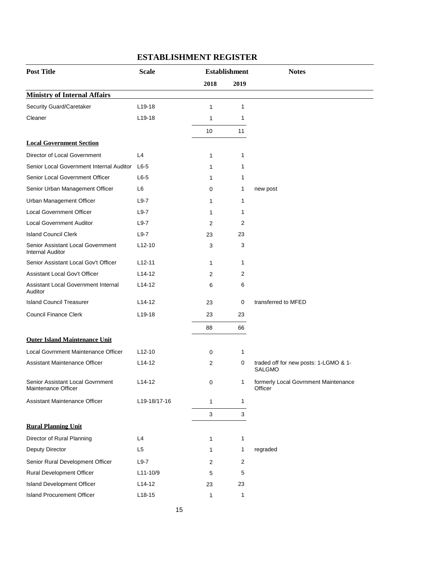| <b>Post Title</b>                                            | <b>Scale</b>        | <b>Establishment</b> |      | <b>Notes</b>                                           |  |
|--------------------------------------------------------------|---------------------|----------------------|------|--------------------------------------------------------|--|
|                                                              |                     | 2018                 | 2019 |                                                        |  |
| <b>Ministry of Internal Affairs</b>                          |                     |                      |      |                                                        |  |
| Security Guard/Caretaker                                     | $L19-18$            | 1                    | 1    |                                                        |  |
| Cleaner                                                      | L19-18              | 1                    | 1    |                                                        |  |
|                                                              |                     | 10                   | 11   |                                                        |  |
| <b>Local Government Section</b>                              |                     |                      |      |                                                        |  |
| Director of Local Government                                 | L4                  | 1                    | 1    |                                                        |  |
| Senior Local Government Internal Auditor                     | $L6-5$              | 1                    | 1    |                                                        |  |
| Senior Local Government Officer                              | $L6-5$              | 1                    | 1    |                                                        |  |
| Senior Urban Management Officer                              | L <sub>6</sub>      | 0                    | 1    | new post                                               |  |
| Urban Management Officer                                     | $L9-7$              | 1                    | 1    |                                                        |  |
| <b>Local Government Officer</b>                              | $L9-7$              | 1                    | 1    |                                                        |  |
| <b>Local Government Auditor</b>                              | $L9-7$              | 2                    | 2    |                                                        |  |
| <b>Island Council Clerk</b>                                  | $L9-7$              | 23                   | 23   |                                                        |  |
| Senior Assistant Local Government<br><b>Internal Auditor</b> | $L12-10$            | 3                    | 3    |                                                        |  |
| Senior Assistant Local Gov't Officer                         | $L12 - 11$          | 1                    | 1    |                                                        |  |
| Assistant Local Gov't Officer                                | $L14-12$            | 2                    | 2    |                                                        |  |
| Assistant Local Government Internal<br>Auditor               | L <sub>14</sub> -12 | 6                    | 6    |                                                        |  |
| <b>Island Council Treasurer</b>                              | $L14-12$            | 23                   | 0    | transferred to MFED                                    |  |
| <b>Council Finance Clerk</b>                                 | L19-18              | 23                   | 23   |                                                        |  |
|                                                              |                     | 88                   | 66   |                                                        |  |
| <b>Outer Island Maintenance Unit</b>                         |                     |                      |      |                                                        |  |
| Local Govrnment Maintenance Officer                          | $L12-10$            | 0                    | 1    |                                                        |  |
| Assistant Maintenance Officer                                | L14-12              | 2                    | 0    | traded off for new posts: 1-LGMO & 1-<br><b>SALGMO</b> |  |
| Senior Assistant Local Govrnment<br>Maintenance Officer      | $L14-12$            | 0                    | 1    | formerly Local Govrnment Maintenance<br>Officer        |  |
| Assistant Maintenance Officer                                | L19-18/17-16        | 1                    | 1    |                                                        |  |
|                                                              |                     | 3                    | 3    |                                                        |  |
| <b>Rural Planning Unit</b>                                   |                     |                      |      |                                                        |  |
| Director of Rural Planning                                   | L4                  | 1                    | 1    |                                                        |  |
| Deputy Director                                              | L <sub>5</sub>      | 1                    | 1    | regraded                                               |  |
| Senior Rural Development Officer                             | $L9-7$              | 2                    | 2    |                                                        |  |
| <b>Rural Development Officer</b>                             | L11-10/9            | 5                    | 5    |                                                        |  |
| Island Development Officer                                   | $L14-12$            | 23                   | 23   |                                                        |  |
| <b>Island Procurement Officer</b>                            | $L18-15$            | 1                    | 1    |                                                        |  |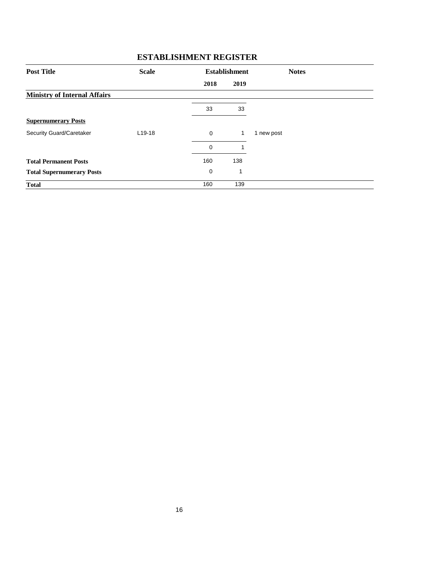| <b>Post Title</b>                   | <b>Scale</b> |             | <b>Establishment</b><br><b>Notes</b> |            |
|-------------------------------------|--------------|-------------|--------------------------------------|------------|
|                                     |              | 2018        | 2019                                 |            |
| <b>Ministry of Internal Affairs</b> |              |             |                                      |            |
|                                     |              | 33          | 33                                   |            |
| <b>Supernumerary Posts</b>          |              |             |                                      |            |
| Security Guard/Caretaker            | $L$ 19-18    | $\mathbf 0$ | $\mathbf{1}$                         | 1 new post |
|                                     |              | $\mathbf 0$ | 1                                    |            |
| <b>Total Permanent Posts</b>        |              | 160         | 138                                  |            |
| <b>Total Supernumerary Posts</b>    |              | 0           | 1                                    |            |
| <b>Total</b>                        |              | 160         | 139                                  |            |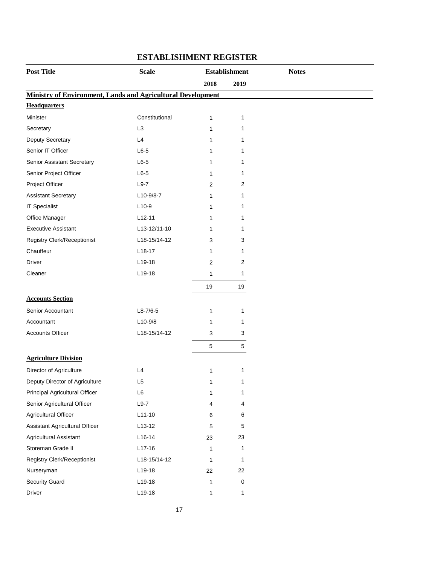| <b>Post Title</b>                                                  | <b>Scale</b>   | <b>Establishment</b> |           | <b>Notes</b> |
|--------------------------------------------------------------------|----------------|----------------------|-----------|--------------|
|                                                                    |                | 2018                 | 2019      |              |
| <b>Ministry of Environment, Lands and Agricultural Development</b> |                |                      |           |              |
| <b>Headquarters</b>                                                |                |                      |           |              |
| Minister                                                           | Constitutional | 1                    | 1         |              |
| Secretary                                                          | L <sub>3</sub> | 1                    | 1         |              |
| Deputy Secretary                                                   | L4             | 1                    | 1         |              |
| Senior IT Officer                                                  | $L6-5$         | 1                    | 1         |              |
| Senior Assistant Secretary                                         | $L6-5$         | 1                    | 1         |              |
| Senior Project Officer                                             | $L6-5$         | 1                    | 1         |              |
| Project Officer                                                    | $L9-7$         | 2                    | 2         |              |
| <b>Assistant Secretary</b>                                         | L10-9/8-7      | 1                    | 1         |              |
| <b>IT Specialist</b>                                               | $L10-9$        | 1                    | 1         |              |
| Office Manager                                                     | $L12 - 11$     | 1                    | 1         |              |
| <b>Executive Assistant</b>                                         | L13-12/11-10   | 1                    | 1         |              |
| <b>Registry Clerk/Receptionist</b>                                 | L18-15/14-12   | 3                    | 3         |              |
| Chauffeur                                                          | $L18-17$       | 1                    | 1         |              |
| Driver                                                             | L19-18         | $\overline{2}$       | 2         |              |
| Cleaner                                                            | L19-18         | 1                    | 1         |              |
|                                                                    |                | 19                   | 19        |              |
| <b>Accounts Section</b>                                            |                |                      |           |              |
| Senior Accountant                                                  | $L8 - 7/6 - 5$ | 1                    | 1         |              |
| Accountant                                                         | $L10-9/8$      | 1                    | 1         |              |
| <b>Accounts Officer</b>                                            | L18-15/14-12   | 3                    | 3         |              |
|                                                                    |                | $\sqrt{5}$           | 5         |              |
| <b>Agriculture Division</b>                                        |                |                      |           |              |
| Director of Agriculture                                            | L4             | 1                    | 1         |              |
| Deputy Director of Agriculture                                     | L <sub>5</sub> | 1                    | 1         |              |
| Principal Agricultural Officer                                     | L6             | 1                    | 1         |              |
| Senior Agricultural Officer                                        | $L9-7$         | 4                    | 4         |              |
| Agricultural Officer                                               | $L11-10$       | 6                    | 6         |              |
| Assistant Agricultural Officer                                     | $L13-12$       | 5                    | 5         |              |
| Agricultural Assistant                                             | $L16-14$       | 23                   | 23        |              |
| Storeman Grade II                                                  | L17-16         | 1                    | 1         |              |
| Registry Clerk/Receptionist                                        | L18-15/14-12   | 1                    | 1         |              |
| Nurseryman                                                         | L19-18         | 22                   | 22        |              |
| Security Guard                                                     | L19-18         | 1                    | $\pmb{0}$ |              |
| Driver                                                             | L19-18         | 1                    | 1         |              |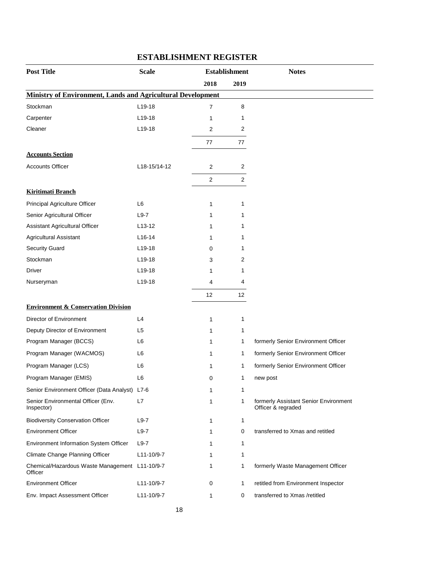| <b>Post Title</b>                                                  | <b>Scale</b>   | <b>Establishment</b> |                | <b>Notes</b>                                                |
|--------------------------------------------------------------------|----------------|----------------------|----------------|-------------------------------------------------------------|
|                                                                    |                | 2018                 | 2019           |                                                             |
| <b>Ministry of Environment, Lands and Agricultural Development</b> |                |                      |                |                                                             |
| Stockman                                                           | L19-18         | $\overline{7}$       | 8              |                                                             |
| Carpenter                                                          | $L$ 19-18      | 1                    | 1              |                                                             |
| Cleaner                                                            | L19-18         | 2                    | 2              |                                                             |
|                                                                    |                | 77                   | 77             |                                                             |
| <b>Accounts Section</b>                                            |                |                      |                |                                                             |
| <b>Accounts Officer</b>                                            | L18-15/14-12   | 2                    | 2              |                                                             |
|                                                                    |                | $\overline{c}$       | $\overline{2}$ |                                                             |
| <b>Kiritimati Branch</b>                                           |                |                      |                |                                                             |
| Principal Agriculture Officer                                      | L6             | 1                    | 1              |                                                             |
| Senior Agricultural Officer                                        | $L9-7$         | 1                    | 1              |                                                             |
| Assistant Agricultural Officer                                     | $L$ 13-12      | 1                    | 1              |                                                             |
| Agricultural Assistant                                             | $L16-14$       | 1                    | 1              |                                                             |
| <b>Security Guard</b>                                              | $L$ 19-18      | 0                    | 1              |                                                             |
| Stockman                                                           | $L$ 19-18      | 3                    | 2              |                                                             |
| Driver                                                             | $L$ 19-18      | 1                    | 1              |                                                             |
| Nurseryman                                                         | L19-18         | 4                    | 4              |                                                             |
|                                                                    |                | 12                   | 12             |                                                             |
| <b>Environment &amp; Conservation Division</b>                     |                |                      |                |                                                             |
| Director of Environment                                            | L4             | 1                    | 1              |                                                             |
| Deputy Director of Environment                                     | L <sub>5</sub> | 1                    | 1              |                                                             |
| Program Manager (BCCS)                                             | L <sub>6</sub> | 1                    | 1              | formerly Senior Environment Officer                         |
| Program Manager (WACMOS)                                           | L6             | 1                    | 1              | formerly Senior Environment Officer                         |
| Program Manager (LCS)                                              | L <sub>6</sub> | 1                    | 1              | formerly Senior Environment Officer                         |
| Program Manager (EMIS)                                             | L6             | 0                    | 1              | new post                                                    |
| Senior Environment Officer (Data Analyst) L7-6                     |                | 1                    | 1              |                                                             |
| Senior Environmental Officer (Env.<br>Inspector)                   | L7             | 1                    | 1              | formerly Assistant Senior Environment<br>Officer & regraded |
| <b>Biodiversity Conservation Officer</b>                           | $L9-7$         | 1                    | 1              |                                                             |
| <b>Environment Officer</b>                                         | $L9-7$         | 1                    | 0              | transferred to Xmas and retitled                            |
| Environment Information System Officer                             | $L9-7$         | 1                    | 1              |                                                             |
| Climate Change Planning Officer                                    | L11-10/9-7     | 1                    | 1              |                                                             |
| Chemical/Hazardous Waste Management L11-10/9-7<br>Officer          |                | 1                    | 1              | formerly Waste Management Officer                           |
| <b>Environment Officer</b>                                         | L11-10/9-7     | 0                    | 1              | retitled from Environment Inspector                         |
| Env. Impact Assessment Officer                                     | L11-10/9-7     | 1                    | 0              | transferred to Xmas /retitled                               |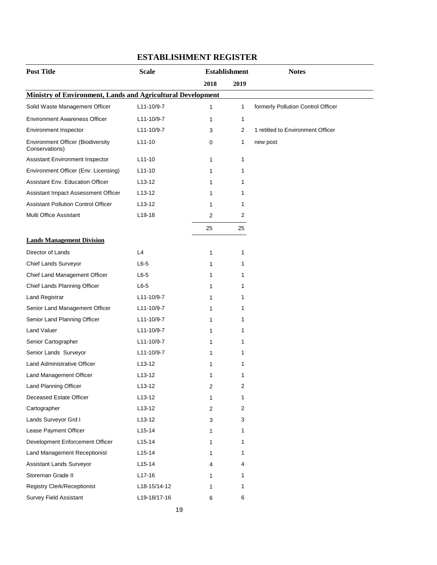| <b>Post Title</b>                                           | <b>Scale</b>        | <b>Establishment</b> |      | <b>Notes</b>                       |  |
|-------------------------------------------------------------|---------------------|----------------------|------|------------------------------------|--|
|                                                             |                     | 2018                 | 2019 |                                    |  |
| Ministry of Environment, Lands and Agricultural Development |                     |                      |      |                                    |  |
| Solid Waste Management Officer                              | L11-10/9-7          | 1                    | 1    | formerly Pollution Control Officer |  |
| <b>Environment Awareness Officer</b>                        | L11-10/9-7          | 1                    | 1    |                                    |  |
| Environment Inspector                                       | L11-10/9-7          | 3                    | 2    | 1 retitled to Environment Officer  |  |
| <b>Environment Officer (Biodiversity</b><br>Conservations)  | $L11-10$            | 0                    | 1    | new post                           |  |
| Assistant Environment Inspector                             | $L11-10$            | 1                    | 1    |                                    |  |
| Environment Officer (Env. Licensing)                        | $L11-10$            | 1                    | 1    |                                    |  |
| Assistant Env. Education Officer                            | $L$ 13-12           | 1                    | 1    |                                    |  |
| Assistant Impact Assessment Officer                         | $L$ 13-12           | 1                    | 1    |                                    |  |
| <b>Assistant Pollution Control Officer</b>                  | $L$ 13-12           | 1                    | 1    |                                    |  |
| Multi Office Assistant                                      | L <sub>19</sub> -18 | 2                    | 2    |                                    |  |
|                                                             |                     | 25                   | 25   |                                    |  |
| <b>Lands Management Division</b>                            |                     |                      |      |                                    |  |
| Director of Lands                                           | L4                  | 1                    | 1    |                                    |  |
| Chief Lands Surveyor                                        | $L6-5$              | 1                    | 1    |                                    |  |
| Chief Land Management Officer                               | $L6-5$              | 1                    | 1    |                                    |  |
| Chief Lands Planning Officer                                | $L6-5$              | 1                    | 1    |                                    |  |
| Land Registrar                                              | L11-10/9-7          | 1                    | 1    |                                    |  |
| Senior Land Management Officer                              | L11-10/9-7          | 1                    | 1    |                                    |  |
| Senior Land Planning Officer                                | L11-10/9-7          | 1                    | 1    |                                    |  |
| Land Valuer                                                 | L11-10/9-7          | 1                    | 1    |                                    |  |
| Senior Cartographer                                         | L11-10/9-7          | 1                    | 1    |                                    |  |
| Senior Lands Surveyor                                       | L11-10/9-7          | 1                    | 1    |                                    |  |
| Land Administrative Officer                                 | L <sub>13</sub> -12 | 1                    | 1    |                                    |  |
| Land Management Officer                                     | $L$ 13-12           | 1                    | 1    |                                    |  |
| Land Planning Officer                                       | $L13-12$            | 2                    | 2    |                                    |  |
| Deceased Estate Officer                                     | L13-12              | 1                    | 1    |                                    |  |
| Cartographer                                                | $L13-12$            | 2                    | 2    |                                    |  |
| Lands Surveyor Grd I                                        | $L13-12$            | 3                    | 3    |                                    |  |
| Lease Payment Officer                                       | $L15-14$            | 1                    | 1    |                                    |  |
| Development Enforcement Officer                             | $L15-14$            | 1                    | 1    |                                    |  |
| Land Management Receptionist                                | $L15-14$            | 1                    | 1    |                                    |  |
| Assistant Lands Surveyor                                    | $L15 - 14$          | 4                    | 4    |                                    |  |
| Storeman Grade II                                           | $L17-16$            | 1                    | 1    |                                    |  |
| Registry Clerk/Receptionist                                 | L18-15/14-12        | 1                    | 1    |                                    |  |
| Survey Field Assistant                                      | L19-18/17-16        | 6                    | 6    |                                    |  |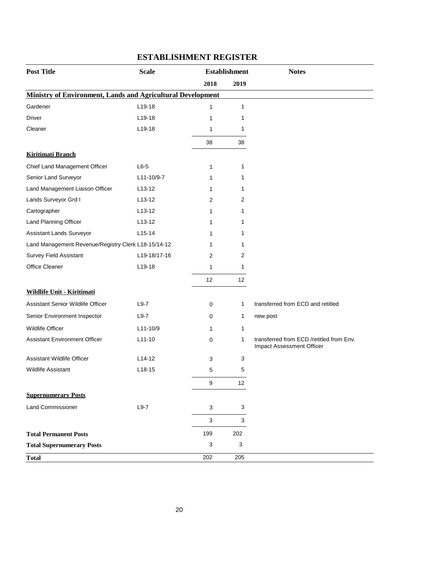| <b>Post Title</b>                                                  | <b>Scale</b><br><b>Establishment</b> |      | <b>Notes</b> |                                                                       |
|--------------------------------------------------------------------|--------------------------------------|------|--------------|-----------------------------------------------------------------------|
|                                                                    |                                      | 2018 | 2019         |                                                                       |
| <b>Ministry of Environment, Lands and Agricultural Development</b> |                                      |      |              |                                                                       |
| Gardener                                                           | $L19-18$                             | 1    | $\mathbf{1}$ |                                                                       |
| Driver                                                             | $L$ 19-18                            | 1    | 1            |                                                                       |
| Cleaner                                                            | $L19-18$                             | 1    | $\mathbf 1$  |                                                                       |
|                                                                    |                                      | 38   | 38           |                                                                       |
| <b>Kiritimati Branch</b>                                           |                                      |      |              |                                                                       |
| Chief Land Management Officer                                      | $L6-5$                               | 1    | 1            |                                                                       |
| Senior Land Surveyor                                               | L11-10/9-7                           | 1    | 1            |                                                                       |
| Land Management Liaison Officer                                    | $L13-12$                             | 1    | 1            |                                                                       |
| Lands Surveyor Grd I                                               | $L$ 13-12                            | 2    | 2            |                                                                       |
| Cartographer                                                       | $L$ 13-12                            | 1    | 1            |                                                                       |
| Land Planning Officer                                              | $L13-12$                             | 1    | 1            |                                                                       |
| Assistant Lands Surveyor                                           | $L15-14$                             | 1    | 1            |                                                                       |
| Land Management Revenue/Registry Clerk L18-15/14-12                |                                      | 1    | 1            |                                                                       |
| <b>Survey Field Assistant</b>                                      | L19-18/17-16                         | 2    | 2            |                                                                       |
| Office Cleaner                                                     | $L19-18$                             | 1    | 1            |                                                                       |
|                                                                    |                                      | 12   | 12           |                                                                       |
| Wildlife Unit - Kiritimati                                         |                                      |      |              |                                                                       |
| Assistant Senior Wildlife Officer                                  | $L9-7$                               | 0    | $\mathbf{1}$ | transferred from ECD and retitled                                     |
| Senior Environment Inspector                                       | $L9-7$                               | 0    | $\mathbf{1}$ | new post                                                              |
| <b>Wildlife Officer</b>                                            | L11-10/9                             | 1    | $\mathbf{1}$ |                                                                       |
| <b>Assistant Environment Officer</b>                               | $L11-10$                             | 0    | 1            | transferred from ECD /retitled from Env.<br>Impact Assessment Officer |
| Assistant Wildlife Officer                                         | L <sub>14</sub> -12                  | 3    | 3            |                                                                       |
| <b>Wildlife Assistant</b>                                          | $L18-15$                             | 5    | 5            |                                                                       |
|                                                                    |                                      | 9    | 12           |                                                                       |
| <b>Supernumerary Posts</b>                                         |                                      |      |              |                                                                       |
| <b>Land Commissioner</b>                                           | $L9-7$                               | 3    | $\sqrt{3}$   |                                                                       |
|                                                                    |                                      | 3    | $\mathbf{3}$ |                                                                       |
| <b>Total Permanent Posts</b>                                       |                                      | 199  | 202          |                                                                       |
| <b>Total Supernumerary Posts</b>                                   |                                      | 3    | 3            |                                                                       |
| <b>Total</b>                                                       |                                      | 202  | 205          |                                                                       |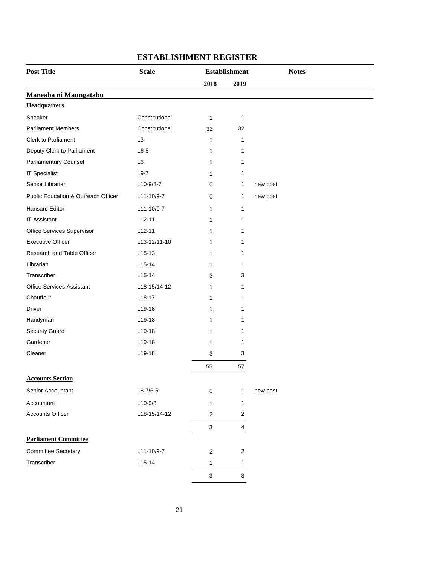| <b>Post Title</b>                   | <b>Scale</b>   |      | <b>Establishment</b> | <b>Notes</b> |
|-------------------------------------|----------------|------|----------------------|--------------|
|                                     |                | 2018 | 2019                 |              |
| Maneaba ni Maungatabu               |                |      |                      |              |
| <b>Headquarters</b>                 |                |      |                      |              |
| Speaker                             | Constitutional | 1    | 1                    |              |
| <b>Parliament Members</b>           | Constitutional | 32   | 32                   |              |
| Clerk to Parliament                 | L <sub>3</sub> | 1    | 1                    |              |
| Deputy Clerk to Parliament          | $L6-5$         | 1    | 1                    |              |
| Parliamentary Counsel               | L6             | 1    | 1                    |              |
| <b>IT Specialist</b>                | $L9-7$         | 1    | 1                    |              |
| Senior Librarian                    | L10-9/8-7      | 0    | 1                    | new post     |
| Public Education & Outreach Officer | L11-10/9-7     | 0    | 1                    | new post     |
| <b>Hansard Editor</b>               | L11-10/9-7     | 1    | 1                    |              |
| <b>IT Assistant</b>                 | $L12-11$       | 1    | 1                    |              |
| Office Services Supervisor          | $L12-11$       | 1    | 1                    |              |
| <b>Executive Officer</b>            | L13-12/11-10   | 1    | 1                    |              |
| Research and Table Officer          | $L15-13$       | 1    | 1                    |              |
| Librarian                           | $L15-14$       | 1    | 1                    |              |
| Transcriber                         | $L15-14$       | 3    | 3                    |              |
| <b>Office Services Assistant</b>    | L18-15/14-12   | 1    | 1                    |              |
| Chauffeur                           | L18-17         | 1    | 1                    |              |
| Driver                              | L19-18         | 1    | 1                    |              |
| Handyman                            | L19-18         | 1    | 1                    |              |
| <b>Security Guard</b>               | $L19-18$       | 1    | 1                    |              |
| Gardener                            | L19-18         | 1    | 1                    |              |
| Cleaner                             | L19-18         | 3    | 3                    |              |
|                                     |                | 55   | 57                   |              |
| <b>Accounts Section</b>             |                |      |                      |              |
| Senior Accountant                   | $L8-7/6-5$     | 0    | 1                    | new post     |
| Accountant                          | $L10-9/8$      | 1    | 1                    |              |
| <b>Accounts Officer</b>             | L18-15/14-12   | 2    | 2                    |              |
|                                     |                | 3    | $\overline{4}$       |              |
| <b>Parliament Committee</b>         |                |      |                      |              |
| <b>Committee Secretary</b>          | L11-10/9-7     | 2    | $\overline{c}$       |              |
| Transcriber                         | $L15-14$       | 1    | 1                    |              |
|                                     |                | 3    | $\mathbf{3}$         |              |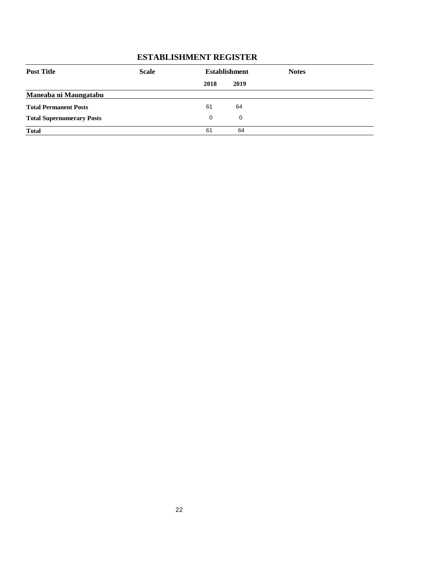| <b>Post Title</b>                | <b>Scale</b> |      | <b>Establishment</b> | <b>Notes</b> |  |
|----------------------------------|--------------|------|----------------------|--------------|--|
|                                  |              | 2018 | 2019                 |              |  |
| Maneaba ni Maungatabu            |              |      |                      |              |  |
| <b>Total Permanent Posts</b>     |              | 61   | 64                   |              |  |
| <b>Total Supernumerary Posts</b> |              | 0    | 0                    |              |  |
| <b>Total</b>                     |              | 61   | 64                   |              |  |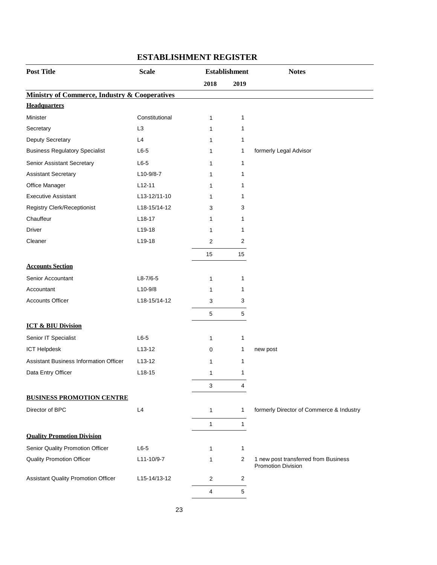| <b>Post Title</b>                                        | <b>Scale</b>   | <b>Establishment</b> |                | <b>Notes</b>                             |
|----------------------------------------------------------|----------------|----------------------|----------------|------------------------------------------|
|                                                          |                | 2018                 | 2019           |                                          |
| <b>Ministry of Commerce, Industry &amp; Cooperatives</b> |                |                      |                |                                          |
| <b>Headquarters</b>                                      |                |                      |                |                                          |
| Minister                                                 | Constitutional | $\mathbf{1}$         | 1              |                                          |
| Secretary                                                | L <sub>3</sub> | 1                    | 1              |                                          |
| Deputy Secretary                                         | L4             | 1                    | 1              |                                          |
| <b>Business Regulatory Specialist</b>                    | $L6-5$         | 1                    | 1              | formerly Legal Advisor                   |
| Senior Assistant Secretary                               | $L6-5$         | 1                    | 1              |                                          |
| <b>Assistant Secretary</b>                               | L10-9/8-7      | 1                    | 1              |                                          |
| Office Manager                                           | $L12-11$       | 1                    | 1              |                                          |
| <b>Executive Assistant</b>                               | L13-12/11-10   | 1                    | 1              |                                          |
| <b>Registry Clerk/Receptionist</b>                       | L18-15/14-12   | 3                    | 3              |                                          |
| Chauffeur                                                | $L18-17$       | 1                    | 1              |                                          |
| <b>Driver</b>                                            | L19-18         | 1                    | 1              |                                          |
| Cleaner                                                  | L19-18         | 2                    | $\overline{2}$ |                                          |
|                                                          |                | 15                   | 15             |                                          |
| <b>Accounts Section</b>                                  |                |                      |                |                                          |
| Senior Accountant                                        | $L8-7/6-5$     | $\mathbf{1}$         | 1              |                                          |
| Accountant                                               | $L10-9/8$      | 1                    | 1              |                                          |
| <b>Accounts Officer</b>                                  | L18-15/14-12   | 3                    | 3              |                                          |
|                                                          |                | 5                    | $\,$ 5 $\,$    |                                          |
| <b>ICT &amp; BIU Division</b>                            |                |                      |                |                                          |
| Senior IT Specialist                                     | $L6-5$         | $\mathbf{1}$         | 1              |                                          |
| <b>ICT Helpdesk</b>                                      | $L13-12$       | 0                    | 1              | new post                                 |
| <b>Assistant Business Information Officer</b>            | $L13-12$       | $\mathbf{1}$         | 1              |                                          |
| Data Entry Officer                                       | $L18-15$       | $\mathbf{1}$         | 1              |                                          |
|                                                          |                | 3                    | 4              |                                          |
| <b>BUSINESS PROMOTION CENTRE</b>                         |                |                      |                |                                          |
| Director of BPC                                          | L4             | $\mathbf{1}$         | $\mathbf{1}$   | formerly Director of Commerce & Industry |
|                                                          |                | $\mathbf{1}$         | $\mathbf{1}$   |                                          |
| <b>Quality Promotion Division</b>                        |                |                      |                |                                          |
| Senior Quality Promotion Officer                         | $L6-5$         | $\mathbf{1}$         | $\mathbf{1}$   |                                          |
| <b>Quality Promotion Officer</b>                         | L11-10/9-7     | 1                    | $\overline{2}$ | 1 new post transferred from Business     |
|                                                          |                |                      |                | <b>Promotion Division</b>                |
| <b>Assistant Quality Promotion Officer</b>               | L15-14/13-12   | 2                    | $\overline{2}$ |                                          |
|                                                          |                | 4                    | 5              |                                          |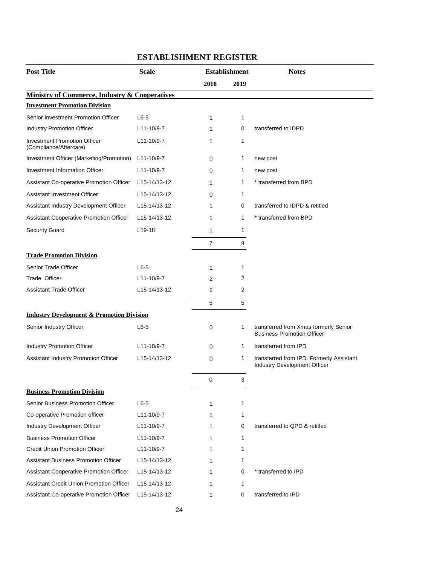| <b>Post Title</b>                                             | <b>Scale</b>              |                | <b>Establishment</b> | <b>Notes</b>                                                                    |
|---------------------------------------------------------------|---------------------------|----------------|----------------------|---------------------------------------------------------------------------------|
|                                                               |                           | 2018           | 2019                 |                                                                                 |
| <b>Ministry of Commerce, Industry &amp; Cooperatives</b>      |                           |                |                      |                                                                                 |
| <b>Investment Promotion Division</b>                          |                           |                |                      |                                                                                 |
| Senior Investment Promotion Officer                           | $L6-5$                    | 1              | $\mathbf 1$          |                                                                                 |
| Industry Promotion Officer                                    | L11-10/9-7                | 1              | 0                    | transferred to IDPD                                                             |
| <b>Investment Promotion Officer</b><br>(Compliance/Aftercare) | L11-10/9-7                | 1              | 1                    |                                                                                 |
| Investment Officer (Marketing/Promotion)                      | $L11 - 10/9 - 7$          | 0              | 1                    | new post                                                                        |
| Investment Information Officer                                | L11-10/9-7                | 0              | 1                    | new post                                                                        |
| Assistant Co-operative Promotion Officer                      | L15-14/13-12              | 1              | 1                    | * transferred from BPD                                                          |
| Assistant Investment Officer                                  | L15-14/13-12              | 0              | 1                    |                                                                                 |
| Assistant Industry Development Officer                        | L15-14/13-12              | 1              | 0                    | transferred to IDPD & retitled                                                  |
| Assistant Cooperative Promotion Officer                       | L <sub>15</sub> -14/13-12 | 1              | 1                    | * transferred from BPD                                                          |
| <b>Security Guard</b>                                         | $L$ 19-18                 | 1              | $\mathbf{1}$         |                                                                                 |
|                                                               |                           | $\overline{7}$ | 8                    |                                                                                 |
| <b>Trade Promotion Division</b>                               |                           |                |                      |                                                                                 |
| Senior Trade Officer                                          | $L6-5$                    | 1              | 1                    |                                                                                 |
| Trade Officer                                                 | L11-10/9-7                | 2              | 2                    |                                                                                 |
| <b>Assistant Trade Officer</b>                                | L15-14/13-12              | 2              | 2                    |                                                                                 |
|                                                               |                           | 5              | 5                    |                                                                                 |
| <b>Industry Development &amp; Promotion Division</b>          |                           |                |                      |                                                                                 |
| Senior Industry Officer                                       | $L6-5$                    | 0              | 1                    | transferred from Xmas formerly Senior<br><b>Business Promotion Officer</b>      |
| Industry Promotion Officer                                    | L11-10/9-7                | $\mathbf 0$    | $\mathbf{1}$         | transferred from IPD                                                            |
| Assistant Industry Promotion Officer                          | L15-14/13-12              | 0              | 1                    | transferred from IPD. Formerly Assistant<br><b>Industry Development Officer</b> |
|                                                               |                           | 0              | 3                    |                                                                                 |
| <b>Business Promotion Division</b>                            |                           |                |                      |                                                                                 |
| Senior Business Promotion Officer                             | $L6-5$                    | 1              | $\mathbf{1}$         |                                                                                 |
| Co-operative Promotion officer                                | L11-10/9-7                | 1              | 1                    |                                                                                 |
| Industry Development Officer                                  | L11-10/9-7                | 1              | 0                    | transferred to QPD & retitled                                                   |
| <b>Business Promotion Officer</b>                             | L11-10/9-7                | 1              | $\mathbf{1}$         |                                                                                 |
| <b>Credit Union Promotion Officer</b>                         | L11-10/9-7                | 1              | 1                    |                                                                                 |
| <b>Assistant Business Promotion Officer</b>                   | L15-14/13-12              | 1              | 1                    |                                                                                 |
| <b>Assistant Cooperative Promotion Officer</b>                | L15-14/13-12              | 1              | 0                    | * transferred to IPD                                                            |
| Assistant Credit Union Promotion Officer                      | L15-14/13-12              | 1              | 1                    |                                                                                 |
| Assistant Co-operative Promotion Officer                      | L15-14/13-12              | 1              | 0                    | transferred to IPD                                                              |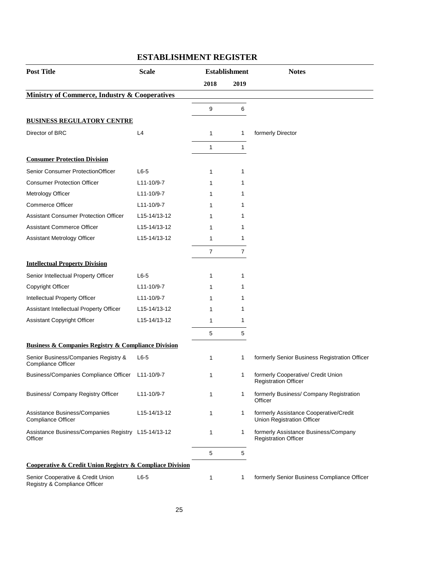| <b>Post Title</b>                                                       | <b>Scale</b>              | <b>Establishment</b> |                | <b>Notes</b>                                                         |  |
|-------------------------------------------------------------------------|---------------------------|----------------------|----------------|----------------------------------------------------------------------|--|
|                                                                         |                           | 2018                 | 2019           |                                                                      |  |
| <b>Ministry of Commerce, Industry &amp; Cooperatives</b>                |                           |                      |                |                                                                      |  |
|                                                                         |                           | 9                    | 6              |                                                                      |  |
| <b>BUSINESS REGULATORY CENTRE</b>                                       |                           |                      |                |                                                                      |  |
| Director of BRC                                                         | L4                        | $\mathbf{1}$         | 1              | formerly Director                                                    |  |
|                                                                         |                           | 1                    | $\mathbf{1}$   |                                                                      |  |
| <b>Consumer Protection Division</b>                                     |                           |                      |                |                                                                      |  |
| Senior Consumer ProtectionOfficer                                       | $L6-5$                    | 1                    | 1              |                                                                      |  |
| <b>Consumer Protection Officer</b>                                      | L11-10/9-7                | 1                    | 1              |                                                                      |  |
| Metrology Officer                                                       | L11-10/9-7                | 1                    | 1              |                                                                      |  |
| <b>Commerce Officer</b>                                                 | L11-10/9-7                | 1                    | 1              |                                                                      |  |
| <b>Assistant Consumer Protection Officer</b>                            | L <sub>15</sub> -14/13-12 | 1                    | 1              |                                                                      |  |
| <b>Assistant Commerce Officer</b>                                       | L15-14/13-12              | 1                    | 1              |                                                                      |  |
| Assistant Metrology Officer                                             | L15-14/13-12              | $\mathbf{1}$         | 1              |                                                                      |  |
|                                                                         |                           | $\overline{7}$       | $\overline{7}$ |                                                                      |  |
| <b>Intellectual Property Division</b>                                   |                           |                      |                |                                                                      |  |
| Senior Intellectual Property Officer                                    | $L6-5$                    | 1                    | 1              |                                                                      |  |
| Copyright Officer                                                       | L11-10/9-7                | 1                    | 1              |                                                                      |  |
| Intellectual Property Officer                                           | L11-10/9-7                | 1                    | 1              |                                                                      |  |
| Assistant Intellectual Property Officer                                 | L15-14/13-12              | 1                    | 1              |                                                                      |  |
| Assistant Copyright Officer                                             | L15-14/13-12              | 1                    | 1              |                                                                      |  |
|                                                                         |                           | 5                    | 5              |                                                                      |  |
| <b>Business &amp; Companies Registry &amp; Compliance Division</b>      |                           |                      |                |                                                                      |  |
| Senior Business/Companies Registry &<br>Compliance Officer              | $L6-5$                    | 1                    | 1              | formerly Senior Business Registration Officer                        |  |
| Business/Companies Compliance Officer                                   | L11-10/9-7                | $\mathbf 1$          | 1              | formerly Cooperative/ Credit Union<br><b>Registration Officer</b>    |  |
| Business/ Company Registry Officer                                      | L11-10/9-7                | $\mathbf{1}$         | 1              | formerly Business/ Company Registration<br>Officer                   |  |
| Assistance Business/Companies<br>Compliance Officer                     | L15-14/13-12              | $\mathbf{1}$         | 1              | formerly Assistance Cooperative/Credit<br>Union Registration Officer |  |
| Assistance Business/Companies Registry L15-14/13-12<br>Officer          |                           | $\mathbf{1}$         | 1              | formerly Assistance Business/Company<br><b>Registration Officer</b>  |  |
|                                                                         |                           | 5                    | 5              |                                                                      |  |
| <b>Cooperative &amp; Credit Union Registry &amp; Compliace Division</b> |                           |                      |                |                                                                      |  |
| Senior Cooperative & Credit Union<br>Registry & Compliance Officer      | $L6-5$                    | 1                    | 1              | formerly Senior Business Compliance Officer                          |  |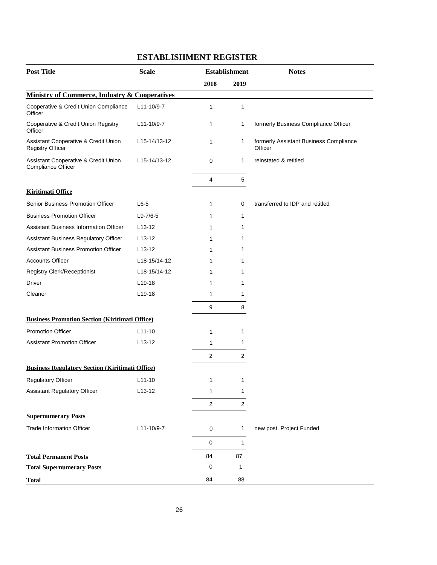| <b>Post Title</b>                                                | <b>Scale</b>   | <b>Establishment</b> |                | <b>Notes</b>                                      |
|------------------------------------------------------------------|----------------|----------------------|----------------|---------------------------------------------------|
|                                                                  |                | 2018                 | 2019           |                                                   |
| <b>Ministry of Commerce, Industry &amp; Cooperatives</b>         |                |                      |                |                                                   |
| Cooperative & Credit Union Compliance<br>Officer                 | L11-10/9-7     | 1                    | 1              |                                                   |
| Cooperative & Credit Union Registry<br>Officer                   | L11-10/9-7     | 1                    | 1              | formerly Business Compliance Officer              |
| Assistant Cooperative & Credit Union<br><b>Registry Officer</b>  | L15-14/13-12   | 1                    | 1              | formerly Assistant Business Compliance<br>Officer |
| Assistant Cooperative & Credit Union<br>Compliance Officer       | L15-14/13-12   | 0                    | 1              | reinstated & retitled                             |
|                                                                  |                | 4                    | 5              |                                                   |
| <b>Kiritimati Office</b>                                         |                |                      |                |                                                   |
| Senior Business Promotion Officer                                | $L6-5$         | 1                    | 0              | transferred to IDP and retitled                   |
| <b>Business Promotion Officer</b>                                | $L9 - 7/6 - 5$ | 1                    | 1              |                                                   |
| <b>Assistant Business Information Officer</b>                    | $L13-12$       | 1                    | 1              |                                                   |
| Assistant Business Regulatory Officer                            | $L$ 13-12      | 1                    | 1              |                                                   |
| <b>Assistant Business Promotion Officer</b>                      | $L$ 13-12      | 1                    | 1              |                                                   |
| <b>Accounts Officer</b>                                          | L18-15/14-12   | 1                    | 1              |                                                   |
| Registry Clerk/Receptionist                                      | L18-15/14-12   | 1                    | 1              |                                                   |
| Driver                                                           | L19-18         | 1                    | 1              |                                                   |
| Cleaner                                                          | $L$ 19-18      | 1                    | 1              |                                                   |
|                                                                  |                | 9                    | 8              |                                                   |
| <b>Business Promotion Section (Kiritimati Office)</b>            |                |                      |                |                                                   |
| <b>Promotion Officer</b>                                         | $L11-10$       | 1                    | 1              |                                                   |
| <b>Assistant Promotion Officer</b>                               | $L13-12$       | 1                    | 1              |                                                   |
|                                                                  |                | $\overline{2}$       | 2              |                                                   |
| <b>Business Regulatory Section (Kiritimati Office)</b>           |                |                      |                |                                                   |
| <b>Regulatory Officer</b>                                        | $L11-10$       | 1                    | 1              |                                                   |
| <b>Assistant Regulatory Officer</b>                              | L13-12         | 1                    | 1              |                                                   |
|                                                                  |                | $\overline{c}$       | $\overline{2}$ |                                                   |
| <b>Supernumerary Posts</b>                                       |                |                      |                |                                                   |
| <b>Trade Information Officer</b>                                 | L11-10/9-7     | 0                    | 1              | new post. Project Funded                          |
|                                                                  |                | 0                    | 1              |                                                   |
|                                                                  |                | 84                   | 87             |                                                   |
| <b>Total Permanent Posts</b><br><b>Total Supernumerary Posts</b> |                | 0                    | 1              |                                                   |
| <b>Total</b>                                                     |                | 84                   | 88             |                                                   |
|                                                                  |                |                      |                |                                                   |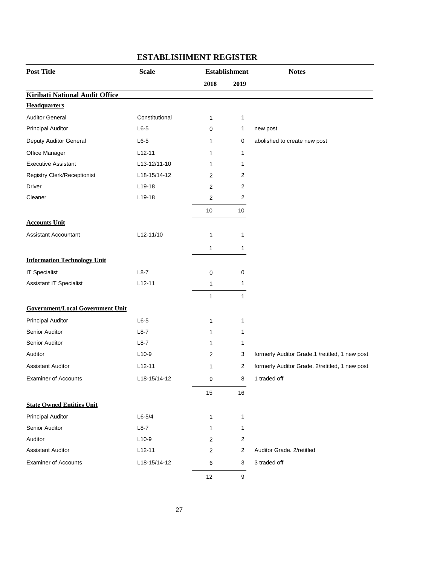| <b>Post Title</b>                       | <b>Scale</b>   | <b>Establishment</b> |                         | <b>Notes</b>                                   |
|-----------------------------------------|----------------|----------------------|-------------------------|------------------------------------------------|
|                                         |                | 2018                 | 2019                    |                                                |
| <b>Kiribati National Audit Office</b>   |                |                      |                         |                                                |
| <b>Headquarters</b>                     |                |                      |                         |                                                |
| <b>Auditor General</b>                  | Constitutional | $\mathbf{1}$         | $\mathbf{1}$            |                                                |
| <b>Principal Auditor</b>                | $L6-5$         | 0                    | 1                       | new post                                       |
| Deputy Auditor General                  | $L6-5$         | 1                    | 0                       | abolished to create new post                   |
| Office Manager                          | $L12-11$       | 1                    | 1                       |                                                |
| <b>Executive Assistant</b>              | L13-12/11-10   | 1                    | 1                       |                                                |
| <b>Registry Clerk/Receptionist</b>      | L18-15/14-12   | 2                    | 2                       |                                                |
| <b>Driver</b>                           | L19-18         | 2                    | $\overline{\mathbf{c}}$ |                                                |
| Cleaner                                 | L19-18         | 2                    | 2                       |                                                |
|                                         |                | 10                   | 10                      |                                                |
| <b>Accounts Unit</b>                    |                |                      |                         |                                                |
| <b>Assistant Accountant</b>             | L12-11/10      | 1                    | $\mathbf{1}$            |                                                |
|                                         |                | 1                    | $\mathbf{1}$            |                                                |
| <b>Information Technology Unit</b>      |                |                      |                         |                                                |
| <b>IT Specialist</b>                    | $L8-7$         | 0                    | 0                       |                                                |
| Assistant IT Specialist                 | $L12-11$       | 1                    | 1                       |                                                |
|                                         |                | 1                    | $\mathbf{1}$            |                                                |
| <b>Government/Local Government Unit</b> |                |                      |                         |                                                |
| <b>Principal Auditor</b>                | $L6-5$         | 1                    | 1                       |                                                |
| Senior Auditor                          | $L8-7$         | 1                    | 1                       |                                                |
| Senior Auditor                          | $L8-7$         | 1                    | 1                       |                                                |
| Auditor                                 | $L10-9$        | 2                    | 3                       | formerly Auditor Grade.1 /retitled, 1 new post |
| <b>Assistant Auditor</b>                | $L12 - 11$     | 1                    | 2                       | formerly Auditor Grade. 2/retitled, 1 new post |
| <b>Examiner of Accounts</b>             | L18-15/14-12   | 9                    | 8                       | 1 traded off                                   |
|                                         |                | 15                   | 16                      |                                                |
| <b>State Owned Entities Unit</b>        |                |                      |                         |                                                |
| <b>Principal Auditor</b>                | $L6 - 5/4$     | 1                    | 1                       |                                                |
| Senior Auditor                          | $L8-7$         | 1                    | 1                       |                                                |
| Auditor                                 | $L10-9$        | 2                    | $\overline{2}$          |                                                |
| <b>Assistant Auditor</b>                | $L12-11$       | 2                    | 2                       | Auditor Grade. 2/retitled                      |
| <b>Examiner of Accounts</b>             | L18-15/14-12   | 6                    | 3                       | 3 traded off                                   |
|                                         |                | 12                   | 9                       |                                                |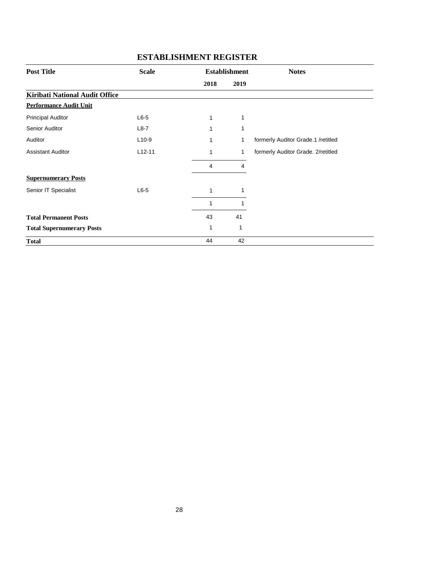| <b>Post Title</b>                | <b>Scale</b> |      | <b>Establishment</b> | <b>Notes</b>                       |
|----------------------------------|--------------|------|----------------------|------------------------------------|
|                                  |              | 2018 | 2019                 |                                    |
| Kiribati National Audit Office   |              |      |                      |                                    |
| <b>Performance Audit Unit</b>    |              |      |                      |                                    |
| <b>Principal Auditor</b>         | $L6-5$       | 1    | 1                    |                                    |
| Senior Auditor                   | $L8-7$       | 1    | 1                    |                                    |
| Auditor                          | $L10-9$      | 1    | 1                    | formerly Auditor Grade.1 /retitled |
| <b>Assistant Auditor</b>         | $L12 - 11$   | 1    | 1                    | formerly Auditor Grade. 2/retitled |
|                                  |              | 4    | 4                    |                                    |
| <b>Supernumerary Posts</b>       |              |      |                      |                                    |
| Senior IT Specialist             | $L6-5$       | 1    | 1                    |                                    |
|                                  |              | 1    | 1                    |                                    |
| <b>Total Permanent Posts</b>     |              | 43   | 41                   |                                    |
| <b>Total Supernumerary Posts</b> |              | 1    | 1                    |                                    |
| <b>Total</b>                     |              | 44   | 42                   |                                    |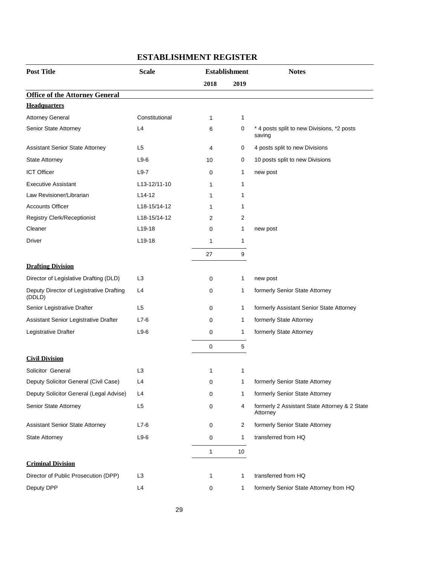| <b>Post Title</b>                                  | <b>Scale</b>        | <b>Establishment</b> |              | <b>Notes</b>                                              |
|----------------------------------------------------|---------------------|----------------------|--------------|-----------------------------------------------------------|
|                                                    |                     | 2018                 | 2019         |                                                           |
| <b>Office of the Attorney General</b>              |                     |                      |              |                                                           |
| <b>Headquarters</b>                                |                     |                      |              |                                                           |
| <b>Attorney General</b>                            | Constitutional      | $\mathbf{1}$         | $\mathbf{1}$ |                                                           |
| Senior State Attorney                              | L4                  | 6                    | 0            | * 4 posts split to new Divisions, *2 posts<br>saving      |
| <b>Assistant Senior State Attorney</b>             | L <sub>5</sub>      | 4                    | 0            | 4 posts split to new Divisions                            |
| <b>State Attorney</b>                              | $L9-6$              | 10                   | 0            | 10 posts split to new Divisions                           |
| <b>ICT Officer</b>                                 | $L9-7$              | 0                    | 1            | new post                                                  |
| <b>Executive Assistant</b>                         | L13-12/11-10        | 1                    | 1            |                                                           |
| Law Revisioner/Librarian                           | $L14-12$            | 1                    | 1            |                                                           |
| <b>Accounts Officer</b>                            | L18-15/14-12        | 1                    | 1            |                                                           |
| <b>Registry Clerk/Receptionist</b>                 | L18-15/14-12        | 2                    | 2            |                                                           |
| Cleaner                                            | L <sub>19</sub> -18 | 0                    | 1            | new post                                                  |
| Driver                                             | $L19-18$            | 1                    | 1            |                                                           |
|                                                    |                     | 27                   | 9            |                                                           |
| <b>Drafting Division</b>                           |                     |                      |              |                                                           |
| Director of Legislative Drafting (DLD)             | L <sub>3</sub>      | 0                    | 1            | new post                                                  |
| Deputy Director of Legistrative Drafting<br>(DDLD) | L4                  | 0                    | 1            | formerly Senior State Attorney                            |
| Senior Legistrative Drafter                        | L <sub>5</sub>      | 0                    | 1            | formerly Assistant Senior State Attorney                  |
| Assistant Senior Legistrative Drafter              | $L7-6$              | 0                    | 1            | formerly State Attorney                                   |
| Legistrative Drafter                               | $L9-6$              | 0                    | 1            | formerly State Attorney                                   |
|                                                    |                     | 0                    | 5            |                                                           |
| <b>Civil Division</b>                              |                     |                      |              |                                                           |
| Solicitor General                                  | L <sub>3</sub>      | 1                    | 1            |                                                           |
| Deputy Solicitor General (Civil Case)              | L4                  | 0                    | 1            | formerly Senior State Attorney                            |
| Deputy Solicitor General (Legal Advise)            | L4                  | 0                    | 1            | formerly Senior State Attorney                            |
| Senior State Attorney                              | L <sub>5</sub>      | 0                    | 4            | formerly 2 Assistant State Attorney & 2 State<br>Attorney |
| <b>Assistant Senior State Attorney</b>             | $L7-6$              | 0                    | 2            | formerly Senior State Attorney                            |
| <b>State Attorney</b>                              | $L9-6$              | 0                    | 1            | transferred from HQ                                       |
|                                                    |                     | 1                    | 10           |                                                           |
| <b>Criminal Division</b>                           |                     |                      |              |                                                           |
| Director of Public Prosecution (DPP)               | L <sub>3</sub>      | 1                    | 1            | transferred from HQ                                       |
| Deputy DPP                                         | L4                  | 0                    | 1            | formerly Senior State Attorney from HQ                    |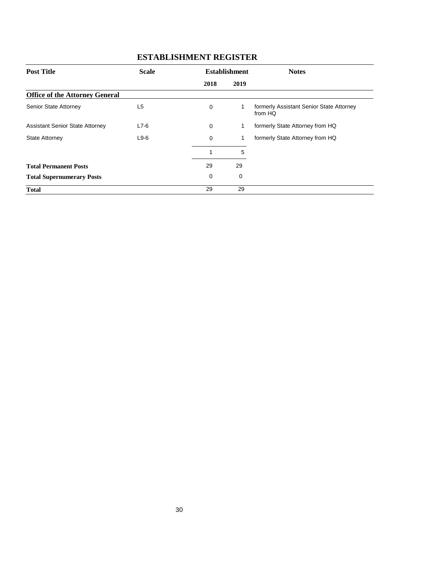| <b>Post Title</b>                      | <b>Scale</b>   |             | <b>Establishment</b> | <b>Notes</b>                                        |
|----------------------------------------|----------------|-------------|----------------------|-----------------------------------------------------|
|                                        |                | 2018        | 2019                 |                                                     |
| <b>Office of the Attorney General</b>  |                |             |                      |                                                     |
| Senior State Attorney                  | L <sub>5</sub> | $\mathbf 0$ | 1                    | formerly Assistant Senior State Attorney<br>from HQ |
| <b>Assistant Senior State Attorney</b> | $L7-6$         | 0           | 1                    | formerly State Attorney from HQ                     |
| <b>State Attorney</b>                  | $L9-6$         | $\Omega$    | 1                    | formerly State Attorney from HQ                     |
|                                        |                |             | 5                    |                                                     |
| <b>Total Permanent Posts</b>           |                | 29          | 29                   |                                                     |
| <b>Total Supernumerary Posts</b>       |                | 0           | 0                    |                                                     |
| <b>Total</b>                           |                | 29          | 29                   |                                                     |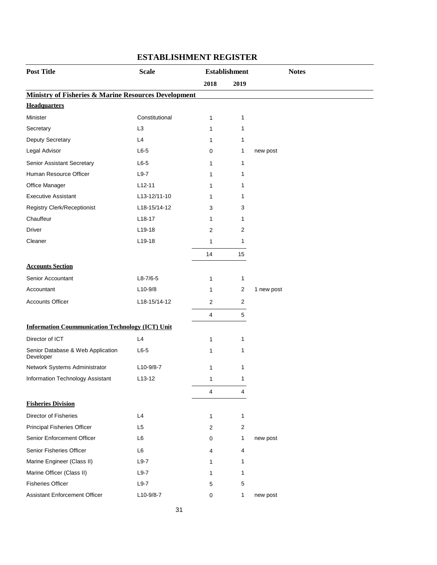| <b>Post Title</b>                                               | <b>Scale</b>        |                | <b>Establishment</b> | <b>Notes</b> |
|-----------------------------------------------------------------|---------------------|----------------|----------------------|--------------|
|                                                                 |                     | 2018           | 2019                 |              |
| <b>Ministry of Fisheries &amp; Marine Resources Development</b> |                     |                |                      |              |
| <b>Headquarters</b>                                             |                     |                |                      |              |
| Minister                                                        | Constitutional      | 1              | 1                    |              |
| Secretary                                                       | L <sub>3</sub>      | 1              | $\mathbf{1}$         |              |
| Deputy Secretary                                                | L4                  | 1              | $\mathbf 1$          |              |
| Legal Advisor                                                   | $L6-5$              | 0              | 1                    | new post     |
| Senior Assistant Secretary                                      | $L6-5$              | 1              | 1                    |              |
| Human Resource Officer                                          | $L9-7$              | 1              | $\mathbf 1$          |              |
| Office Manager                                                  | $L12-11$            | 1              | 1                    |              |
| <b>Executive Assistant</b>                                      | L13-12/11-10        | 1              | 1                    |              |
| Registry Clerk/Receptionist                                     | L18-15/14-12        | 3              | 3                    |              |
| Chauffeur                                                       | $L18-17$            | 1              | 1                    |              |
| Driver                                                          | L19-18              | 2              | 2                    |              |
| Cleaner                                                         | L19-18              | $\mathbf{1}$   | $\mathbf{1}$         |              |
|                                                                 |                     | 14             | 15                   |              |
| <b>Accounts Section</b>                                         |                     |                |                      |              |
| Senior Accountant                                               | $L8 - 7/6 - 5$      | 1              | $\mathbf{1}$         |              |
| Accountant                                                      | $L10-9/8$           | 1              | 2                    | 1 new post   |
| <b>Accounts Officer</b>                                         | L18-15/14-12        | 2              | 2                    |              |
|                                                                 |                     | 4              | 5                    |              |
| <b>Information Coummunication Technology (ICT) Unit</b>         |                     |                |                      |              |
| Director of ICT                                                 | L4                  | 1              | $\mathbf{1}$         |              |
| Senior Database & Web Application<br>Developer                  | $L6-5$              | 1              | $\mathbf 1$          |              |
| Network Systems Administrator                                   | L10-9/8-7           | 1              | 1                    |              |
| Information Technology Assistant                                | L <sub>13</sub> -12 | 1              | 1                    |              |
|                                                                 |                     | 4              | 4                    |              |
| <b>Fisheries Division</b>                                       |                     |                |                      |              |
| <b>Director of Fisheries</b>                                    | L4                  | 1              | $\mathbf{1}$         |              |
| <b>Principal Fisheries Officer</b>                              | L <sub>5</sub>      | $\overline{2}$ | $\overline{c}$       |              |
| Senior Enforcement Officer                                      | L <sub>6</sub>      | 0              | $\mathbf 1$          | new post     |
| Senior Fisheries Officer                                        | L6                  | 4              | 4                    |              |
| Marine Engineer (Class II)                                      | $L9-7$              | 1              | 1                    |              |
| Marine Officer (Class II)                                       | $L9-7$              | 1              | 1                    |              |
| <b>Fisheries Officer</b>                                        | $L9-7$              | 5              | 5                    |              |
| <b>Assistant Enforcement Officer</b>                            | L10-9/8-7           | 0              | $\mathbf{1}$         | new post     |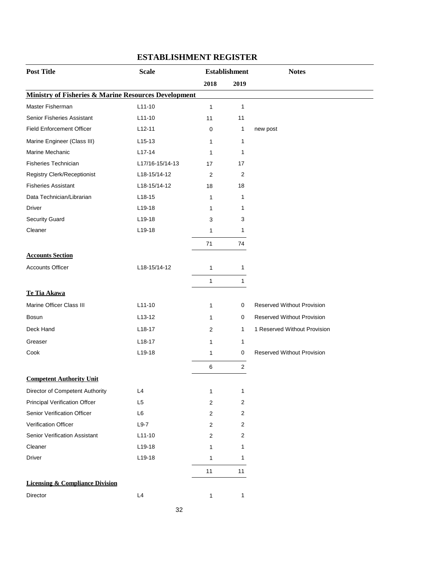| <b>Post Title</b>                                               | <b>Scale</b>    |                  | <b>Establishment</b> | <b>Notes</b>                      |
|-----------------------------------------------------------------|-----------------|------------------|----------------------|-----------------------------------|
|                                                                 |                 | 2018             | 2019                 |                                   |
| <b>Ministry of Fisheries &amp; Marine Resources Development</b> |                 |                  |                      |                                   |
| Master Fisherman                                                | $L11-10$        | $\mathbf{1}$     | 1                    |                                   |
| Senior Fisheries Assistant                                      | $L11-10$        | 11               | 11                   |                                   |
| <b>Field Enforcement Officer</b>                                | $L12-11$        | 0                | 1                    | new post                          |
| Marine Engineer (Class III)                                     | $L15-13$        | 1                | 1                    |                                   |
| Marine Mechanic                                                 | $L17-14$        | 1                | 1                    |                                   |
| <b>Fisheries Technician</b>                                     | L17/16-15/14-13 | 17               | 17                   |                                   |
| Registry Clerk/Receptionist                                     | L18-15/14-12    | $\overline{2}$   | 2                    |                                   |
| <b>Fisheries Assistant</b>                                      | L18-15/14-12    | 18               | 18                   |                                   |
| Data Technician/Librarian                                       | $L18-15$        | 1                | 1                    |                                   |
| Driver                                                          | L19-18          | 1                | 1                    |                                   |
| Security Guard                                                  | L19-18          | 3                | 3                    |                                   |
| Cleaner                                                         | L19-18          | 1                | 1                    |                                   |
|                                                                 |                 | 71               | 74                   |                                   |
| <b>Accounts Section</b>                                         |                 |                  |                      |                                   |
| <b>Accounts Officer</b>                                         | L18-15/14-12    | 1                | 1                    |                                   |
|                                                                 |                 | 1                | 1                    |                                   |
| Te Tia Akawa                                                    |                 |                  |                      |                                   |
| Marine Officer Class III                                        | $L11-10$        | 1                | 0                    | <b>Reserved Without Provision</b> |
| <b>Bosun</b>                                                    | $L13-12$        | 1                | 0                    | Reserved Without Provision        |
| Deck Hand                                                       | $L18-17$        | 2                | $\mathbf{1}$         | 1 Reserved Without Provision      |
| Greaser                                                         | $L18-17$        | 1                | $\mathbf{1}$         |                                   |
| Cook                                                            | L19-18          | 1                | 0                    | <b>Reserved Without Provision</b> |
|                                                                 |                 | 6                | $\overline{2}$       |                                   |
| <b>Competent Authority Unit</b>                                 |                 |                  |                      |                                   |
| Director of Competent Authority                                 | L4              | 1                | 1                    |                                   |
| <b>Principal Verification Offcer</b>                            | L <sub>5</sub>  | $\overline{2}$   | $\overline{2}$       |                                   |
| Senior Verification Officer                                     | L <sub>6</sub>  | $\boldsymbol{2}$ | 2                    |                                   |
| Verification Officer                                            | $L9-7$          | $\boldsymbol{2}$ | $\overline{c}$       |                                   |
| Senior Verification Assistant                                   | $L11-10$        | 2                | 2                    |                                   |
| Cleaner                                                         | L19-18          | 1                | 1                    |                                   |
| <b>Driver</b>                                                   | L19-18          | 1                | 1                    |                                   |
|                                                                 |                 | 11               | 11                   |                                   |
| <b>Licensing &amp; Compliance Division</b>                      |                 |                  |                      |                                   |
| Director                                                        | L4              | 1                | 1                    |                                   |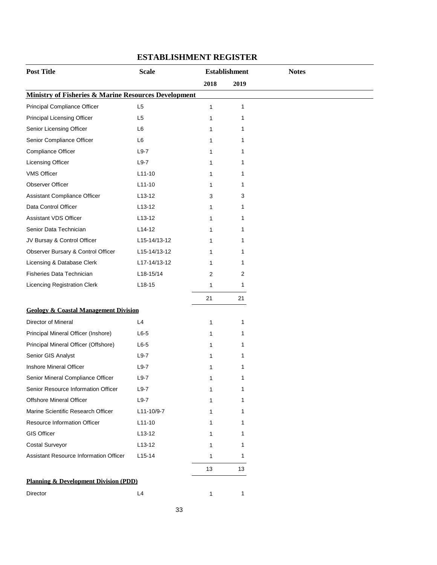| <b>Post Title</b>                                               | <b>Scale</b>   |      | <b>Establishment</b> |  |
|-----------------------------------------------------------------|----------------|------|----------------------|--|
|                                                                 |                | 2018 | 2019                 |  |
| <b>Ministry of Fisheries &amp; Marine Resources Development</b> |                |      |                      |  |
| Principal Compliance Officer                                    | L <sub>5</sub> | 1    | 1                    |  |
| Principal Licensing Officer                                     | L <sub>5</sub> | 1    | 1                    |  |
| Senior Licensing Officer                                        | L <sub>6</sub> | 1    | 1                    |  |
| Senior Compliance Officer                                       | L <sub>6</sub> | 1    | 1                    |  |
| Compliance Officer                                              | $L9-7$         | 1    | 1                    |  |
| <b>Licensing Officer</b>                                        | $L9-7$         | 1    | 1                    |  |
| <b>VMS Officer</b>                                              | $L11-10$       | 1    | 1                    |  |
| Observer Officer                                                | $L11-10$       | 1    | 1                    |  |
| Assistant Compliance Officer                                    | $L13-12$       | 3    | 3                    |  |
| Data Control Officer                                            | $L13-12$       | 1    | 1                    |  |
| Assistant VDS Officer                                           | $L13-12$       | 1    | 1                    |  |
| Senior Data Technician                                          | $L14-12$       | 1    | 1                    |  |
| JV Bursay & Control Officer                                     | L15-14/13-12   | 1    | 1                    |  |
| Observer Bursary & Control Officer                              | L15-14/13-12   | 1    | 1                    |  |
| Licensing & Database Clerk                                      | L17-14/13-12   | 1    | 1                    |  |
| Fisheries Data Technician                                       | L18-15/14      | 2    | 2                    |  |
| Licencing Registration Clerk                                    | $L18-15$       | 1    | 1                    |  |
|                                                                 |                | 21   | 21                   |  |
| <b>Geology &amp; Coastal Management Division</b>                |                |      |                      |  |
| Director of Mineral                                             | L4             | 1    | 1                    |  |
| Principal Mineral Officer (Inshore)                             | $L6-5$         | 1    | 1                    |  |
| Principal Mineral Officer (Offshore)                            | $L6-5$         | 1    | 1                    |  |
| Senior GIS Analyst                                              | $L9-7$         | 1    | 1                    |  |
| Inshore Mineral Officer                                         | $L9-7$         | 1    | 1                    |  |
| Senior Mineral Compliance Officer                               | $L9-7$         | 1    | 1                    |  |
| Senior Resource Information Officer                             | $L9-7$         | 1    | 1                    |  |
| <b>Offshore Mineral Officer</b>                                 | $L9-7$         | 1    | 1                    |  |
| Marine Scientific Research Officer                              | L11-10/9-7     | 1    | 1                    |  |
| <b>Resource Information Officer</b>                             | $L11-10$       | 1    | 1                    |  |
| <b>GIS Officer</b>                                              | $L13-12$       | 1    | 1                    |  |
| <b>Costal Surveyor</b>                                          | $L13-12$       | 1    | 1                    |  |
| <b>Assistant Resource Information Officer</b>                   | $L15-14$       | 1    | 1                    |  |
|                                                                 |                | 13   | 13                   |  |
| <b>Planning &amp; Development Division (PDD)</b>                |                |      |                      |  |
|                                                                 |                |      |                      |  |
| Director                                                        | L4             | 1    | 1                    |  |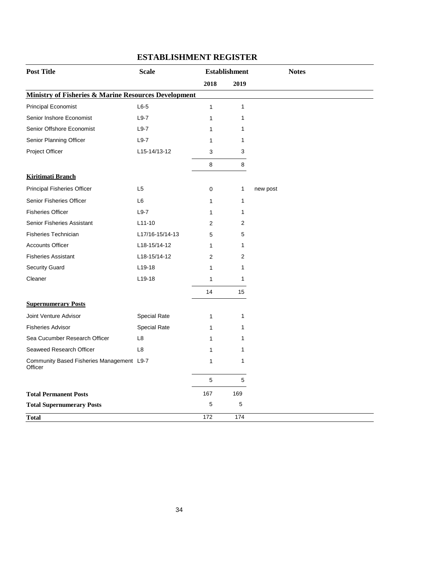| <b>Post Title</b>                                    | <b>Scale</b>        | <b>Establishment</b> |      | <b>Notes</b> |
|------------------------------------------------------|---------------------|----------------------|------|--------------|
|                                                      |                     | 2018                 | 2019 |              |
| Ministry of Fisheries & Marine Resources Development |                     |                      |      |              |
| <b>Principal Economist</b>                           | $L6-5$              | $\mathbf{1}$         | 1    |              |
| Senior Inshore Economist                             | $L9-7$              | 1                    | 1    |              |
| Senior Offshore Economist                            | $L9-7$              | 1                    | 1    |              |
| Senior Planning Officer                              | $L9-7$              | 1                    | 1    |              |
| Project Officer                                      | L15-14/13-12        | 3                    | 3    |              |
|                                                      |                     | 8                    | 8    |              |
| <b>Kiritimati Branch</b>                             |                     |                      |      |              |
| Principal Fisheries Officer                          | L <sub>5</sub>      | 0                    | 1    | new post     |
| Senior Fisheries Officer                             | L <sub>6</sub>      | 1                    | 1    |              |
| <b>Fisheries Officer</b>                             | $L9-7$              | 1                    | 1    |              |
| <b>Senior Fisheries Assistant</b>                    | $L11-10$            | 2                    | 2    |              |
| <b>Fisheries Technician</b>                          | L17/16-15/14-13     | 5                    | 5    |              |
| <b>Accounts Officer</b>                              | L18-15/14-12        | 1                    | 1    |              |
| <b>Fisheries Assistant</b>                           | L18-15/14-12        | 2                    | 2    |              |
| <b>Security Guard</b>                                | L19-18              | 1                    | 1    |              |
| Cleaner                                              | $L19-18$            | 1                    | 1    |              |
|                                                      |                     | 14                   | 15   |              |
| <b>Supernumerary Posts</b>                           |                     |                      |      |              |
| Joint Venture Advisor                                | <b>Special Rate</b> | $\mathbf{1}$         | 1    |              |
| <b>Fisheries Advisor</b>                             | Special Rate        | 1                    | 1    |              |
| Sea Cucumber Research Officer                        | L <sub>8</sub>      | 1                    | 1    |              |
| Seaweed Research Officer                             | L <sub>8</sub>      | 1                    | 1    |              |
| Community Based Fisheries Management L9-7<br>Officer |                     | 1                    | 1    |              |
|                                                      |                     | 5                    | 5    |              |
| <b>Total Permanent Posts</b>                         |                     | 167                  | 169  |              |
| <b>Total Supernumerary Posts</b>                     |                     | 5                    | 5    |              |
| <b>Total</b>                                         |                     | 172                  | 174  |              |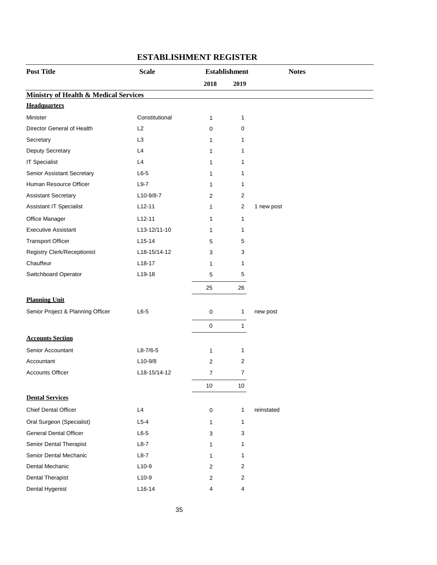| <b>Post Title</b>                                | <b>Scale</b>   |                | <b>Establishment</b> |            | <b>Notes</b> |
|--------------------------------------------------|----------------|----------------|----------------------|------------|--------------|
|                                                  |                | 2018           | 2019                 |            |              |
| <b>Ministry of Health &amp; Medical Services</b> |                |                |                      |            |              |
| <b>Headquarters</b>                              |                |                |                      |            |              |
| Minister                                         | Constitutional | 1              | 1                    |            |              |
| Director General of Health                       | L2             | 0              | 0                    |            |              |
| Secretary                                        | L <sub>3</sub> | $\mathbf{1}$   | 1                    |            |              |
| Deputy Secretary                                 | L4             | 1              | 1                    |            |              |
| <b>IT Specialist</b>                             | L4             | 1              | 1                    |            |              |
| Senior Assistant Secretary                       | $L6-5$         | $\mathbf{1}$   | 1                    |            |              |
| Human Resource Officer                           | $L9-7$         | 1              | 1                    |            |              |
| <b>Assistant Secretary</b>                       | L10-9/8-7      | 2              | 2                    |            |              |
| Assistant IT Specialist                          | $L12-11$       | 1              | $\overline{2}$       | 1 new post |              |
| Office Manager                                   | $L12-11$       | 1              | $\mathbf{1}$         |            |              |
| <b>Executive Assistant</b>                       | L13-12/11-10   | 1              | 1                    |            |              |
| <b>Transport Officer</b>                         | $L15-14$       | 5              | 5                    |            |              |
| <b>Registry Clerk/Receptionist</b>               | L18-15/14-12   | 3              | 3                    |            |              |
| Chauffeur                                        | $L18-17$       | 1              | 1                    |            |              |
| Switchboard Operator                             | L19-18         | 5              | 5                    |            |              |
|                                                  |                | 25             | 26                   |            |              |
| <b>Planning Unit</b>                             |                |                |                      |            |              |
| Senior Project & Planning Officer                | $L6-5$         | 0              | 1                    | new post   |              |
|                                                  |                | $\pmb{0}$      | $\mathbf{1}$         |            |              |
| <b>Accounts Section</b>                          |                |                |                      |            |              |
| Senior Accountant                                | $L8-7/6-5$     | 1              | 1                    |            |              |
| Accountant                                       | $L10-9/8$      | 2              | 2                    |            |              |
| <b>Accounts Officer</b>                          | L18-15/14-12   | $\overline{7}$ | 7                    |            |              |
|                                                  |                | $10\,$         | $10$                 |            |              |
| <b>Dental Services</b>                           |                |                |                      |            |              |
| <b>Chief Dental Officer</b>                      | L4             | $\pmb{0}$      | 1                    | reinstated |              |
| Oral Surgeon (Specialist)                        | $L5-4$         | 1              | 1                    |            |              |
| <b>General Dental Officer</b>                    | $L6-5$         | 3              | 3                    |            |              |
| Senior Dental Therapist                          | $L8-7$         | 1              | 1                    |            |              |
| Senior Dental Mechanic                           | $L8-7$         | 1              | 1                    |            |              |
| Dental Mechanic                                  | $L10-9$        | 2              | 2                    |            |              |
| Dental Therapist                                 | $L10-9$        | 2              | 2                    |            |              |
| Dental Hygenist                                  | $L16-14$       | 4              | 4                    |            |              |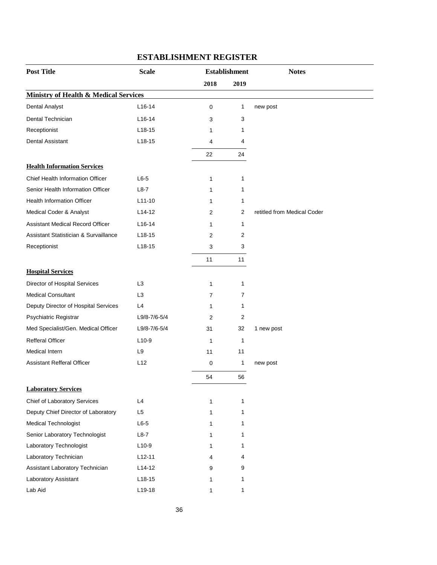| <b>Post Title</b>                                | <b>Scale</b>   |                | <b>Establishment</b> | <b>Notes</b>                |
|--------------------------------------------------|----------------|----------------|----------------------|-----------------------------|
|                                                  |                | 2018           | 2019                 |                             |
| <b>Ministry of Health &amp; Medical Services</b> |                |                |                      |                             |
| <b>Dental Analyst</b>                            | $L16-14$       | 0              | 1                    | new post                    |
| Dental Technician                                | $L16-14$       | 3              | 3                    |                             |
| Receptionist                                     | $L18-15$       | 1              | 1                    |                             |
| <b>Dental Assistant</b>                          | $L18-15$       | 4              | 4                    |                             |
|                                                  |                | 22             | 24                   |                             |
| <b>Health Information Services</b>               |                |                |                      |                             |
| Chief Health Information Officer                 | $L6-5$         | 1              | 1                    |                             |
| Senior Health Information Officer                | $L8-7$         | 1              | 1                    |                             |
| <b>Health Information Officer</b>                | $L11-10$       | 1              | 1                    |                             |
| Medical Coder & Analyst                          | $L14-12$       | 2              | 2                    | retitled from Medical Coder |
| <b>Assistant Medical Record Officer</b>          | $L16-14$       | 1              | 1                    |                             |
| Assistant Statistician & Survaillance            | $L18-15$       | 2              | 2                    |                             |
| Receptionist                                     | $L18-15$       | 3              | 3                    |                             |
|                                                  |                | 11             | 11                   |                             |
| <b>Hospital Services</b>                         |                |                |                      |                             |
| Director of Hospital Services                    | L <sub>3</sub> | 1              | 1                    |                             |
| <b>Medical Consultant</b>                        | L <sub>3</sub> | $\overline{7}$ | 7                    |                             |
| Deputy Director of Hospital Services             | L4             | 1              | 1                    |                             |
| Psychiatric Registrar                            | L9/8-7/6-5/4   | 2              | $\overline{2}$       |                             |
| Med Specialist/Gen. Medical Officer              | L9/8-7/6-5/4   | 31             | 32                   | 1 new post                  |
| <b>Refferal Officer</b>                          | $L10-9$        | $\mathbf{1}$   | 1                    |                             |
| Medical Intern                                   | L <sub>9</sub> | 11             | 11                   |                             |
| <b>Assistant Refferal Officer</b>                | L12            | 0              | 1                    | new post                    |
|                                                  |                | 54             | 56                   |                             |
| <b>Laboratory Services</b>                       |                |                |                      |                             |
| Chief of Laboratory Services                     | L4             | 1              | 1                    |                             |
| Deputy Chief Director of Laboratory              | L5             | 1              | 1                    |                             |
| <b>Medical Technologist</b>                      | $L6-5$         | 1              | 1                    |                             |
| Senior Laboratory Technologist                   | $L8-7$         | 1              | 1                    |                             |
| Laboratory Technologist                          | $L10-9$        | 1              | 1                    |                             |
| Laboratory Technician                            | $L12-11$       | 4              | 4                    |                             |
| Assistant Laboratory Technician                  | $L14-12$       | 9              | 9                    |                             |
| Laboratory Assistant                             | $L18-15$       | 1              | 1                    |                             |
| Lab Aid                                          | L19-18         | 1              | 1                    |                             |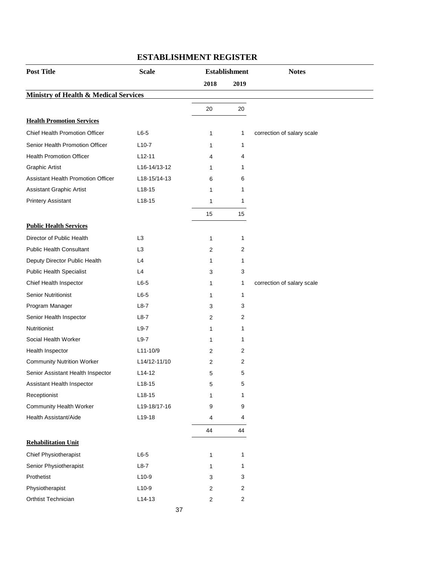| <b>Post Title</b>                                | <b>Scale</b>   | <b>Establishment</b>    |                  | <b>Notes</b>               |
|--------------------------------------------------|----------------|-------------------------|------------------|----------------------------|
|                                                  |                | 2018                    | 2019             |                            |
| <b>Ministry of Health &amp; Medical Services</b> |                |                         |                  |                            |
|                                                  |                | 20                      | 20               |                            |
| <b>Health Promotion Services</b>                 |                |                         |                  |                            |
| Chief Health Promotion Officer                   | $L6-5$         | 1                       | 1                | correction of salary scale |
| Senior Health Promotion Officer                  | $L10-7$        | 1                       | 1                |                            |
| <b>Health Promotion Officer</b>                  | $L12 - 11$     | 4                       | 4                |                            |
| <b>Graphic Artist</b>                            | L16-14/13-12   | 1                       | 1                |                            |
| <b>Assistant Health Promotion Officer</b>        | L18-15/14-13   | 6                       | 6                |                            |
| Assistant Graphic Artist                         | $L18-15$       | 1                       | 1                |                            |
| <b>Printery Assistant</b>                        | $L18-15$       | 1                       | 1                |                            |
|                                                  |                | 15                      | 15               |                            |
| <b>Public Health Services</b>                    |                |                         |                  |                            |
| Director of Public Health                        | L <sub>3</sub> | 1                       | 1                |                            |
| <b>Public Health Consultant</b>                  | L <sub>3</sub> | 2                       | 2                |                            |
| Deputy Director Public Health                    | L4             | 1                       | 1                |                            |
| <b>Public Health Specialist</b>                  | L4             | 3                       | 3                |                            |
| Chief Health Inspector                           | $L6-5$         | 1                       | 1                | correction of salary scale |
| <b>Senior Nutritionist</b>                       | $L6-5$         | 1                       | 1                |                            |
| Program Manager                                  | $L8-7$         | 3                       | 3                |                            |
| Senior Health Inspector                          | $L8-7$         | 2                       | 2                |                            |
| Nutritionist                                     | $L9-7$         | 1                       | 1                |                            |
| Social Health Worker                             | $L9-7$         | 1                       | 1                |                            |
| Health Inspector                                 | L11-10/9       | 2                       | 2                |                            |
| <b>Community Nutrition Worker</b>                | L14/12-11/10   | 2                       | 2                |                            |
| Senior Assistant Health Inspector                | $L14-12$       | 5                       | 5                |                            |
| Assistant Health Inspector                       | $L18-15$       | 5                       | 5                |                            |
| Receptionist                                     | $L18-15$       | 1                       | 1                |                            |
| <b>Community Health Worker</b>                   | L19-18/17-16   | 9                       | 9                |                            |
| Health Assistant/Aide                            | L19-18         | 4                       | 4                |                            |
|                                                  |                | 44                      | 44               |                            |
| <b>Rehabilitation Unit</b>                       |                |                         |                  |                            |
| Chief Physiotherapist                            | $L6-5$         | 1                       | 1                |                            |
| Senior Physiotherapist                           | $L8-7$         | 1                       | 1                |                            |
| Prothetist                                       | $L10-9$        | 3                       | 3                |                            |
| Physiotherapist                                  | $L10-9$        | $\overline{\mathbf{c}}$ | $\overline{c}$   |                            |
| Orthtist Technician                              | $L14-13$       | 2                       | $\boldsymbol{2}$ |                            |
|                                                  | 37             |                         |                  |                            |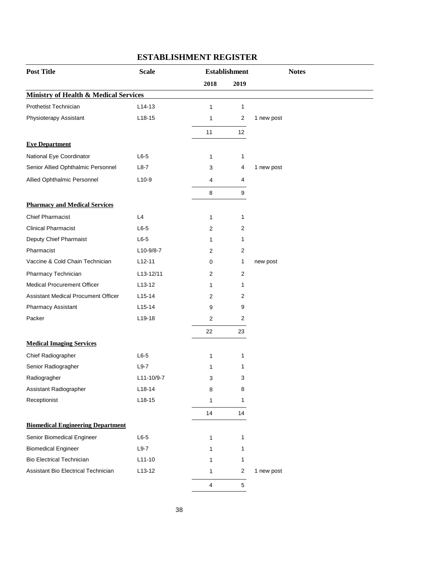| <b>Post Title</b>                                | <b>Scale</b> | <b>Establishment</b> |                | <b>Notes</b> |
|--------------------------------------------------|--------------|----------------------|----------------|--------------|
|                                                  |              | 2018                 | 2019           |              |
| <b>Ministry of Health &amp; Medical Services</b> |              |                      |                |              |
| Prothetist Technician                            | $L14-13$     | 1                    | $\mathbf{1}$   |              |
| Physioterapy Assistant                           | $L18-15$     | 1                    | $\overline{c}$ | 1 new post   |
|                                                  |              | 11                   | 12             |              |
| <b>Eye Department</b>                            |              |                      |                |              |
| National Eye Coordinator                         | $L6-5$       | 1                    | 1              |              |
| Senior Allied Ophthalmic Personnel               | $L8-7$       | 3                    | 4              | 1 new post   |
| Allied Ophthalmic Personnel                      | $L10-9$      | 4                    | 4              |              |
|                                                  |              | 8                    | 9              |              |
| <b>Pharmacy and Medical Services</b>             |              |                      |                |              |
| <b>Chief Pharmacist</b>                          | L4           | 1                    | 1              |              |
| <b>Clinical Pharmacist</b>                       | $L6-5$       | 2                    | 2              |              |
| Deputy Chief Pharmaist                           | $L6-5$       | 1                    | 1              |              |
| Pharmacist                                       | $L10-9/8-7$  | 2                    | 2              |              |
| Vaccine & Cold Chain Technician                  | $L12 - 11$   | 0                    | 1              | new post     |
| Pharmacy Technician                              | L13-12/11    | 2                    | 2              |              |
| <b>Medical Procurement Officer</b>               | $L$ 13-12    | 1                    | 1              |              |
| Assistant Medical Procument Officer              | $L15-14$     | 2                    | 2              |              |
| Pharmacy Assistant                               | $L15-14$     | 9                    | 9              |              |
| Packer                                           | $L19-18$     | 2                    | 2              |              |
|                                                  |              | 22                   | 23             |              |
| <b>Medical Imaging Services</b>                  |              |                      |                |              |
| Chief Radiographer                               | $L6-5$       | 1                    | 1              |              |
| Senior Radiogragher                              | $L9-7$       | 1                    | 1              |              |
| Radiogragher                                     | L11-10/9-7   | 3                    | 3              |              |
| Assistant Radiographer                           | $L18-14$     | 8                    | 8              |              |
| Receptionist                                     | $L18-15$     | 1                    | 1              |              |
|                                                  |              | 14                   | 14             |              |
| <b>Biomedical Engineering Department</b>         |              |                      |                |              |
| Senior Biomedical Engineer                       | $L6-5$       | 1                    | 1              |              |
| <b>Biomedical Engineer</b>                       | $L9-7$       | 1                    | 1              |              |
| <b>Bio Electrical Technician</b>                 | $L11-10$     | 1                    | 1              |              |
| Assistant Bio Electrical Technician              | $L13-12$     | 1                    | $\overline{2}$ | 1 new post   |
|                                                  |              | 4                    | $\sqrt{5}$     |              |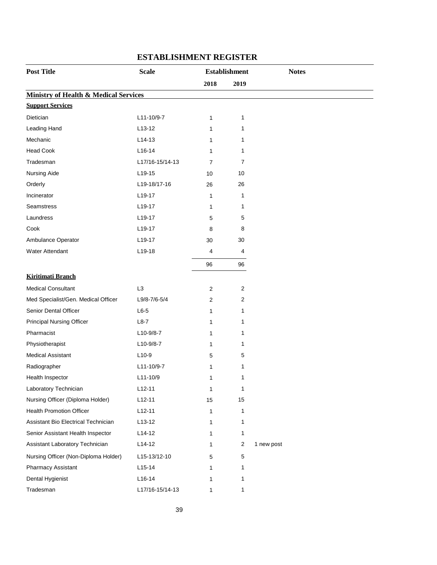| <b>Post Title</b>                                | <b>Scale</b><br><b>Establishment</b> |                |                |            |
|--------------------------------------------------|--------------------------------------|----------------|----------------|------------|
|                                                  |                                      | 2018           | 2019           |            |
| <b>Ministry of Health &amp; Medical Services</b> |                                      |                |                |            |
| <b>Support Services</b>                          |                                      |                |                |            |
| Dietician                                        | L11-10/9-7                           | 1              | 1              |            |
| Leading Hand                                     | $L13-12$                             | 1              | 1              |            |
| Mechanic                                         | $L14-13$                             | 1              | 1              |            |
| <b>Head Cook</b>                                 | $L16-14$                             | 1              | 1              |            |
| Tradesman                                        | L17/16-15/14-13                      | $\overline{7}$ | 7              |            |
| Nursing Aide                                     | L19-15                               | 10             | 10             |            |
| Orderly                                          | L19-18/17-16                         | 26             | 26             |            |
| Incinerator                                      | L19-17                               | 1              | 1              |            |
| <b>Seamstress</b>                                | L19-17                               | 1              | 1              |            |
| Laundress                                        | L19-17                               | 5              | 5              |            |
| Cook                                             | L19-17                               | 8              | 8              |            |
| Ambulance Operator                               | L19-17                               | 30             | 30             |            |
| Water Attendant                                  | L19-18                               | 4              | 4              |            |
|                                                  |                                      | 96             | 96             |            |
| <b>Kiritimati Branch</b>                         |                                      |                |                |            |
| <b>Medical Consultant</b>                        | L <sub>3</sub>                       | $\overline{c}$ | $\overline{2}$ |            |
| Med Specialist/Gen. Medical Officer              | L9/8-7/6-5/4                         | 2              | 2              |            |
| Senior Dental Officer                            | $L6-5$                               | 1              | 1              |            |
| <b>Principal Nursing Officer</b>                 | $L8-7$                               | 1              | 1              |            |
| Pharmacist                                       | $L10-9/8-7$                          | 1              | 1              |            |
| Physiotherapist                                  | L10-9/8-7                            | 1              | 1              |            |
| <b>Medical Assistant</b>                         | $L10-9$                              | 5              | 5              |            |
| Radiographer                                     | L11-10/9-7                           | 1              | 1              |            |
| Health Inspector                                 | L11-10/9                             | 1              | 1              |            |
| Laboratory Technician                            | $L12-11$                             | 1              | 1              |            |
| Nursing Officer (Diploma Holder)                 | $L12-11$                             | 15             | 15             |            |
| <b>Health Promotion Officer</b>                  | $L12-11$                             | 1              | 1              |            |
| Assistant Bio Electrical Technician              | $L13-12$                             | 1              | 1              |            |
| Senior Assistant Health Inspector                | L14-12                               | 1              | 1              |            |
| Assistant Laboratory Technician                  | $L14-12$                             | 1              | $\overline{2}$ | 1 new post |
| Nursing Officer (Non-Diploma Holder)             | L15-13/12-10                         | 5              | 5              |            |
| Pharmacy Assistant                               | $L15-14$                             | 1              | 1              |            |
| Dental Hygienist                                 | $L16-14$                             | 1              | 1              |            |
| Tradesman                                        | L17/16-15/14-13                      | 1              | 1              |            |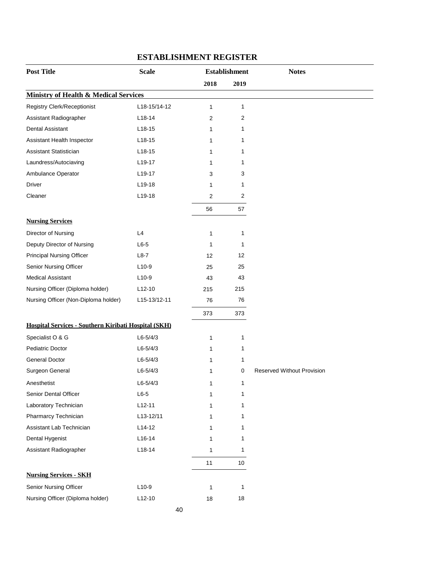| <b>Post Title</b>                                    | <b>Scale</b> |              | <b>Establishment</b> | <b>Notes</b>                      |
|------------------------------------------------------|--------------|--------------|----------------------|-----------------------------------|
|                                                      |              | 2018         | 2019                 |                                   |
| <b>Ministry of Health &amp; Medical Services</b>     |              |              |                      |                                   |
| <b>Registry Clerk/Receptionist</b>                   | L18-15/14-12 | $\mathbf{1}$ | 1                    |                                   |
| Assistant Radiographer                               | $L18-14$     | 2            | 2                    |                                   |
| Dental Assistant                                     | $L18-15$     | 1            | 1                    |                                   |
| Assistant Health Inspector                           | $L18-15$     | 1            | 1                    |                                   |
| Assistant Statistician                               | $L18-15$     | 1            | 1                    |                                   |
| Laundress/Autociaving                                | L19-17       | 1            | 1                    |                                   |
| Ambulance Operator                                   | L19-17       | 3            | 3                    |                                   |
| Driver                                               | $L19-18$     | 1            | 1                    |                                   |
| Cleaner                                              | L19-18       | $\sqrt{2}$   | 2                    |                                   |
|                                                      |              | 56           | 57                   |                                   |
| <b>Nursing Services</b>                              |              |              |                      |                                   |
| Director of Nursing                                  | L4           | 1            | 1                    |                                   |
| Deputy Director of Nursing                           | $L6-5$       | 1            | 1                    |                                   |
| <b>Principal Nursing Officer</b>                     | $L8-7$       | 12           | 12                   |                                   |
| Senior Nursing Officer                               | $L10-9$      | 25           | 25                   |                                   |
| <b>Medical Assistant</b>                             | $L10-9$      | 43           | 43                   |                                   |
| Nursing Officer (Diploma holder)                     | $L12-10$     | 215          | 215                  |                                   |
| Nursing Officer (Non-Diploma holder)                 | L15-13/12-11 | 76           | 76                   |                                   |
|                                                      |              | 373          | 373                  |                                   |
| Hospital Services - Southern Kiribati Hospital (SKH) |              |              |                      |                                   |
| Specialist O & G                                     | $L6 - 5/4/3$ | 1            | 1                    |                                   |
| Pediatric Doctor                                     | $L6 - 5/4/3$ | $\mathbf{1}$ | 1                    |                                   |
| General Doctor                                       | $L6 - 5/4/3$ | 1            | 1                    |                                   |
| Surgeon General                                      | $L6 - 5/4/3$ | 1            | 0                    | <b>Reserved Without Provision</b> |
| Anesthetist                                          | $L6 - 5/4/3$ | 1            | 1                    |                                   |
| Senior Dental Officer                                | $L6-5$       | 1            | 1                    |                                   |
| Laboratory Technician                                | $L12-11$     | 1            | 1                    |                                   |
| Pharmarcy Technician                                 | L13-12/11    | 1            | 1                    |                                   |
| Assistant Lab Technician                             | $L14-12$     | 1            | 1                    |                                   |
| Dental Hygenist                                      | L16-14       | $\mathbf{1}$ | 1                    |                                   |
| Assistant Radiographer                               | $L18-14$     | 1            | 1                    |                                   |
|                                                      |              | 11           | 10                   |                                   |
| <b>Nursing Services - SKH</b>                        |              |              |                      |                                   |
| Senior Nursing Officer                               | $L10-9$      | 1            | 1                    |                                   |
| Nursing Officer (Diploma holder)                     | $L12-10$     | 18           | 18                   |                                   |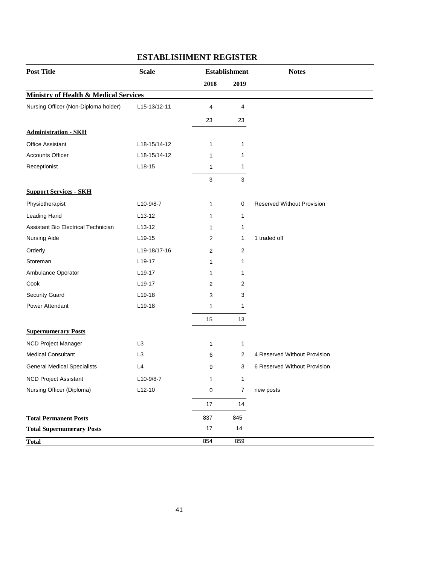| <b>Post Title</b>                                | <b>Scale</b>        |      | <b>Establishment</b> | <b>Notes</b>                      |
|--------------------------------------------------|---------------------|------|----------------------|-----------------------------------|
|                                                  |                     | 2018 | 2019                 |                                   |
| <b>Ministry of Health &amp; Medical Services</b> |                     |      |                      |                                   |
| Nursing Officer (Non-Diploma holder)             | L15-13/12-11        | 4    | 4                    |                                   |
|                                                  |                     | 23   | 23                   |                                   |
| <b>Administration - SKH</b>                      |                     |      |                      |                                   |
| <b>Office Assistant</b>                          | L18-15/14-12        | 1    | 1                    |                                   |
| <b>Accounts Officer</b>                          | L18-15/14-12        | 1    | 1                    |                                   |
| Receptionist                                     | $L18-15$            | 1    | 1                    |                                   |
|                                                  |                     | 3    | 3                    |                                   |
| <b>Support Services - SKH</b>                    |                     |      |                      |                                   |
| Physiotherapist                                  | $L10-9/8-7$         | 1    | 0                    | <b>Reserved Without Provision</b> |
| Leading Hand                                     | $L13-12$            | 1    | 1                    |                                   |
| Assistant Bio Electrical Technician              | $L$ 13-12           | 1    | 1                    |                                   |
| Nursing Aide                                     | $L$ 19-15           | 2    | 1                    | 1 traded off                      |
| Orderly                                          | L19-18/17-16        | 2    | 2                    |                                   |
| Storeman                                         | L <sub>19-17</sub>  | 1    | 1                    |                                   |
| Ambulance Operator                               | L <sub>19</sub> -17 | 1    | 1                    |                                   |
| Cook                                             | L <sub>19</sub> -17 | 2    | 2                    |                                   |
| <b>Security Guard</b>                            | $L19-18$            | 3    | 3                    |                                   |
| Power Attendant                                  | L19-18              | 1    | 1                    |                                   |
|                                                  |                     | 15   | 13                   |                                   |
| <b>Supernumerary Posts</b>                       |                     |      |                      |                                   |
| NCD Project Manager                              | L <sub>3</sub>      | 1    | 1                    |                                   |
| <b>Medical Consultant</b>                        | L <sub>3</sub>      | 6    | $\overline{2}$       | 4 Reserved Without Provision      |
| <b>General Medical Specialists</b>               | L4                  | 9    | 3                    | 6 Reserved Without Provision      |
| <b>NCD Project Assistant</b>                     | L10-9/8-7           | 1    | 1                    |                                   |
| Nursing Officer (Diploma)                        | $L12-10$            | 0    | 7                    | new posts                         |
|                                                  |                     | 17   | 14                   |                                   |
| <b>Total Permanent Posts</b>                     |                     | 837  | 845                  |                                   |
| <b>Total Supernumerary Posts</b>                 |                     | 17   | 14                   |                                   |
| <b>Total</b>                                     |                     | 854  | 859                  |                                   |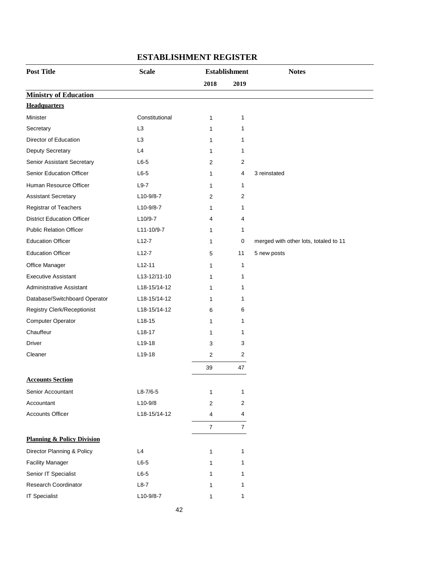| <b>Post Title</b>                     | <b>Scale</b><br><b>Establishment</b> |                | <b>Notes</b>   |                                       |
|---------------------------------------|--------------------------------------|----------------|----------------|---------------------------------------|
|                                       |                                      | 2018           | 2019           |                                       |
| <b>Ministry of Education</b>          |                                      |                |                |                                       |
| <b>Headquarters</b>                   |                                      |                |                |                                       |
| Minister                              | Constitutional                       | 1              | 1              |                                       |
| Secretary                             | L <sub>3</sub>                       | 1              | 1              |                                       |
| Director of Education                 | L <sub>3</sub>                       | 1              | 1              |                                       |
| Deputy Secretary                      | L4                                   | 1              | 1              |                                       |
| Senior Assistant Secretary            | $L6-5$                               | 2              | 2              |                                       |
| Senior Education Officer              | $L6-5$                               | 1              | 4              | 3 reinstated                          |
| Human Resource Officer                | $L9-7$                               | 1              | 1              |                                       |
| <b>Assistant Secretary</b>            | $L10-9/8-7$                          | 2              | 2              |                                       |
| Registrar of Teachers                 | $L10-9/8-7$                          | 1              | 1              |                                       |
| <b>District Education Officer</b>     | L10/9-7                              | 4              | 4              |                                       |
| <b>Public Relation Officer</b>        | L11-10/9-7                           | 1              | 1              |                                       |
| <b>Education Officer</b>              | $L12-7$                              | 1              | 0              | merged with other lots, totaled to 11 |
| <b>Education Officer</b>              | $L12-7$                              | 5              | 11             | 5 new posts                           |
| Office Manager                        | $L12-11$                             | 1              | 1              |                                       |
| <b>Executive Assistant</b>            | L13-12/11-10                         | 1              | 1              |                                       |
| Administrative Assistant              | L18-15/14-12                         | 1              | 1              |                                       |
| Database/Switchboard Operator         | L18-15/14-12                         | 1              | 1              |                                       |
| Registry Clerk/Receptionist           | L18-15/14-12                         | 6              | 6              |                                       |
| Computer Operator                     | L18-15                               | 1              | 1              |                                       |
| Chauffeur                             | $L18-17$                             | 1              | 1              |                                       |
| Driver                                | $L$ 19-18                            | 3              | 3              |                                       |
| Cleaner                               | L19-18                               | 2              | 2              |                                       |
|                                       |                                      | 39             | 47             |                                       |
| <b>Accounts Section</b>               |                                      |                |                |                                       |
| Senior Accountant                     | $L8-7/6-5$                           | 1              | 1              |                                       |
| Accountant                            | $L10-9/8$                            | 2              | 2              |                                       |
| <b>Accounts Officer</b>               | L18-15/14-12                         | 4              | 4              |                                       |
|                                       |                                      | $\overline{7}$ | $\overline{7}$ |                                       |
| <b>Planning &amp; Policy Division</b> |                                      |                |                |                                       |
| Director Planning & Policy            | L4                                   | 1              | 1              |                                       |
| <b>Facility Manager</b>               | $L6-5$                               | 1              | 1              |                                       |
| Senior IT Specialist                  | $L6-5$                               | 1              | 1              |                                       |
| Research Coordinator                  | $L8-7$                               | 1              | 1              |                                       |
| <b>IT Specialist</b>                  | L10-9/8-7                            | 1              | 1              |                                       |
|                                       |                                      |                |                |                                       |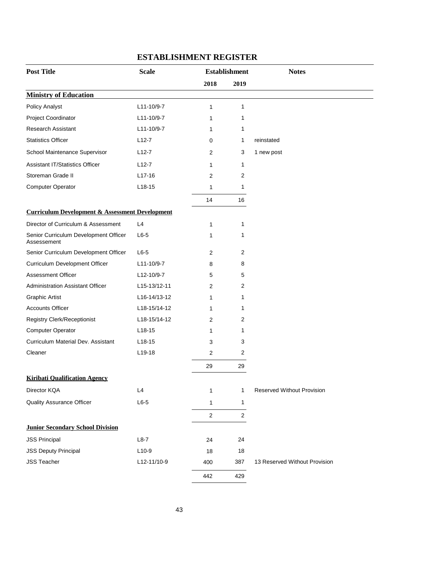| <b>Post Title</b>                                          | <b>Scale</b> |            | <b>Establishment</b> | <b>Notes</b>                      |  |
|------------------------------------------------------------|--------------|------------|----------------------|-----------------------------------|--|
|                                                            |              | 2018       | 2019                 |                                   |  |
| <b>Ministry of Education</b>                               |              |            |                      |                                   |  |
| <b>Policy Analyst</b>                                      | L11-10/9-7   | 1          | 1                    |                                   |  |
| Project Coordinator                                        | L11-10/9-7   | 1          | 1                    |                                   |  |
| <b>Research Assistant</b>                                  | L11-10/9-7   | 1          | 1                    |                                   |  |
| <b>Statistics Officer</b>                                  | $L12-7$      | 0          | 1                    | reinstated                        |  |
| School Maintenance Supervisor                              | $L12-7$      | 2          | 3                    | 1 new post                        |  |
| <b>Assistant IT/Statistics Officer</b>                     | $L12-7$      | 1          | 1                    |                                   |  |
| Storeman Grade II                                          | $L17-16$     | 2          | 2                    |                                   |  |
| Computer Operator                                          | $L18-15$     | 1          | 1                    |                                   |  |
|                                                            |              | 14         | 16                   |                                   |  |
| <b>Curriculum Development &amp; Assessment Development</b> |              |            |                      |                                   |  |
| Director of Curriculum & Assessment                        | L4           | 1          | 1                    |                                   |  |
| Senior Curriculum Development Officer<br>Assessement       | $L6-5$       | 1          | 1                    |                                   |  |
| Senior Curriculum Development Officer                      | $L6-5$       | 2          | 2                    |                                   |  |
| Curriculum Development Officer                             | L11-10/9-7   | 8          | 8                    |                                   |  |
| <b>Assessment Officer</b>                                  | L12-10/9-7   | 5          | 5                    |                                   |  |
| <b>Administration Assistant Officer</b>                    | L15-13/12-11 | 2          | 2                    |                                   |  |
| <b>Graphic Artist</b>                                      | L16-14/13-12 | 1          | 1                    |                                   |  |
| <b>Accounts Officer</b>                                    | L18-15/14-12 | 1          | 1                    |                                   |  |
| <b>Registry Clerk/Receptionist</b>                         | L18-15/14-12 | 2          | 2                    |                                   |  |
| <b>Computer Operator</b>                                   | $L18-15$     | 1          | 1                    |                                   |  |
| Curriculum Material Dev. Assistant                         | $L18-15$     | 3          | 3                    |                                   |  |
| Cleaner                                                    | L19-18       | 2          | 2                    |                                   |  |
|                                                            |              | 29         | 29                   |                                   |  |
| <b>Kiribati Oualification Agency</b>                       |              |            |                      |                                   |  |
| Director KQA                                               | L4           | 1          | $\mathbf 1$          | <b>Reserved Without Provision</b> |  |
| <b>Quality Assurance Officer</b>                           | $L6-5$       | 1          | $\mathbf 1$          |                                   |  |
|                                                            |              | $\sqrt{2}$ | $\overline{2}$       |                                   |  |
| <b>Junior Secondary School Division</b>                    |              |            |                      |                                   |  |
| <b>JSS Principal</b>                                       | $L8-7$       | 24         | 24                   |                                   |  |
| <b>JSS Deputy Principal</b>                                | $L10-9$      | 18         | 18                   |                                   |  |
| <b>JSS Teacher</b>                                         | L12-11/10-9  | 400        | 387                  | 13 Reserved Without Provision     |  |
|                                                            |              | 442        | 429                  |                                   |  |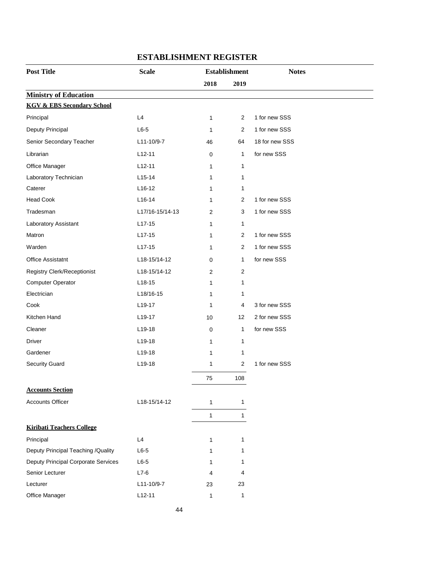| <b>Post Title</b>                     | <b>Scale</b>    |                | <b>Establishment</b> | <b>Notes</b>   |
|---------------------------------------|-----------------|----------------|----------------------|----------------|
|                                       |                 | 2018           | 2019                 |                |
| <b>Ministry of Education</b>          |                 |                |                      |                |
| <b>KGV &amp; EBS Secondary School</b> |                 |                |                      |                |
| Principal                             | L4              | 1              | $\overline{2}$       | 1 for new SSS  |
| Deputy Principal                      | $L6-5$          | 1              | $\overline{2}$       | 1 for new SSS  |
| Senior Secondary Teacher              | L11-10/9-7      | 46             | 64                   | 18 for new SSS |
| Librarian                             | $L12-11$        | $\mathbf 0$    | 1                    | for new SSS    |
| Office Manager                        | $L12-11$        | $\mathbf{1}$   | 1                    |                |
| Laboratory Technician                 | $L15-14$        | 1              | 1                    |                |
| Caterer                               | L16-12          | $\mathbf{1}$   | 1                    |                |
| <b>Head Cook</b>                      | $L16-14$        | 1              | $\overline{2}$       | 1 for new SSS  |
| Tradesman                             | L17/16-15/14-13 | $\overline{2}$ | 3                    | 1 for new SSS  |
| Laboratory Assistant                  | $L17-15$        | 1              | 1                    |                |
| Matron                                | $L17-15$        | $\mathbf{1}$   | $\overline{2}$       | 1 for new SSS  |
| Warden                                | $L17-15$        | 1              | $\overline{2}$       | 1 for new SSS  |
| <b>Office Assistatnt</b>              | L18-15/14-12    | 0              | 1                    | for new SSS    |
| Registry Clerk/Receptionist           | L18-15/14-12    | $\overline{2}$ | $\overline{c}$       |                |
| <b>Computer Operator</b>              | $L18-15$        | $\mathbf{1}$   | 1                    |                |
| Electrician                           | L18/16-15       | 1              | 1                    |                |
| Cook                                  | L19-17          | 1              | 4                    | 3 for new SSS  |
| Kitchen Hand                          | L19-17          | 10             | 12                   | 2 for new SSS  |
| Cleaner                               | L19-18          | $\mathbf 0$    | 1                    | for new SSS    |
| Driver                                | L19-18          | 1              | 1                    |                |
| Gardener                              | L19-18          | 1              | 1                    |                |
| <b>Security Guard</b>                 | $L19-18$        | 1              | $\overline{c}$       | 1 for new SSS  |
|                                       |                 | 75             | 108                  |                |
| <b>Accounts Section</b>               |                 |                |                      |                |
| <b>Accounts Officer</b>               | L18-15/14-12    | 1              | 1                    |                |
|                                       |                 | $\mathbf{1}$   | $\mathbf{1}$         |                |
| <b>Kiribati Teachers College</b>      |                 |                |                      |                |
| Principal                             | L4              | 1              | 1                    |                |
| Deputy Principal Teaching /Quality    | $L6-5$          | 1              | 1                    |                |
| Deputy Principal Corporate Services   | $L6-5$          | 1              | 1                    |                |
| Senior Lecturer                       | $L7-6$          | 4              | 4                    |                |
| Lecturer                              | L11-10/9-7      | 23             | 23                   |                |
| Office Manager                        | $L12-11$        | $\mathbf{1}$   | 1                    |                |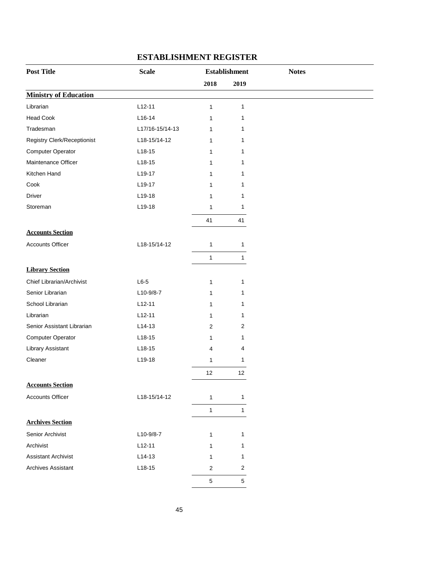| <b>Post Title</b>                  | <b>Scale</b>    | <b>Establishment</b>    |                         | <b>Notes</b> |
|------------------------------------|-----------------|-------------------------|-------------------------|--------------|
|                                    |                 | 2018                    | 2019                    |              |
| <b>Ministry of Education</b>       |                 |                         |                         |              |
| Librarian                          | $L12-11$        | $\mathbf{1}$            | $\mathbf{1}$            |              |
| <b>Head Cook</b>                   | $L16-14$        | 1                       | 1                       |              |
| Tradesman                          | L17/16-15/14-13 | 1                       | 1                       |              |
| <b>Registry Clerk/Receptionist</b> | L18-15/14-12    | 1                       | 1                       |              |
| Computer Operator                  | $L18-15$        | 1                       | 1                       |              |
| Maintenance Officer                | $L18-15$        | 1                       | 1                       |              |
| Kitchen Hand                       | L19-17          | 1                       | 1                       |              |
| Cook                               | L19-17          | 1                       | 1                       |              |
| Driver                             | L19-18          | 1                       | 1                       |              |
| Storeman                           | L19-18          | 1                       | $\mathbf{1}$            |              |
|                                    |                 | 41                      | 41                      |              |
| <b>Accounts Section</b>            |                 |                         |                         |              |
| <b>Accounts Officer</b>            | L18-15/14-12    | $\mathbf{1}$            | $\mathbf{1}$            |              |
|                                    |                 | 1                       | $\mathbf{1}$            |              |
| <b>Library Section</b>             |                 |                         |                         |              |
| Chief Librarian/Archivist          | $L6-5$          | $\mathbf{1}$            | 1                       |              |
| Senior Librarian                   | L10-9/8-7       | 1                       | 1                       |              |
| School Librarian                   | $L12-11$        | 1                       | $\mathbf 1$             |              |
| Librarian                          | $L12-11$        | $\mathbf{1}$            | 1                       |              |
| Senior Assistant Librarian         | $L14-13$        | 2                       | $\overline{2}$          |              |
| Computer Operator                  | $L18-15$        | 1                       | 1                       |              |
| Library Assistant                  | $L18-15$        | $\overline{4}$          | 4                       |              |
| Cleaner                            | L19-18          | 1                       | 1                       |              |
|                                    |                 | 12                      | 12                      |              |
| <b>Accounts Section</b>            |                 |                         |                         |              |
| <b>Accounts Officer</b>            | L18-15/14-12    | 1                       | 1                       |              |
|                                    |                 | 1                       | 1                       |              |
| <b>Archives Section</b>            |                 |                         |                         |              |
| Senior Archivist                   | L10-9/8-7       | 1                       | 1                       |              |
| Archivist                          | $L12-11$        | 1                       | 1                       |              |
| <b>Assistant Archivist</b>         | $L14-13$        | 1                       | 1                       |              |
| <b>Archives Assistant</b>          | $L18-15$        | $\overline{\mathbf{c}}$ | $\overline{\mathbf{c}}$ |              |
|                                    |                 | $\mathbf 5$             | $\,$ 5 $\,$             |              |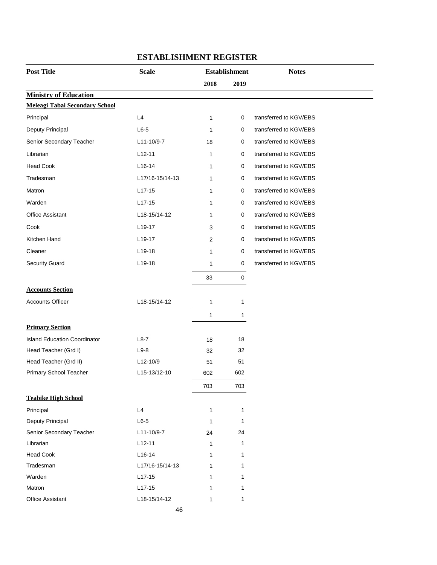| <b>Post Title</b>                     | <b>Scale</b>    |              | <b>Establishment</b> | <b>Notes</b>           |
|---------------------------------------|-----------------|--------------|----------------------|------------------------|
|                                       |                 | 2018         | 2019                 |                        |
| <b>Ministry of Education</b>          |                 |              |                      |                        |
| <b>Meleagi Tabai Secondary School</b> |                 |              |                      |                        |
| Principal                             | L4              | $\mathbf{1}$ | 0                    | transferred to KGV/EBS |
| Deputy Principal                      | $L6-5$          | 1            | 0                    | transferred to KGV/EBS |
| Senior Secondary Teacher              | L11-10/9-7      | 18           | 0                    | transferred to KGV/EBS |
| Librarian                             | $L12-11$        | 1            | 0                    | transferred to KGV/EBS |
| <b>Head Cook</b>                      | $L16-14$        | 1            | 0                    | transferred to KGV/EBS |
| Tradesman                             | L17/16-15/14-13 | 1            | 0                    | transferred to KGV/EBS |
| Matron                                | $L17-15$        | 1            | 0                    | transferred to KGV/EBS |
| Warden                                | $L17-15$        | 1            | 0                    | transferred to KGV/EBS |
| <b>Office Assistant</b>               | L18-15/14-12    | 1            | 0                    | transferred to KGV/EBS |
| Cook                                  | L19-17          | 3            | 0                    | transferred to KGV/EBS |
| Kitchen Hand                          | $L19-17$        | 2            | 0                    | transferred to KGV/EBS |
| Cleaner                               | L19-18          | 1            | 0                    | transferred to KGV/EBS |
| <b>Security Guard</b>                 | L19-18          | 1            | 0                    | transferred to KGV/EBS |
|                                       |                 | 33           | $\pmb{0}$            |                        |
| <b>Accounts Section</b>               |                 |              |                      |                        |
| <b>Accounts Officer</b>               | L18-15/14-12    | 1            | 1                    |                        |
|                                       |                 | $\mathbf{1}$ | 1                    |                        |
| <b>Primary Section</b>                |                 |              |                      |                        |
| <b>Island Education Coordinator</b>   | $L8-7$          | 18           | 18                   |                        |
| Head Teacher (Grd I)                  | $L9-8$          | 32           | 32                   |                        |
| Head Teacher (Grd II)                 | L12-10/9        | 51           | 51                   |                        |
| Primary School Teacher                | L15-13/12-10    | 602          | 602                  |                        |
|                                       |                 | 703          | 703                  |                        |
| <b>Teabike High School</b>            |                 |              |                      |                        |
| Principal                             | L4              | 1            | 1                    |                        |
| Deputy Principal                      | $L6-5$          | $\mathbf{1}$ | 1                    |                        |
| Senior Secondary Teacher              | L11-10/9-7      | 24           | 24                   |                        |
| Librarian                             | $L12-11$        | 1            | 1                    |                        |
| <b>Head Cook</b>                      | $L16-14$        | 1            | 1                    |                        |
| Tradesman                             | L17/16-15/14-13 | 1            | 1                    |                        |
| Warden                                | $L17-15$        | 1            | 1                    |                        |
| Matron                                | $L17-15$        | 1            | 1                    |                        |
| <b>Office Assistant</b>               | L18-15/14-12    | 1            | 1                    |                        |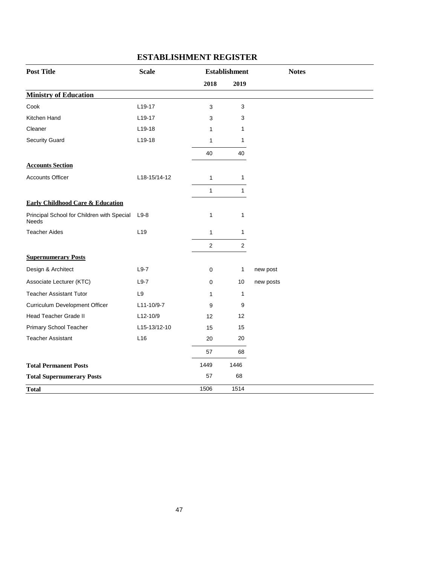| <b>Post Title</b>                                   | <b>Scale</b>        |                | <b>Establishment</b> | <b>Notes</b> |
|-----------------------------------------------------|---------------------|----------------|----------------------|--------------|
|                                                     |                     | 2018           | 2019                 |              |
| <b>Ministry of Education</b>                        |                     |                |                      |              |
| Cook                                                | L <sub>19</sub> -17 | 3              | 3                    |              |
| Kitchen Hand                                        | L19-17              | 3              | 3                    |              |
| Cleaner                                             | L19-18              | 1              | 1                    |              |
| <b>Security Guard</b>                               | L19-18              | 1              | 1                    |              |
|                                                     |                     | 40             | 40                   |              |
| <b>Accounts Section</b>                             |                     |                |                      |              |
| <b>Accounts Officer</b>                             | L18-15/14-12        | $\mathbf{1}$   | $\mathbf{1}$         |              |
|                                                     |                     | $\mathbf{1}$   | $\mathbf{1}$         |              |
| <b>Early Childhood Care &amp; Education</b>         |                     |                |                      |              |
| Principal School for Children with Special<br>Needs | $L9-8$              | $\mathbf{1}$   | 1                    |              |
| <b>Teacher Aides</b>                                | L <sub>19</sub>     | $\mathbf{1}$   | $\mathbf{1}$         |              |
|                                                     |                     | $\overline{c}$ | $\overline{c}$       |              |
| <b>Supernumerary Posts</b>                          |                     |                |                      |              |
| Design & Architect                                  | $L9-7$              | 0              | $\mathbf{1}$         | new post     |
| Associate Lecturer (KTC)                            | $L9-7$              | $\Omega$       | 10                   | new posts    |
| <b>Teacher Assistant Tutor</b>                      | L9                  | 1              | $\mathbf{1}$         |              |
| Curriculum Development Officer                      | L11-10/9-7          | 9              | 9                    |              |
| <b>Head Teacher Grade II</b>                        | L12-10/9            | 12             | 12                   |              |
| Primary School Teacher                              | L15-13/12-10        | 15             | 15                   |              |
| <b>Teacher Assistant</b>                            | L16                 | 20             | 20                   |              |
|                                                     |                     | 57             | 68                   |              |
| <b>Total Permanent Posts</b>                        |                     | 1449           | 1446                 |              |
| <b>Total Supernumerary Posts</b>                    |                     | 57             | 68                   |              |
| <b>Total</b>                                        |                     | 1506           | 1514                 |              |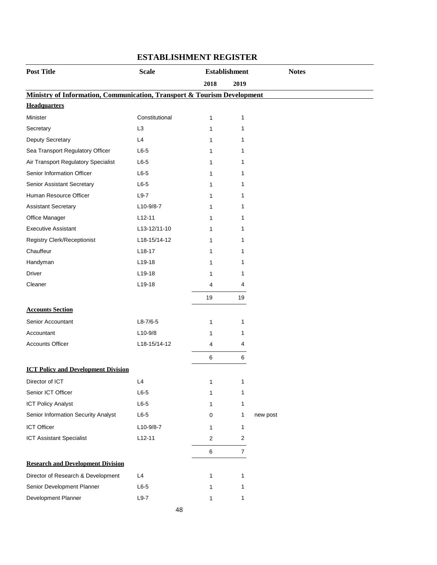| 2018<br>2019<br>Ministry of Information, Communication, Transport & Tourism Development<br><b>Headquarters</b><br>Minister<br>Constitutional<br>$\mathbf{1}$<br>$\mathbf{1}$<br>L <sub>3</sub><br>Secretary<br>1<br>1<br><b>Deputy Secretary</b><br>L4<br>1<br>1<br>Sea Transport Regulatory Officer<br>$L6-5$<br>1<br>1<br>Air Transport Regulatory Specialist<br>$L6-5$<br>1<br>1<br>Senior Information Officer<br>$L6-5$<br>1<br>1<br>$L6-5$<br>Senior Assistant Secretary<br>1<br>1<br>Human Resource Officer<br>$L9-7$<br>1<br>1<br><b>Assistant Secretary</b><br>$L10-9/8-7$<br>1<br>1<br>Office Manager<br>$L12-11$<br>1<br>1<br><b>Executive Assistant</b><br>L13-12/11-10<br>1<br>1<br>Registry Clerk/Receptionist<br>L18-15/14-12<br>1<br>1<br>Chauffeur<br>$L18-17$<br>1<br>1<br>Handyman<br>$L19-18$<br>1<br>1<br>Driver<br>L19-18<br>1<br>1<br>Cleaner<br>L19-18<br>4<br>4<br>19<br>19<br><b>Accounts Section</b><br>Senior Accountant<br>$L8-7/6-5$<br>1<br>1<br>$L10-9/8$<br>Accountant<br>1<br>1<br>L18-15/14-12<br><b>Accounts Officer</b><br>4<br>4<br>6<br>6<br><b>ICT Policy and Development Division</b><br>Director of ICT<br>L4<br>1<br>Senior ICT Officer<br>$L6-5$<br>1<br>1<br><b>ICT Policy Analyst</b><br>$L6-5$<br>1<br>1<br>Senior Information Security Analyst<br>$L6-5$<br>1<br>0<br><b>ICT Officer</b><br>L10-9/8-7<br>1<br>1<br><b>ICT Assistant Specialist</b><br>$L12-11$<br>$\overline{2}$<br>2<br>6<br>$\overline{7}$<br><b>Research and Development Division</b><br>Director of Research & Development<br>L4<br>1<br>1<br>Senior Development Planner<br>$L6-5$<br>1<br>1<br>Development Planner<br>$L9-7$<br>1<br>1 | <b>Post Title</b> | <b>Scale</b> | <b>Establishment</b> |          |  |
|------------------------------------------------------------------------------------------------------------------------------------------------------------------------------------------------------------------------------------------------------------------------------------------------------------------------------------------------------------------------------------------------------------------------------------------------------------------------------------------------------------------------------------------------------------------------------------------------------------------------------------------------------------------------------------------------------------------------------------------------------------------------------------------------------------------------------------------------------------------------------------------------------------------------------------------------------------------------------------------------------------------------------------------------------------------------------------------------------------------------------------------------------------------------------------------------------------------------------------------------------------------------------------------------------------------------------------------------------------------------------------------------------------------------------------------------------------------------------------------------------------------------------------------------------------------------------------------------------------------------------------------------------------|-------------------|--------------|----------------------|----------|--|
|                                                                                                                                                                                                                                                                                                                                                                                                                                                                                                                                                                                                                                                                                                                                                                                                                                                                                                                                                                                                                                                                                                                                                                                                                                                                                                                                                                                                                                                                                                                                                                                                                                                            |                   |              |                      |          |  |
|                                                                                                                                                                                                                                                                                                                                                                                                                                                                                                                                                                                                                                                                                                                                                                                                                                                                                                                                                                                                                                                                                                                                                                                                                                                                                                                                                                                                                                                                                                                                                                                                                                                            |                   |              |                      |          |  |
|                                                                                                                                                                                                                                                                                                                                                                                                                                                                                                                                                                                                                                                                                                                                                                                                                                                                                                                                                                                                                                                                                                                                                                                                                                                                                                                                                                                                                                                                                                                                                                                                                                                            |                   |              |                      |          |  |
|                                                                                                                                                                                                                                                                                                                                                                                                                                                                                                                                                                                                                                                                                                                                                                                                                                                                                                                                                                                                                                                                                                                                                                                                                                                                                                                                                                                                                                                                                                                                                                                                                                                            |                   |              |                      |          |  |
|                                                                                                                                                                                                                                                                                                                                                                                                                                                                                                                                                                                                                                                                                                                                                                                                                                                                                                                                                                                                                                                                                                                                                                                                                                                                                                                                                                                                                                                                                                                                                                                                                                                            |                   |              |                      |          |  |
|                                                                                                                                                                                                                                                                                                                                                                                                                                                                                                                                                                                                                                                                                                                                                                                                                                                                                                                                                                                                                                                                                                                                                                                                                                                                                                                                                                                                                                                                                                                                                                                                                                                            |                   |              |                      |          |  |
|                                                                                                                                                                                                                                                                                                                                                                                                                                                                                                                                                                                                                                                                                                                                                                                                                                                                                                                                                                                                                                                                                                                                                                                                                                                                                                                                                                                                                                                                                                                                                                                                                                                            |                   |              |                      |          |  |
|                                                                                                                                                                                                                                                                                                                                                                                                                                                                                                                                                                                                                                                                                                                                                                                                                                                                                                                                                                                                                                                                                                                                                                                                                                                                                                                                                                                                                                                                                                                                                                                                                                                            |                   |              |                      |          |  |
|                                                                                                                                                                                                                                                                                                                                                                                                                                                                                                                                                                                                                                                                                                                                                                                                                                                                                                                                                                                                                                                                                                                                                                                                                                                                                                                                                                                                                                                                                                                                                                                                                                                            |                   |              |                      |          |  |
|                                                                                                                                                                                                                                                                                                                                                                                                                                                                                                                                                                                                                                                                                                                                                                                                                                                                                                                                                                                                                                                                                                                                                                                                                                                                                                                                                                                                                                                                                                                                                                                                                                                            |                   |              |                      |          |  |
|                                                                                                                                                                                                                                                                                                                                                                                                                                                                                                                                                                                                                                                                                                                                                                                                                                                                                                                                                                                                                                                                                                                                                                                                                                                                                                                                                                                                                                                                                                                                                                                                                                                            |                   |              |                      |          |  |
|                                                                                                                                                                                                                                                                                                                                                                                                                                                                                                                                                                                                                                                                                                                                                                                                                                                                                                                                                                                                                                                                                                                                                                                                                                                                                                                                                                                                                                                                                                                                                                                                                                                            |                   |              |                      |          |  |
|                                                                                                                                                                                                                                                                                                                                                                                                                                                                                                                                                                                                                                                                                                                                                                                                                                                                                                                                                                                                                                                                                                                                                                                                                                                                                                                                                                                                                                                                                                                                                                                                                                                            |                   |              |                      |          |  |
|                                                                                                                                                                                                                                                                                                                                                                                                                                                                                                                                                                                                                                                                                                                                                                                                                                                                                                                                                                                                                                                                                                                                                                                                                                                                                                                                                                                                                                                                                                                                                                                                                                                            |                   |              |                      |          |  |
|                                                                                                                                                                                                                                                                                                                                                                                                                                                                                                                                                                                                                                                                                                                                                                                                                                                                                                                                                                                                                                                                                                                                                                                                                                                                                                                                                                                                                                                                                                                                                                                                                                                            |                   |              |                      |          |  |
|                                                                                                                                                                                                                                                                                                                                                                                                                                                                                                                                                                                                                                                                                                                                                                                                                                                                                                                                                                                                                                                                                                                                                                                                                                                                                                                                                                                                                                                                                                                                                                                                                                                            |                   |              |                      |          |  |
|                                                                                                                                                                                                                                                                                                                                                                                                                                                                                                                                                                                                                                                                                                                                                                                                                                                                                                                                                                                                                                                                                                                                                                                                                                                                                                                                                                                                                                                                                                                                                                                                                                                            |                   |              |                      |          |  |
|                                                                                                                                                                                                                                                                                                                                                                                                                                                                                                                                                                                                                                                                                                                                                                                                                                                                                                                                                                                                                                                                                                                                                                                                                                                                                                                                                                                                                                                                                                                                                                                                                                                            |                   |              |                      |          |  |
|                                                                                                                                                                                                                                                                                                                                                                                                                                                                                                                                                                                                                                                                                                                                                                                                                                                                                                                                                                                                                                                                                                                                                                                                                                                                                                                                                                                                                                                                                                                                                                                                                                                            |                   |              |                      |          |  |
|                                                                                                                                                                                                                                                                                                                                                                                                                                                                                                                                                                                                                                                                                                                                                                                                                                                                                                                                                                                                                                                                                                                                                                                                                                                                                                                                                                                                                                                                                                                                                                                                                                                            |                   |              |                      |          |  |
|                                                                                                                                                                                                                                                                                                                                                                                                                                                                                                                                                                                                                                                                                                                                                                                                                                                                                                                                                                                                                                                                                                                                                                                                                                                                                                                                                                                                                                                                                                                                                                                                                                                            |                   |              |                      |          |  |
|                                                                                                                                                                                                                                                                                                                                                                                                                                                                                                                                                                                                                                                                                                                                                                                                                                                                                                                                                                                                                                                                                                                                                                                                                                                                                                                                                                                                                                                                                                                                                                                                                                                            |                   |              |                      |          |  |
|                                                                                                                                                                                                                                                                                                                                                                                                                                                                                                                                                                                                                                                                                                                                                                                                                                                                                                                                                                                                                                                                                                                                                                                                                                                                                                                                                                                                                                                                                                                                                                                                                                                            |                   |              |                      |          |  |
|                                                                                                                                                                                                                                                                                                                                                                                                                                                                                                                                                                                                                                                                                                                                                                                                                                                                                                                                                                                                                                                                                                                                                                                                                                                                                                                                                                                                                                                                                                                                                                                                                                                            |                   |              |                      |          |  |
|                                                                                                                                                                                                                                                                                                                                                                                                                                                                                                                                                                                                                                                                                                                                                                                                                                                                                                                                                                                                                                                                                                                                                                                                                                                                                                                                                                                                                                                                                                                                                                                                                                                            |                   |              |                      |          |  |
|                                                                                                                                                                                                                                                                                                                                                                                                                                                                                                                                                                                                                                                                                                                                                                                                                                                                                                                                                                                                                                                                                                                                                                                                                                                                                                                                                                                                                                                                                                                                                                                                                                                            |                   |              |                      |          |  |
|                                                                                                                                                                                                                                                                                                                                                                                                                                                                                                                                                                                                                                                                                                                                                                                                                                                                                                                                                                                                                                                                                                                                                                                                                                                                                                                                                                                                                                                                                                                                                                                                                                                            |                   |              |                      |          |  |
|                                                                                                                                                                                                                                                                                                                                                                                                                                                                                                                                                                                                                                                                                                                                                                                                                                                                                                                                                                                                                                                                                                                                                                                                                                                                                                                                                                                                                                                                                                                                                                                                                                                            |                   |              |                      |          |  |
|                                                                                                                                                                                                                                                                                                                                                                                                                                                                                                                                                                                                                                                                                                                                                                                                                                                                                                                                                                                                                                                                                                                                                                                                                                                                                                                                                                                                                                                                                                                                                                                                                                                            |                   |              |                      |          |  |
|                                                                                                                                                                                                                                                                                                                                                                                                                                                                                                                                                                                                                                                                                                                                                                                                                                                                                                                                                                                                                                                                                                                                                                                                                                                                                                                                                                                                                                                                                                                                                                                                                                                            |                   |              |                      | new post |  |
|                                                                                                                                                                                                                                                                                                                                                                                                                                                                                                                                                                                                                                                                                                                                                                                                                                                                                                                                                                                                                                                                                                                                                                                                                                                                                                                                                                                                                                                                                                                                                                                                                                                            |                   |              |                      |          |  |
|                                                                                                                                                                                                                                                                                                                                                                                                                                                                                                                                                                                                                                                                                                                                                                                                                                                                                                                                                                                                                                                                                                                                                                                                                                                                                                                                                                                                                                                                                                                                                                                                                                                            |                   |              |                      |          |  |
|                                                                                                                                                                                                                                                                                                                                                                                                                                                                                                                                                                                                                                                                                                                                                                                                                                                                                                                                                                                                                                                                                                                                                                                                                                                                                                                                                                                                                                                                                                                                                                                                                                                            |                   |              |                      |          |  |
|                                                                                                                                                                                                                                                                                                                                                                                                                                                                                                                                                                                                                                                                                                                                                                                                                                                                                                                                                                                                                                                                                                                                                                                                                                                                                                                                                                                                                                                                                                                                                                                                                                                            |                   |              |                      |          |  |
|                                                                                                                                                                                                                                                                                                                                                                                                                                                                                                                                                                                                                                                                                                                                                                                                                                                                                                                                                                                                                                                                                                                                                                                                                                                                                                                                                                                                                                                                                                                                                                                                                                                            |                   |              |                      |          |  |
|                                                                                                                                                                                                                                                                                                                                                                                                                                                                                                                                                                                                                                                                                                                                                                                                                                                                                                                                                                                                                                                                                                                                                                                                                                                                                                                                                                                                                                                                                                                                                                                                                                                            |                   |              |                      |          |  |
|                                                                                                                                                                                                                                                                                                                                                                                                                                                                                                                                                                                                                                                                                                                                                                                                                                                                                                                                                                                                                                                                                                                                                                                                                                                                                                                                                                                                                                                                                                                                                                                                                                                            |                   |              |                      |          |  |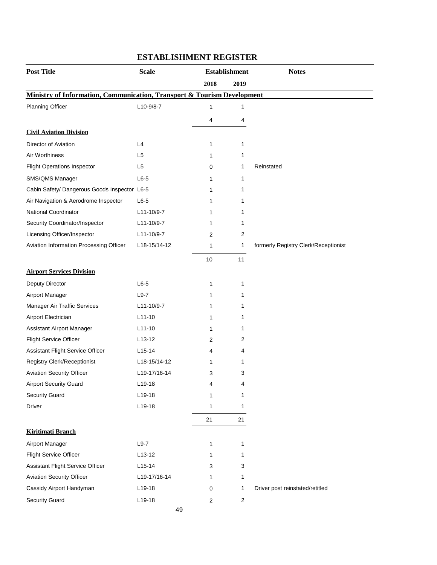| <b>Post Title</b>                                                                  | <b>Scale</b>        | <b>Establishment</b>    |                | <b>Notes</b>                         |
|------------------------------------------------------------------------------------|---------------------|-------------------------|----------------|--------------------------------------|
|                                                                                    |                     | 2018                    | 2019           |                                      |
| <b>Ministry of Information, Communication, Transport &amp; Tourism Development</b> |                     |                         |                |                                      |
| <b>Planning Officer</b>                                                            | L10-9/8-7           | 1                       | 1              |                                      |
|                                                                                    |                     | 4                       | 4              |                                      |
| <b>Civil Aviation Division</b>                                                     |                     |                         |                |                                      |
| Director of Aviation                                                               | L4                  | 1                       | 1              |                                      |
| Air Worthiness                                                                     | L <sub>5</sub>      | 1                       | 1              |                                      |
| <b>Flight Operations Inspector</b>                                                 | L <sub>5</sub>      | 0                       | 1              | Reinstated                           |
| SMS/QMS Manager                                                                    | $L6-5$              | 1                       | 1              |                                      |
| Cabin Safety/ Dangerous Goods Inspector L6-5                                       |                     | 1                       | 1              |                                      |
| Air Navigation & Aerodrome Inspector                                               | $L6-5$              | 1                       | 1              |                                      |
| National Coordinator                                                               | L11-10/9-7          | 1                       | 1              |                                      |
| Security Coordinator/Inspector                                                     | L11-10/9-7          | 1                       | 1              |                                      |
| Licensing Officer/Inspector                                                        | L11-10/9-7          | 2                       | 2              |                                      |
| Aviation Information Processing Officer                                            | L18-15/14-12        | 1                       | 1              | formerly Registry Clerk/Receptionist |
|                                                                                    |                     | 10                      | 11             |                                      |
| <b>Airport Services Division</b>                                                   |                     |                         |                |                                      |
| Deputy Director                                                                    | $L6-5$              | 1                       | 1              |                                      |
| Airport Manager                                                                    | $L9-7$              | 1                       | 1              |                                      |
| Manager Air Traffic Services                                                       | L11-10/9-7          | 1                       | 1              |                                      |
| Airport Electrician                                                                | $L11-10$            | 1                       | 1              |                                      |
| Assistant Airport Manager                                                          | $L11-10$            | 1                       | 1              |                                      |
| <b>Flight Service Officer</b>                                                      | L <sub>13</sub> -12 | 2                       | 2              |                                      |
| Assistant Flight Service Officer                                                   | L <sub>15</sub> -14 | 4                       | 4              |                                      |
| Registry Clerk/Receptionist                                                        | L18-15/14-12        | 1                       | 1              |                                      |
| <b>Aviation Security Officer</b>                                                   | L19-17/16-14        | 3                       | 3              |                                      |
| <b>Airport Security Guard</b>                                                      | L19-18              | 4                       | 4              |                                      |
| <b>Security Guard</b>                                                              | L19-18              | 1                       | 1              |                                      |
| Driver                                                                             | L19-18              | 1                       | 1              |                                      |
|                                                                                    |                     | 21                      | 21             |                                      |
| <b>Kiritimati Branch</b>                                                           |                     |                         |                |                                      |
| Airport Manager                                                                    | $L9-7$              | 1                       | 1              |                                      |
| <b>Flight Service Officer</b>                                                      | $L13-12$            | 1                       | 1              |                                      |
| Assistant Flight Service Officer                                                   | $L15-14$            | 3                       | 3              |                                      |
| <b>Aviation Security Officer</b>                                                   | L19-17/16-14        | 1                       | 1              |                                      |
| Cassidy Airport Handyman                                                           | L19-18              | 0                       | 1              | Driver post reinstated/retitled      |
| <b>Security Guard</b>                                                              | L19-18              | $\overline{\mathbf{c}}$ | $\overline{c}$ |                                      |
|                                                                                    | 49                  |                         |                |                                      |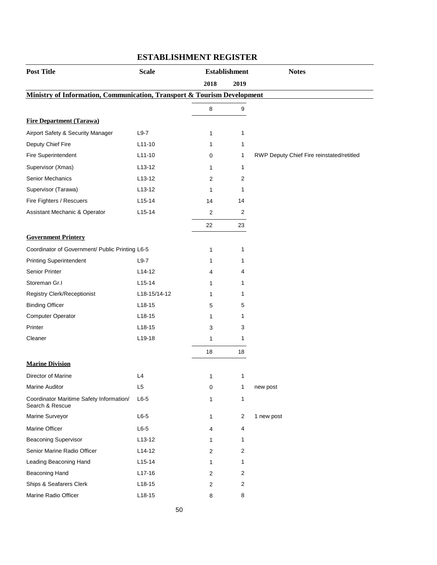| <b>Post Title</b>                                                       | <b>Scale</b>   | <b>Establishment</b> |                  | <b>Notes</b>                              |
|-------------------------------------------------------------------------|----------------|----------------------|------------------|-------------------------------------------|
|                                                                         |                | 2018                 | 2019             |                                           |
| Ministry of Information, Communication, Transport & Tourism Development |                |                      |                  |                                           |
|                                                                         |                | 8                    | $\boldsymbol{9}$ |                                           |
| <b>Fire Department (Tarawa)</b>                                         |                |                      |                  |                                           |
| Airport Safety & Security Manager                                       | $L9-7$         | 1                    | 1                |                                           |
| Deputy Chief Fire                                                       | $L11-10$       | 1                    | 1                |                                           |
| Fire Superintendent                                                     | $L11-10$       | 0                    | 1                | RWP Deputy Chief Fire reinstated/retitled |
| Supervisor (Xmas)                                                       | $L$ 13-12      | 1                    | 1                |                                           |
| Senior Mechanics                                                        | $L13-12$       | 2                    | 2                |                                           |
| Supervisor (Tarawa)                                                     | $L13-12$       | 1                    | 1                |                                           |
| Fire Fighters / Rescuers                                                | $L15-14$       | 14                   | 14               |                                           |
| Assistant Mechanic & Operator                                           | $L15-14$       | $\overline{2}$       | $\overline{2}$   |                                           |
|                                                                         |                | 22                   | 23               |                                           |
| <b>Government Printery</b>                                              |                |                      |                  |                                           |
| Coordinator of Government/ Public Printing L6-5                         |                | 1                    | 1                |                                           |
| <b>Printing Superintendent</b>                                          | $L9-7$         | 1                    | 1                |                                           |
| Senior Printer                                                          | $L14-12$       | 4                    | 4                |                                           |
| Storeman Gr.I                                                           | $L15-14$       | 1                    | 1                |                                           |
| Registry Clerk/Receptionist                                             | L18-15/14-12   | 1                    | 1                |                                           |
| <b>Binding Officer</b>                                                  | $L18-15$       | 5                    | 5                |                                           |
| <b>Computer Operator</b>                                                | $L18-15$       | 1                    | 1                |                                           |
| Printer                                                                 | $L18-15$       | 3                    | 3                |                                           |
| Cleaner                                                                 | L19-18         | 1                    | 1                |                                           |
|                                                                         |                | 18                   | 18               |                                           |
| <b>Marine Division</b>                                                  |                |                      |                  |                                           |
| Director of Marine                                                      | L4             | 1                    | 1                |                                           |
| <b>Marine Auditor</b>                                                   | L <sub>5</sub> | 0                    | 1                | new post                                  |
| Coordinator Maritime Safety Information/<br>Search & Rescue             | $L6-5$         | 1                    | 1                |                                           |
| Marine Surveyor                                                         | $L6-5$         | 1                    | 2                | 1 new post                                |
| Marine Officer                                                          | $L6-5$         | 4                    | 4                |                                           |
| <b>Beaconing Supervisor</b>                                             | $L13-12$       | 1                    | 1                |                                           |
| Senior Marine Radio Officer                                             | $L14-12$       | 2                    | 2                |                                           |
| Leading Beaconing Hand                                                  | $L15-14$       | 1                    | 1                |                                           |
| <b>Beaconing Hand</b>                                                   | $L17-16$       | 2                    | 2                |                                           |
| Ships & Seafarers Clerk                                                 | $L18-15$       | 2                    | 2                |                                           |
| Marine Radio Officer                                                    | $L18-15$       | 8                    | 8                |                                           |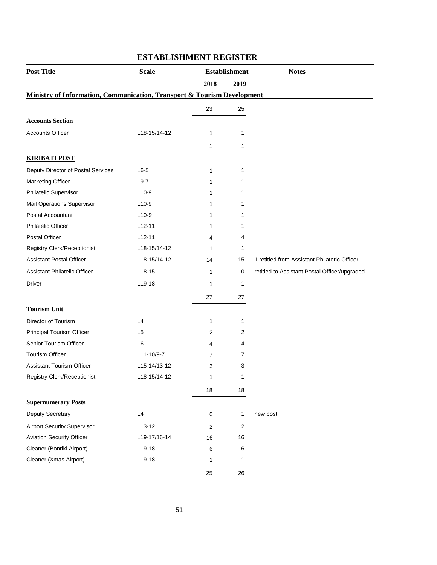| <b>Post Title</b>                                                                  | <b>Scale</b>   |                | <b>Establishment</b> | <b>Notes</b>                                  |
|------------------------------------------------------------------------------------|----------------|----------------|----------------------|-----------------------------------------------|
|                                                                                    |                | 2018           | 2019                 |                                               |
| <b>Ministry of Information, Communication, Transport &amp; Tourism Development</b> |                |                |                      |                                               |
|                                                                                    |                | 23             | 25                   |                                               |
| <b>Accounts Section</b>                                                            |                |                |                      |                                               |
| <b>Accounts Officer</b>                                                            | L18-15/14-12   | $\mathbf{1}$   | 1                    |                                               |
|                                                                                    |                | $\mathbf{1}$   | 1                    |                                               |
| <b>KIRIBATI POST</b>                                                               |                |                |                      |                                               |
| Deputy Director of Postal Services                                                 | $L6-5$         | 1              | 1                    |                                               |
| Marketing Officer                                                                  | $L9-7$         | 1              | 1                    |                                               |
| Philatelic Supervisor                                                              | $L10-9$        | 1              | 1                    |                                               |
| Mail Operations Supervisor                                                         | $L10-9$        | 1              | 1                    |                                               |
| Postal Accountant                                                                  | $L10-9$        | 1              | 1                    |                                               |
| <b>Philatelic Officer</b>                                                          | $L12-11$       | 1              | 1                    |                                               |
| Postal Officer                                                                     | $L12-11$       | 4              | 4                    |                                               |
| <b>Registry Clerk/Receptionist</b>                                                 | L18-15/14-12   | 1              | 1                    |                                               |
| <b>Assistant Postal Officer</b>                                                    | L18-15/14-12   | 14             | 15                   | 1 retitled from Assistant Philateric Officer  |
| Assistant Philatelic Officer                                                       | $L18-15$       | $\mathbf 1$    | 0                    | retitled to Assistant Postal Officer/upgraded |
| Driver                                                                             | L19-18         | $\mathbf{1}$   | $\mathbf{1}$         |                                               |
|                                                                                    |                | 27             | 27                   |                                               |
| <b>Tourism Unit</b>                                                                |                |                |                      |                                               |
| Director of Tourism                                                                | L4             | 1              | 1                    |                                               |
| Principal Tourism Officer                                                          | L <sub>5</sub> | 2              | 2                    |                                               |
| Senior Tourism Officer                                                             | L6             | 4              | 4                    |                                               |
| <b>Tourism Officer</b>                                                             | L11-10/9-7     | $\overline{7}$ | $\overline{7}$       |                                               |
| <b>Assistant Tourism Officer</b>                                                   | L15-14/13-12   | 3              | 3                    |                                               |
| Registry Clerk/Receptionist                                                        | L18-15/14-12   | 1              | 1                    |                                               |
|                                                                                    |                | $18\,$         | $18$                 |                                               |
| <b>Supernumerary Posts</b>                                                         |                |                |                      |                                               |
| Deputy Secretary                                                                   | L4             | $\mathbf 0$    | 1                    | new post                                      |
| <b>Airport Security Supervisor</b>                                                 | $L13-12$       | $\sqrt{2}$     | $\overline{2}$       |                                               |
| <b>Aviation Security Officer</b>                                                   | L19-17/16-14   | 16             | 16                   |                                               |
| Cleaner (Bonriki Airport)                                                          | L19-18         | 6              | 6                    |                                               |
| Cleaner (Xmas Airport)                                                             | L19-18         | 1              | $\mathbf{1}$         |                                               |
|                                                                                    |                | 25             | 26                   |                                               |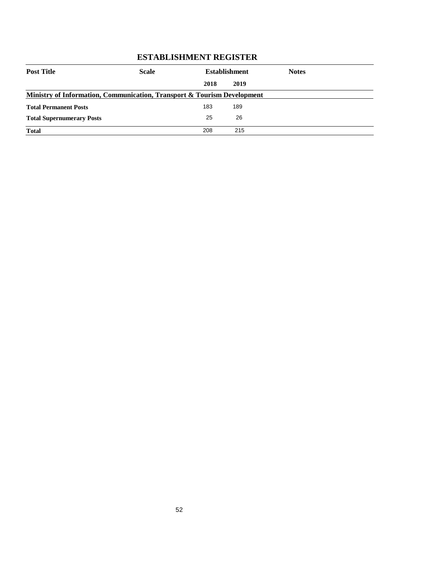| <b>Post Title</b>                                                       | <b>Scale</b> | <b>Establishment</b> |      | <b>Notes</b> |
|-------------------------------------------------------------------------|--------------|----------------------|------|--------------|
|                                                                         |              | 2018                 | 2019 |              |
| Ministry of Information, Communication, Transport & Tourism Development |              |                      |      |              |
| <b>Total Permanent Posts</b>                                            |              | 183                  | 189  |              |
| <b>Total Supernumerary Posts</b>                                        |              | 25                   | 26   |              |
| <b>Total</b>                                                            |              | 208                  | 215  |              |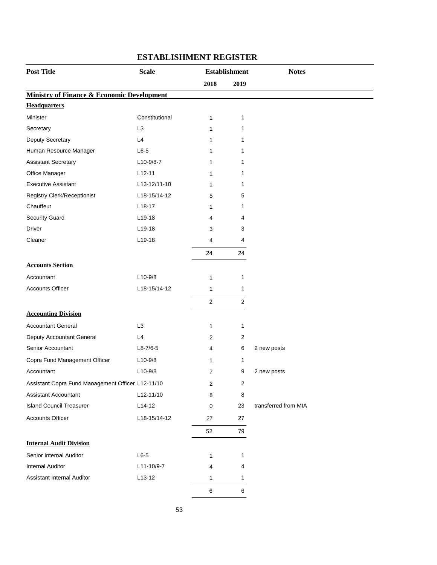| <b>Post Title</b>                                     | <b>Scale</b>   |                         | <b>Establishment</b> | <b>Notes</b>         |
|-------------------------------------------------------|----------------|-------------------------|----------------------|----------------------|
|                                                       |                | 2018                    | 2019                 |                      |
| <b>Ministry of Finance &amp; Economic Development</b> |                |                         |                      |                      |
| <b>Headquarters</b>                                   |                |                         |                      |                      |
| Minister                                              | Constitutional | 1                       | 1                    |                      |
| Secretary                                             | L <sub>3</sub> | 1                       | 1                    |                      |
| Deputy Secretary                                      | L4             | 1                       | 1                    |                      |
| Human Resource Manager                                | $L6-5$         | 1                       | 1                    |                      |
| <b>Assistant Secretary</b>                            | L10-9/8-7      | 1                       | 1                    |                      |
| Office Manager                                        | $L12-11$       | 1                       | 1                    |                      |
| <b>Executive Assistant</b>                            | L13-12/11-10   | 1                       | 1                    |                      |
| <b>Registry Clerk/Receptionist</b>                    | L18-15/14-12   | 5                       | 5                    |                      |
| Chauffeur                                             | $L18-17$       | 1                       | 1                    |                      |
| Security Guard                                        | L19-18         | 4                       | 4                    |                      |
| <b>Driver</b>                                         | L19-18         | 3                       | 3                    |                      |
| Cleaner                                               | L19-18         | 4                       | 4                    |                      |
|                                                       |                | 24                      | 24                   |                      |
| <b>Accounts Section</b>                               |                |                         |                      |                      |
| Accountant                                            | $L10-9/8$      | 1                       | 1                    |                      |
| <b>Accounts Officer</b>                               | L18-15/14-12   | 1                       | 1                    |                      |
|                                                       |                | $\overline{c}$          | $\overline{c}$       |                      |
| <b>Accounting Division</b>                            |                |                         |                      |                      |
| <b>Accountant General</b>                             | L <sub>3</sub> | $\mathbf{1}$            | 1                    |                      |
| Deputy Accountant General                             | L4             | 2                       | $\overline{2}$       |                      |
| Senior Accountant                                     | $L8 - 7/6 - 5$ | 4                       | 6                    | 2 new posts          |
| Copra Fund Management Officer                         | $L10-9/8$      | 1                       | $\mathbf{1}$         |                      |
| Accountant                                            | $L10-9/8$      | 7                       | 9                    | 2 new posts          |
| Assistant Copra Fund Management Officer L12-11/10     |                | $\overline{\mathbf{c}}$ | 2                    |                      |
| <b>Assistant Accountant</b>                           | L12-11/10      | 8                       | 8                    |                      |
| <b>Island Council Treasurer</b>                       | $L14-12$       | $\pmb{0}$               | 23                   | transferred from MIA |
| <b>Accounts Officer</b>                               | L18-15/14-12   | 27                      | 27                   |                      |
|                                                       |                |                         |                      |                      |
|                                                       |                | 52                      | 79                   |                      |
| <b>Internal Audit Division</b>                        |                |                         |                      |                      |
| Senior Internal Auditor                               | $L6-5$         | 1                       | $\mathbf{1}$         |                      |
| <b>Internal Auditor</b>                               | L11-10/9-7     | 4                       | 4                    |                      |
| Assistant Internal Auditor                            | $L13-12$       | 1                       | 1                    |                      |
|                                                       |                | 6                       | 6                    |                      |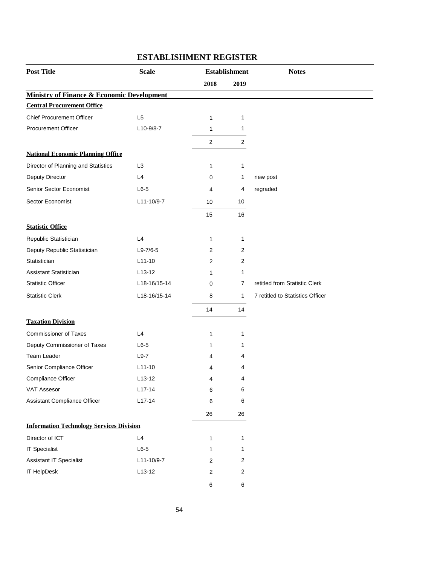| <b>Post Title</b>                                     | <b>Scale</b><br><b>Establishment</b> |                | <b>Notes</b> |                                  |
|-------------------------------------------------------|--------------------------------------|----------------|--------------|----------------------------------|
|                                                       |                                      | 2018           | 2019         |                                  |
| <b>Ministry of Finance &amp; Economic Development</b> |                                      |                |              |                                  |
| <b>Central Procurement Office</b>                     |                                      |                |              |                                  |
| <b>Chief Procurement Officer</b>                      | L <sub>5</sub>                       | 1              | 1            |                                  |
| <b>Procurement Officer</b>                            | $L10-9/8-7$                          | 1              | 1            |                                  |
|                                                       |                                      | $\overline{c}$ | 2            |                                  |
| <b>National Economic Planning Office</b>              |                                      |                |              |                                  |
| Director of Planning and Statistics                   | L <sub>3</sub>                       | 1              | 1            |                                  |
| Deputy Director                                       | L4                                   | 0              | 1            | new post                         |
| Senior Sector Economist                               | $L6-5$                               | 4              | 4            | regraded                         |
| Sector Economist                                      | L11-10/9-7                           | 10             | 10           |                                  |
|                                                       |                                      | 15             | 16           |                                  |
| <b>Statistic Office</b>                               |                                      |                |              |                                  |
| Republic Statistician                                 | L4                                   | 1              | 1            |                                  |
| Deputy Republic Statistician                          | $L9-7/6-5$                           | 2              | 2            |                                  |
| Statistician                                          | $L11-10$                             | 2              | 2            |                                  |
| Assistant Statistician                                | $L13-12$                             | 1              | 1            |                                  |
| <b>Statistic Officer</b>                              | L18-16/15-14                         | 0              | 7            | retitled from Statistic Clerk    |
| <b>Statistic Clerk</b>                                | L18-16/15-14                         | 8              | 1            | 7 retitled to Statistics Officer |
|                                                       |                                      | 14             | 14           |                                  |
| <b>Taxation Division</b>                              |                                      |                |              |                                  |
| <b>Commissioner of Taxes</b>                          | L4                                   | 1              | 1            |                                  |
| Deputy Commissioner of Taxes                          | $L6-5$                               | 1              | 1            |                                  |
| Team Leader                                           | $L9-7$                               | 4              | 4            |                                  |
| Senior Compliance Officer                             | $L11-10$                             | 4              | 4            |                                  |
| Compliance Officer                                    | $L13-12$                             | 4              | 4            |                                  |
| <b>VAT Assesor</b>                                    | $L17-14$                             | 6              | 6            |                                  |
| Assistant Compliance Officer                          | $L17-14$                             | 6              | 6            |                                  |
|                                                       |                                      | 26             | 26           |                                  |
| <b>Information Technology Services Division</b>       |                                      |                |              |                                  |
| Director of ICT                                       | L4                                   | 1              | 1            |                                  |
| <b>IT Specialist</b>                                  | $L6-5$                               | 1              | 1            |                                  |
| <b>Assistant IT Specialist</b>                        | L11-10/9-7                           | 2              | 2            |                                  |
| IT HelpDesk                                           | $L13-12$                             | 2              | $\sqrt{2}$   |                                  |
|                                                       |                                      | $\,6\,$        | $\,6\,$      |                                  |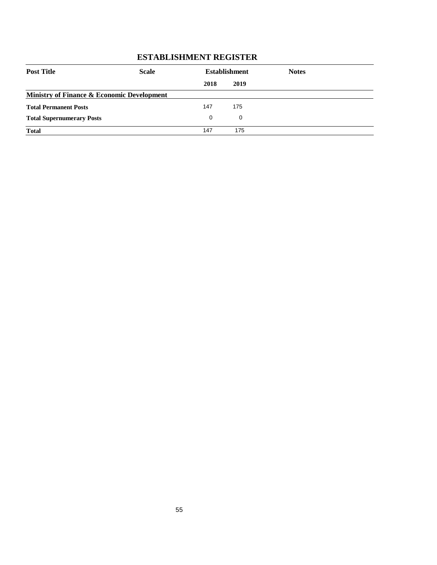| <b>Post Title</b>                          | <b>Scale</b> | <b>Establishment</b> |      | <b>Notes</b> |  |
|--------------------------------------------|--------------|----------------------|------|--------------|--|
|                                            |              | 2018                 | 2019 |              |  |
| Ministry of Finance & Economic Development |              |                      |      |              |  |
| <b>Total Permanent Posts</b>               |              | 147                  | 175  |              |  |
| <b>Total Supernumerary Posts</b>           |              | $\Omega$             | 0    |              |  |
| <b>Total</b>                               |              | 147                  | 175  |              |  |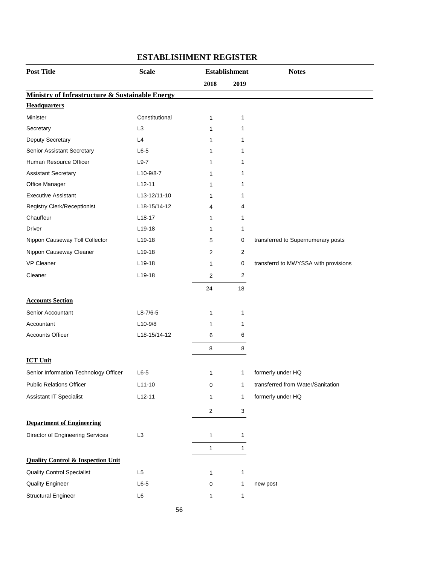| <b>Post Title</b>                                          | <b>Scale</b>   | <b>Establishment</b> |                           | <b>Notes</b>                         |
|------------------------------------------------------------|----------------|----------------------|---------------------------|--------------------------------------|
|                                                            |                | 2018                 | 2019                      |                                      |
| <b>Ministry of Infrastructure &amp; Sustainable Energy</b> |                |                      |                           |                                      |
| <b>Headquarters</b>                                        |                |                      |                           |                                      |
| Minister                                                   | Constitutional | $\mathbf{1}$         | 1                         |                                      |
| Secretary                                                  | L <sub>3</sub> | $\mathbf{1}$         | 1                         |                                      |
| Deputy Secretary                                           | L4             | 1                    | 1                         |                                      |
| Senior Assistant Secretary                                 | $L6-5$         | 1                    | 1                         |                                      |
| Human Resource Officer                                     | $L9-7$         | 1                    | 1                         |                                      |
| <b>Assistant Secretary</b>                                 | $L10-9/8-7$    | 1                    | 1                         |                                      |
| Office Manager                                             | $L12-11$       | 1                    | 1                         |                                      |
| <b>Executive Assistant</b>                                 | L13-12/11-10   | 1                    | 1                         |                                      |
| Registry Clerk/Receptionist                                | L18-15/14-12   | 4                    | 4                         |                                      |
| Chauffeur                                                  | $L18-17$       | 1                    | 1                         |                                      |
| Driver                                                     | $L19-18$       | 1                    | 1                         |                                      |
| Nippon Causeway Toll Collector                             | L19-18         | 5                    | 0                         | transferred to Supernumerary posts   |
| Nippon Causeway Cleaner                                    | L19-18         | 2                    | $\overline{c}$            |                                      |
| <b>VP Cleaner</b>                                          | $L$ 19-18      | $\mathbf{1}$         | 0                         | transferrd to MWYSSA with provisions |
| Cleaner                                                    | L19-18         | $\overline{2}$       | $\boldsymbol{2}$          |                                      |
|                                                            |                | 24                   | 18                        |                                      |
| <b>Accounts Section</b>                                    |                |                      |                           |                                      |
| Senior Accountant                                          | $L8-7/6-5$     | $\mathbf{1}$         | 1                         |                                      |
| Accountant                                                 | $L10-9/8$      | 1                    | 1                         |                                      |
| <b>Accounts Officer</b>                                    | L18-15/14-12   | $\,6$                | 6                         |                                      |
|                                                            |                | 8                    | 8                         |                                      |
| <b>ICT Unit</b>                                            |                |                      |                           |                                      |
| Senior Information Technology Officer                      | $L6-5$         | 1                    | 1                         | formerly under HQ                    |
| <b>Public Relations Officer</b>                            | $L11-10$       | $\mathbf 0$          | $\mathbf{1}$              | transferred from Water/Sanitation    |
| Assistant IT Specialist                                    | $L12-11$       | $\mathbf{1}$         | $\mathbf{1}$              | formerly under HQ                    |
|                                                            |                | $\mathbf 2$          | $\ensuremath{\mathsf{3}}$ |                                      |
| <b>Department of Engineering</b>                           |                |                      |                           |                                      |
| Director of Engineering Services                           | L <sub>3</sub> | 1                    | 1                         |                                      |
|                                                            |                | 1                    | 1                         |                                      |
| <b>Quality Control &amp; Inspection Unit</b>               |                |                      |                           |                                      |
| <b>Quality Control Specialist</b>                          | L5             | $\mathbf{1}$         | $\mathbf{1}$              |                                      |
| <b>Quality Engineer</b>                                    | $L6-5$         | 0                    | $\mathbf{1}$              | new post                             |
| <b>Structural Engineer</b>                                 | $\mathsf{L}6$  | 1                    | 1                         |                                      |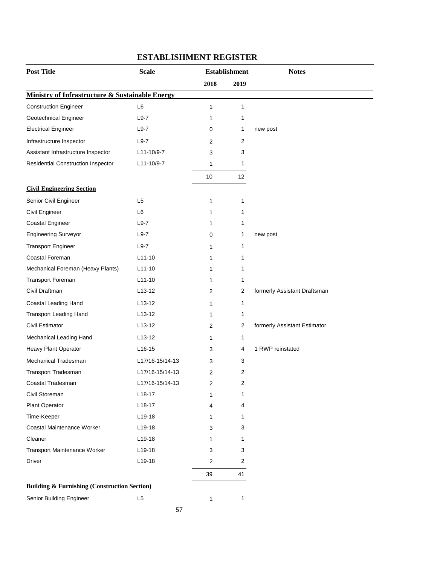| <b>Post Title</b>                                       | <b>Scale</b>        | <b>Establishment</b> |                   | <b>Notes</b>                 |
|---------------------------------------------------------|---------------------|----------------------|-------------------|------------------------------|
|                                                         |                     | 2018                 | 2019              |                              |
| Ministry of Infrastructure & Sustainable Energy         |                     |                      |                   |                              |
| <b>Construction Engineer</b>                            | L <sub>6</sub>      | 1                    | 1                 |                              |
| Geotechnical Engineer                                   | $L9-7$              | 1                    | 1                 |                              |
| <b>Electrical Engineer</b>                              | $L9-7$              | 0                    | 1                 | new post                     |
| Infrastructure Inspector                                | $L9-7$              | 2                    | 2                 |                              |
| Assistant Infrastructure Inspector                      | L11-10/9-7          | 3                    | 3                 |                              |
| Residential Construction Inspector                      | L11-10/9-7          | 1                    | 1                 |                              |
|                                                         |                     | 10                   | $12 \overline{ }$ |                              |
| <b>Civil Engineering Section</b>                        |                     |                      |                   |                              |
| Senior Civil Engineer                                   | L <sub>5</sub>      | 1                    | 1                 |                              |
| Civil Engineer                                          | L <sub>6</sub>      | 1                    | 1                 |                              |
| Coastal Engineer                                        | $L9-7$              | 1                    | 1                 |                              |
| <b>Engineering Surveyor</b>                             | $L9-7$              | 0                    | 1                 | new post                     |
| <b>Transport Engineer</b>                               | $L9-7$              | 1                    | 1                 |                              |
| Coastal Foreman                                         | $L11 - 10$          | 1                    | 1                 |                              |
| Mechanical Foreman (Heavy Plants)                       | $L11-10$            | 1                    | 1                 |                              |
| <b>Transport Foreman</b>                                | $L11-10$            | 1                    | 1                 |                              |
| Civil Draftman                                          | $L13-12$            | 2                    | 2                 | formerly Assistant Draftsman |
| Coastal Leading Hand                                    | $L13-12$            | 1                    | 1                 |                              |
| <b>Transport Leading Hand</b>                           | L <sub>13</sub> -12 | 1                    | 1                 |                              |
| Civil Estimator                                         | L <sub>13</sub> -12 | 2                    | 2                 | formerly Assistant Estimator |
| Mechanical Leading Hand                                 | $L13-12$            | 1                    | 1                 |                              |
| Heavy Plant Operator                                    | $L16-15$            | 3                    | 4                 | 1 RWP reinstated             |
| Mechanical Tradesman                                    | L17/16-15/14-13     | 3                    | 3                 |                              |
| Transport Tradesman                                     | L17/16-15/14-13     | 2                    | 2                 |                              |
| Coastal Tradesman                                       | L17/16-15/14-13     | 2                    | 2                 |                              |
| Civil Storeman                                          | $L18-17$            | 1                    | 1                 |                              |
| Plant Operator                                          | L18-17              | 4                    | 4                 |                              |
| Time-Keeper                                             | L19-18              | 1                    | 1                 |                              |
| Coastal Maintenance Worker                              | L19-18              | 3                    | 3                 |                              |
| Cleaner                                                 | L19-18              | 1                    | 1                 |                              |
| Transport Maintenance Worker                            | L19-18              | 3                    | 3                 |                              |
| Driver                                                  | L19-18              | 2                    | 2                 |                              |
|                                                         |                     | 39                   | 41                |                              |
| <b>Building &amp; Furnishing (Construction Section)</b> |                     |                      |                   |                              |
| Senior Building Engineer                                | L5                  | $\mathbf{1}$         | $\mathbf{1}$      |                              |

57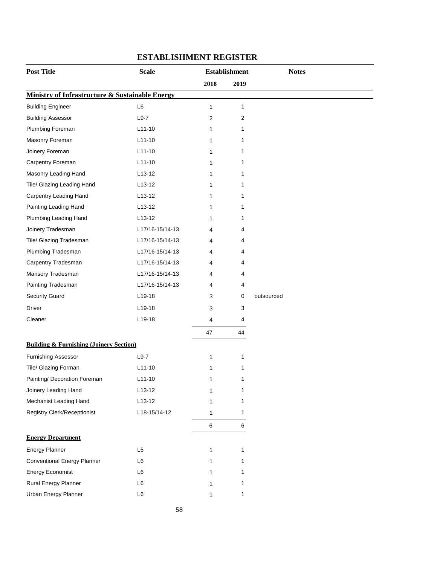| <b>Post Title</b>                                  | <b>Scale</b>    | <b>Establishment</b> |      | <b>Notes</b> |
|----------------------------------------------------|-----------------|----------------------|------|--------------|
|                                                    |                 | 2018                 | 2019 |              |
| Ministry of Infrastructure & Sustainable Energy    |                 |                      |      |              |
| <b>Building Engineer</b>                           | L6              | 1                    | 1    |              |
| <b>Building Assessor</b>                           | $L9-7$          | $\overline{2}$       | 2    |              |
| Plumbing Foreman                                   | $L11-10$        | 1                    | 1    |              |
| Masonry Foreman                                    | $L11-10$        | 1                    | 1    |              |
| Joinery Foreman                                    | $L11-10$        | 1                    | 1    |              |
| Carpentry Foreman                                  | $L11-10$        | 1                    | 1    |              |
| Masonry Leading Hand                               | $L$ 13-12       | 1                    | 1    |              |
| Tile/ Glazing Leading Hand                         | $L13-12$        | 1                    | 1    |              |
| <b>Carpentry Leading Hand</b>                      | $L13-12$        | 1                    | 1    |              |
| Painting Leading Hand                              | $L13-12$        | 1                    | 1    |              |
| Plumbing Leading Hand                              | $L13-12$        | 1                    | 1    |              |
| Joinery Tradesman                                  | L17/16-15/14-13 | 4                    | 4    |              |
| Tile/ Glazing Tradesman                            | L17/16-15/14-13 | 4                    | 4    |              |
| Plumbing Tradesman                                 | L17/16-15/14-13 | 4                    | 4    |              |
| Carpentry Tradesman                                | L17/16-15/14-13 | 4                    | 4    |              |
| Mansory Tradesman                                  | L17/16-15/14-13 | 4                    | 4    |              |
| Painting Tradesman                                 | L17/16-15/14-13 | 4                    | 4    |              |
| <b>Security Guard</b>                              | L19-18          | 3                    | 0    | outsourced   |
| Driver                                             | L19-18          | 3                    | 3    |              |
| Cleaner                                            | L19-18          | 4                    | 4    |              |
|                                                    |                 | 47                   | 44   |              |
| <b>Building &amp; Furnishing (Joinery Section)</b> |                 |                      |      |              |
| <b>Furnishing Assessor</b>                         | $L9-7$          | 1                    | 1    |              |
| Tile/ Glazing Forman                               | $L11-10$        | 1                    | 1    |              |
| Painting/ Decoration Foreman                       | $L11-10$        | 1                    | 1    |              |
| Joinery Leading Hand                               | $L13-12$        | 1                    | 1    |              |
| Mechanist Leading Hand                             | $L13-12$        | 1                    | 1    |              |
| <b>Registry Clerk/Receptionist</b>                 | L18-15/14-12    | 1                    | 1    |              |
|                                                    |                 | $\,6\,$              | 6    |              |
| <b>Energy Department</b>                           |                 |                      |      |              |
| <b>Energy Planner</b>                              | L <sub>5</sub>  | 1                    | 1    |              |
| <b>Conventional Energy Planner</b>                 | L6              | 1                    | 1    |              |
| <b>Energy Economist</b>                            | L6              | 1                    | 1    |              |
| Rural Energy Planner                               | L6              | 1                    | 1    |              |
| Urban Energy Planner                               | L6              | 1                    | 1    |              |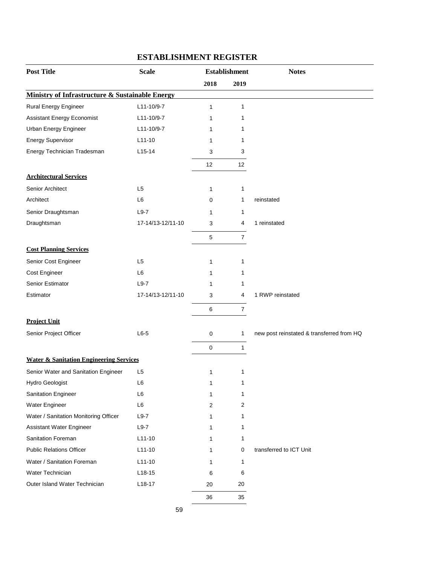| <b>Post Title</b>                                  | <b>Scale</b>      | <b>Establishment</b> |                | <b>Notes</b>                              |
|----------------------------------------------------|-------------------|----------------------|----------------|-------------------------------------------|
|                                                    |                   | 2018                 | 2019           |                                           |
| Ministry of Infrastructure & Sustainable Energy    |                   |                      |                |                                           |
| <b>Rural Energy Engineer</b>                       | L11-10/9-7        | 1                    | 1              |                                           |
| <b>Assistant Energy Economist</b>                  | L11-10/9-7        | 1                    | 1              |                                           |
| Urban Energy Engineer                              | L11-10/9-7        | 1                    | 1              |                                           |
| Energy Supervisor                                  | $L11-10$          | 1                    | 1              |                                           |
| Energy Technician Tradesman                        | $L15-14$          | 3                    | 3              |                                           |
|                                                    |                   | 12                   | 12             |                                           |
| <b>Architectural Services</b>                      |                   |                      |                |                                           |
| Senior Architect                                   | L <sub>5</sub>    | $\mathbf{1}$         | 1              |                                           |
| Architect                                          | L <sub>6</sub>    | 0                    | 1              | reinstated                                |
| Senior Draughtsman                                 | $L9-7$            | 1                    | 1              |                                           |
| Draughtsman                                        | 17-14/13-12/11-10 | 3                    | 4              | 1 reinstated                              |
|                                                    |                   | $\mathbf 5$          | $\overline{7}$ |                                           |
| <b>Cost Planning Services</b>                      |                   |                      |                |                                           |
| Senior Cost Engineer                               | L <sub>5</sub>    | 1                    | 1              |                                           |
| Cost Engineer                                      | L <sub>6</sub>    | 1                    | 1              |                                           |
| Senior Estimator                                   | $L9-7$            | 1                    | 1              |                                           |
| Estimator                                          | 17-14/13-12/11-10 | 3                    | 4              | 1 RWP reinstated                          |
|                                                    |                   | $\,6$                | $\overline{7}$ |                                           |
| <b>Project Unit</b>                                |                   |                      |                |                                           |
| Senior Project Officer                             | $L6-5$            | 0                    | 1              | new post reinstated & transferred from HQ |
|                                                    |                   | $\mathbf 0$          | $\mathbf{1}$   |                                           |
| <b>Water &amp; Sanitation Engineering Services</b> |                   |                      |                |                                           |
| Senior Water and Sanitation Engineer               | L <sub>5</sub>    | 1                    | 1              |                                           |
| <b>Hydro Geologist</b>                             | L6                | 1                    | 1              |                                           |
| <b>Sanitation Engineer</b>                         | L <sub>6</sub>    | $\mathbf{1}$         | 1              |                                           |
| Water Engineer                                     | L6                | 2                    | 2              |                                           |
| Water / Sanitation Monitoring Officer              | $L9-7$            | 1                    | 1              |                                           |
| Assistant Water Engineer                           | $L9-7$            | 1                    | 1              |                                           |
| Sanitation Foreman                                 | $L11-10$          | 1                    | 1              |                                           |
| <b>Public Relations Officer</b>                    | $L11-10$          | 1                    | 0              | transferred to ICT Unit                   |
| Water / Sanitation Foreman                         | $L11-10$          | 1                    | 1              |                                           |
| Water Technician                                   | $L18-15$          | 6                    | 6              |                                           |
| Outer Island Water Technician                      | L18-17            | 20                   | 20             |                                           |
|                                                    |                   | 36                   | 35             |                                           |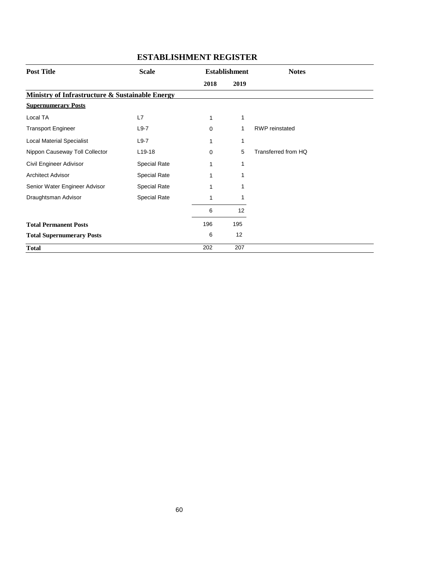| <b>Post Title</b><br><b>Scale</b><br><b>Establishment</b> |                     |          | <b>Notes</b> |                       |
|-----------------------------------------------------------|---------------------|----------|--------------|-----------------------|
|                                                           |                     | 2018     | 2019         |                       |
| Ministry of Infrastructure & Sustainable Energy           |                     |          |              |                       |
| <b>Supernumerary Posts</b>                                |                     |          |              |                       |
| Local TA                                                  | L7                  | 1        | 1            |                       |
| <b>Transport Engineer</b>                                 | $L9-7$              | $\Omega$ | 1            | <b>RWP</b> reinstated |
| <b>Local Material Specialist</b>                          | $L9-7$              |          | 1            |                       |
| Nippon Causeway Toll Collector                            | $L$ 19-18           | $\Omega$ | 5            | Transferred from HQ   |
| Civil Engineer Adivisor                                   | <b>Special Rate</b> | 1        | 1            |                       |
| <b>Architect Advisor</b>                                  | <b>Special Rate</b> | 1        | 1            |                       |
| Senior Water Engineer Advisor                             | <b>Special Rate</b> |          | 1            |                       |
| Draughtsman Advisor                                       | Special Rate        |          | 1            |                       |
|                                                           |                     | 6        | 12           |                       |
| <b>Total Permanent Posts</b>                              |                     | 196      | 195          |                       |
| <b>Total Supernumerary Posts</b>                          |                     | 6        | 12           |                       |
| <b>Total</b>                                              |                     | 202      | 207          |                       |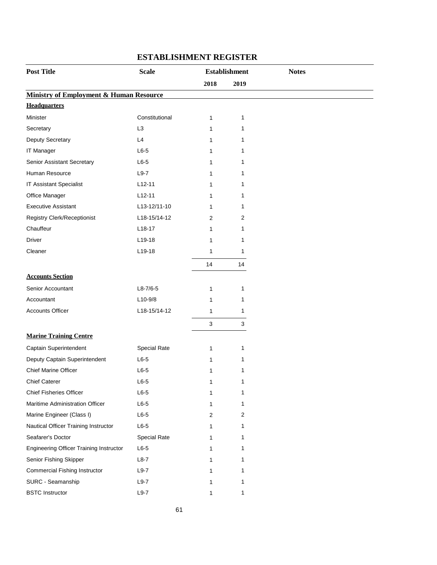| <b>Post Title</b>                                  | <b>Scale</b>        | <b>Establishment</b> |      | <b>Notes</b> |
|----------------------------------------------------|---------------------|----------------------|------|--------------|
|                                                    |                     | 2018                 | 2019 |              |
| <b>Ministry of Employment &amp; Human Resource</b> |                     |                      |      |              |
| <b>Headquarters</b>                                |                     |                      |      |              |
| Minister                                           | Constitutional      | 1                    | 1    |              |
| L <sub>3</sub><br>Secretary                        |                     | 1                    | 1    |              |
| Deputy Secretary<br>L4                             |                     | 1                    | 1    |              |
| IT Manager                                         | $L6-5$              | 1                    | 1    |              |
| Senior Assistant Secretary                         | $L6-5$              | 1                    | 1    |              |
| Human Resource                                     | $L9-7$              | 1                    | 1    |              |
| IT Assistant Specialist                            | $L12-11$            | 1                    | 1    |              |
| Office Manager                                     | $L12-11$            | 1                    | 1    |              |
| <b>Executive Assistant</b>                         | L13-12/11-10        | 1                    | 1    |              |
| <b>Registry Clerk/Receptionist</b>                 | L18-15/14-12        | 2                    | 2    |              |
| Chauffeur                                          | $L18-17$            | 1                    | 1    |              |
| <b>Driver</b>                                      | L19-18              | 1                    | 1    |              |
| Cleaner                                            | L19-18              | 1                    | 1    |              |
|                                                    |                     | 14                   | 14   |              |
| <b>Accounts Section</b>                            |                     |                      |      |              |
| Senior Accountant                                  | $L8-7/6-5$          | 1                    | 1    |              |
| Accountant                                         | $L10-9/8$           | 1                    | 1    |              |
| <b>Accounts Officer</b>                            | L18-15/14-12        | 1                    | 1    |              |
|                                                    |                     | $\sqrt{3}$           | 3    |              |
| <b>Marine Training Centre</b>                      |                     |                      |      |              |
| Captain Superintendent                             | <b>Special Rate</b> | 1                    | 1    |              |
| Deputy Captain Superintendent                      | $L6-5$              | 1                    | 1    |              |
| Chief Marine Officer                               | $L6-5$              | 1                    | 1    |              |
| <b>Chief Caterer</b>                               | $L6-5$              |                      |      |              |
| <b>Chief Fisheries Officer</b>                     | $L6-5$              | 1<br>1               | 1    |              |
| Maritime Administration Officer                    | $L6-5$              | 1                    | 1    |              |
| Marine Engineer (Class I)                          | $L6-5$              | 2                    | 2    |              |
| Nautical Officer Training Instructor               | $L6-5$              | 1                    | 1    |              |
| Seafarer's Doctor                                  | <b>Special Rate</b> | 1                    | 1    |              |
| <b>Engineering Officer Training Instructor</b>     | $L6-5$              | 1                    | 1    |              |
| Senior Fishing Skipper                             | $L8-7$              | 1                    | 1    |              |
| <b>Commercial Fishing Instructor</b>               | $L9-7$              | 1                    | 1    |              |
| SURC - Seamanship                                  | $L9-7$              | 1                    | 1    |              |
| <b>BSTC Instructor</b>                             | $L9-7$              | 1                    | 1    |              |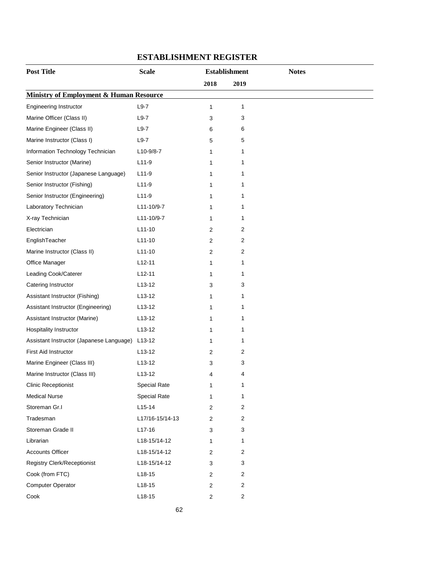| <b>Post Title</b>                        | <b>Scale</b><br><b>Establishment</b> |                  | <b>Notes</b>   |  |
|------------------------------------------|--------------------------------------|------------------|----------------|--|
|                                          |                                      | 2018             | 2019           |  |
| Ministry of Employment & Human Resource  |                                      |                  |                |  |
| <b>Engineering Instructor</b>            | $L9-7$                               | 1                | 1              |  |
| Marine Officer (Class II)                | $L9-7$                               | 3                | 3              |  |
| Marine Engineer (Class II)               | $L9-7$                               | 6                | 6              |  |
| Marine Instructor (Class I)              | $L9-7$                               | 5                | 5              |  |
| Information Technology Technician        | L10-9/8-7                            | 1                | 1              |  |
| Senior Instructor (Marine)               | $L11-9$                              | 1                | 1              |  |
| Senior Instructor (Japanese Language)    | $L11-9$                              | 1                | 1              |  |
| Senior Instructor (Fishing)              | $L11-9$                              | 1                | 1              |  |
| Senior Instructor (Engineering)          | $L11-9$                              | 1                | 1              |  |
| Laboratory Technician                    | L11-10/9-7                           | 1                | 1              |  |
| X-ray Technician                         | L11-10/9-7                           | 1                | 1              |  |
| Electrician                              | $L11-10$                             | 2                | 2              |  |
| EnglishTeacher                           | $L11-10$                             | 2                | 2              |  |
| Marine Instructor (Class II)             | $L11-10$                             | 2                | 2              |  |
| Office Manager                           | $L12-11$                             | 1                | 1              |  |
| Leading Cook/Caterer                     | $L12-11$                             | 1                | 1              |  |
| Catering Instructor                      | $L13-12$                             | 3                | 3              |  |
| Assistant Instructor (Fishing)           | $L13-12$                             | 1                | 1              |  |
| Assistant Instructor (Engineering)       | $L13-12$                             | 1                | 1              |  |
| Assistant Instructor (Marine)            | L <sub>13</sub> -12                  | 1                | 1              |  |
| <b>Hospitality Instructor</b>            | $L13-12$                             | 1                | 1              |  |
| Assistant Instructor (Japanese Language) | L13-12                               | 1                | 1              |  |
| <b>First Aid Instructor</b>              | $L13-12$                             | 2                | 2              |  |
| Marine Engineer (Class III)              | $L13-12$                             | 3                | 3              |  |
| Marine Instructor (Class III)            | L <sub>13</sub> -12                  | 4                | 4              |  |
| <b>Clinic Receptionist</b>               | <b>Special Rate</b>                  | 1                | 1              |  |
| <b>Medical Nurse</b>                     | <b>Special Rate</b>                  | 1                | 1              |  |
| Storeman Gr.I                            | $L15-14$                             | $\overline{c}$   | 2              |  |
| Tradesman                                | L17/16-15/14-13                      | $\overline{2}$   | $\overline{c}$ |  |
| Storeman Grade II                        | $L17-16$                             | 3                | 3              |  |
| Librarian                                | L18-15/14-12                         | 1                | 1              |  |
| <b>Accounts Officer</b>                  | L18-15/14-12                         | $\overline{2}$   | 2              |  |
| <b>Registry Clerk/Receptionist</b>       | L18-15/14-12                         | 3                | 3              |  |
| Cook (from FTC)                          | $L18-15$                             | $\overline{2}$   | $\overline{c}$ |  |
| Computer Operator                        | $L18-15$                             | $\boldsymbol{2}$ | 2              |  |
| Cook                                     | $L18-15$                             | $\overline{a}$   | $\sqrt{2}$     |  |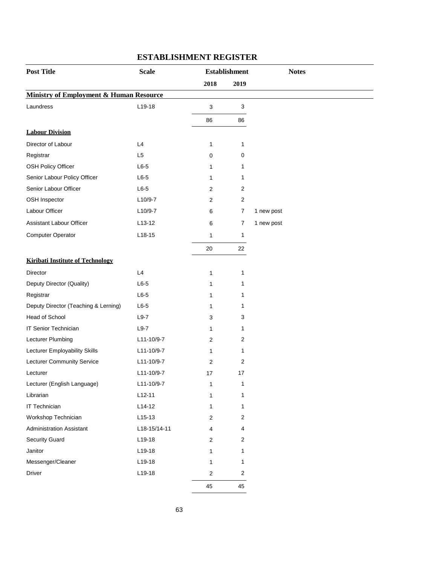| <b>Post Title</b>                                  | <b>Scale</b>   |                | <b>Establishment</b> | <b>Notes</b> |
|----------------------------------------------------|----------------|----------------|----------------------|--------------|
|                                                    |                | 2018           | 2019                 |              |
| <b>Ministry of Employment &amp; Human Resource</b> |                |                |                      |              |
| Laundress                                          | L19-18         | 3              | 3                    |              |
|                                                    |                | 86             | 86                   |              |
| <b>Labour Division</b>                             |                |                |                      |              |
| Director of Labour                                 | L4             | 1              | 1                    |              |
| Registrar                                          | L <sub>5</sub> | 0              | 0                    |              |
| <b>OSH Policy Officer</b>                          | $L6-5$         | 1              | 1                    |              |
| Senior Labour Policy Officer                       | $L6-5$         | 1              | 1                    |              |
| Senior Labour Officer                              | $L6-5$         | 2              | 2                    |              |
| OSH Inspector                                      | $L10/9-7$      | 2              | 2                    |              |
| Labour Officer                                     | $L10/9-7$      | 6              | 7                    | 1 new post   |
| Assistant Labour Officer                           | L13-12         | 6              | $\overline{7}$       | 1 new post   |
| <b>Computer Operator</b>                           | $L18-15$       | 1              | 1                    |              |
|                                                    |                | 20             | 22                   |              |
| <b>Kiribati Institute of Technology</b>            |                |                |                      |              |
| Director                                           | L4             | 1              | 1                    |              |
| Deputy Director (Quality)                          | $L6-5$         | 1              | 1                    |              |
| Registrar                                          | $L6-5$         | 1              | 1                    |              |
| Deputy Director (Teaching & Lerning)               | $L6-5$         | 1              | 1                    |              |
| Head of School                                     | $L9-7$         | 3              | 3                    |              |
| IT Senior Technician                               | $L9-7$         | 1              | 1                    |              |
| Lecturer Plumbing                                  | L11-10/9-7     | 2              | 2                    |              |
| Lecturer Employability Skills                      | L11-10/9-7     | 1              | 1                    |              |
| <b>Lecturer Community Service</b>                  | L11-10/9-7     | 2              | 2                    |              |
| Lecturer                                           | L11-10/9-7     | 17             | 17                   |              |
| Lecturer (English Language)                        | L11-10/9-7     | 1              | 1                    |              |
| Librarian                                          | $L12-11$       | 1              | 1                    |              |
| IT Technician                                      | $L14-12$       | 1              | 1                    |              |
| Workshop Technician                                | $L15-13$       | $\overline{2}$ | 2                    |              |
| <b>Administration Assistant</b>                    | L18-15/14-11   | 4              | 4                    |              |
| <b>Security Guard</b>                              | L19-18         | 2              | $\overline{2}$       |              |
| Janitor                                            | L19-18         | 1              | 1                    |              |
| Messenger/Cleaner                                  | L19-18         | 1              | 1                    |              |
| Driver                                             | L19-18         | 2              | 2                    |              |
|                                                    |                | 45             | 45                   |              |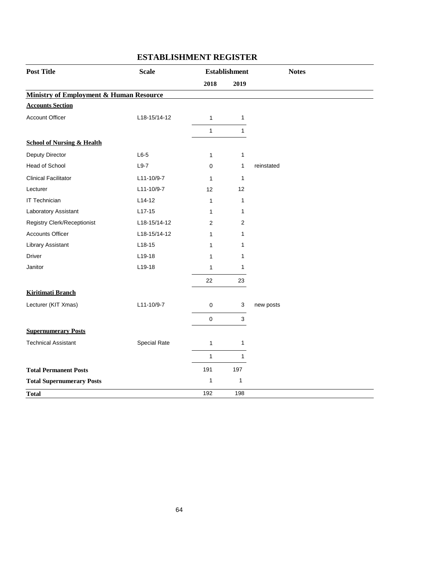| <b>Post Title</b>                                  | <b>Scale</b> | <b>Establishment</b> |                           | <b>Notes</b> |
|----------------------------------------------------|--------------|----------------------|---------------------------|--------------|
|                                                    |              | 2018                 | 2019                      |              |
| <b>Ministry of Employment &amp; Human Resource</b> |              |                      |                           |              |
| <b>Accounts Section</b>                            |              |                      |                           |              |
| <b>Account Officer</b>                             | L18-15/14-12 | $\mathbf{1}$         | 1                         |              |
|                                                    |              | $\mathbf{1}$         | 1                         |              |
| <b>School of Nursing &amp; Health</b>              |              |                      |                           |              |
| Deputy Director                                    | $L6-5$       | $\mathbf{1}$         | $\mathbf{1}$              |              |
| Head of School                                     | $L9-7$       | $\mathbf 0$          | 1                         | reinstated   |
| <b>Clinical Facilitator</b>                        | L11-10/9-7   | 1                    | $\mathbf{1}$              |              |
| Lecturer                                           | L11-10/9-7   | 12                   | 12                        |              |
| <b>IT Technician</b>                               | $L14-12$     | 1                    | 1                         |              |
| Laboratory Assistant                               | $L17-15$     | 1                    | 1                         |              |
| Registry Clerk/Receptionist                        | L18-15/14-12 | $\overline{2}$       | $\overline{2}$            |              |
| <b>Accounts Officer</b>                            | L18-15/14-12 | $\mathbf{1}$         | 1                         |              |
| <b>Library Assistant</b>                           | $L18-15$     | 1                    | 1                         |              |
| Driver                                             | $L19-18$     | 1                    | 1                         |              |
| Janitor                                            | L19-18       | 1                    | 1                         |              |
|                                                    |              | 22                   | 23                        |              |
| <b>Kiritimati Branch</b>                           |              |                      |                           |              |
| Lecturer (KIT Xmas)                                | L11-10/9-7   | $\pmb{0}$            | $\ensuremath{\mathsf{3}}$ | new posts    |
|                                                    |              | $\mathsf{O}\xspace$  | $\mathbf{3}$              |              |
| <b>Supernumerary Posts</b>                         |              |                      |                           |              |
| <b>Technical Assistant</b>                         | Special Rate | 1                    | 1                         |              |
|                                                    |              | $\mathbf{1}$         | $\mathbf{1}$              |              |
| <b>Total Permanent Posts</b>                       |              | 191                  | 197                       |              |
| <b>Total Supernumerary Posts</b>                   |              | $\mathbf{1}$         | $\mathbf{1}$              |              |
| <b>Total</b>                                       |              | 192                  | 198                       |              |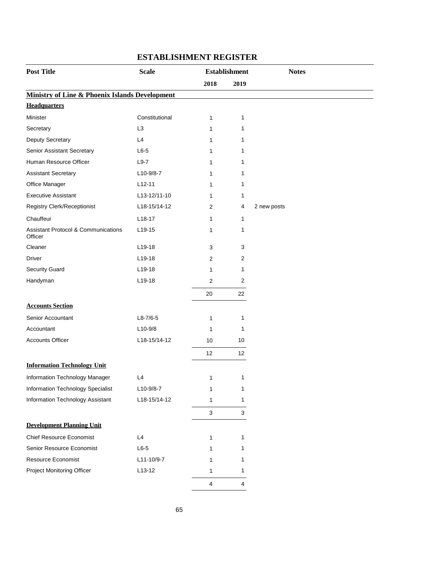| <b>Post Title</b>                                         | <b>Scale</b>   | <b>Establishment</b> |              | <b>Notes</b> |
|-----------------------------------------------------------|----------------|----------------------|--------------|--------------|
|                                                           |                | 2018                 | 2019         |              |
| <b>Ministry of Line &amp; Phoenix Islands Development</b> |                |                      |              |              |
| <b>Headquarters</b>                                       |                |                      |              |              |
| Minister                                                  | Constitutional | $\mathbf{1}$         | 1            |              |
| Secretary                                                 | L <sub>3</sub> | 1                    | 1            |              |
| Deputy Secretary                                          | L4             | 1                    | 1            |              |
| Senior Assistant Secretary                                | $L6-5$         | 1                    | 1            |              |
| Human Resource Officer                                    | $L9-7$         | 1                    | 1            |              |
| <b>Assistant Secretary</b>                                | $L10-9/8-7$    | 1                    | 1            |              |
| Office Manager                                            | $L12-11$       | 1                    | 1            |              |
| <b>Executive Assistant</b>                                | L13-12/11-10   | $\mathbf{1}$         | 1            |              |
| Registry Clerk/Receptionist                               | L18-15/14-12   | 2                    | 4            | 2 new posts  |
| Chauffeur                                                 | $L18-17$       | 1                    | $\mathbf{1}$ |              |
| <b>Assistant Protocol &amp; Communications</b><br>Officer | $L19-15$       | 1                    | 1            |              |
| Cleaner                                                   | L19-18         | 3                    | 3            |              |
| Driver                                                    | L19-18         | 2                    | 2            |              |
| <b>Security Guard</b>                                     | L19-18         | 1                    | 1            |              |
| Handyman                                                  | L19-18         | $\overline{2}$       | 2            |              |
|                                                           |                | 20                   | 22           |              |
| <b>Accounts Section</b>                                   |                |                      |              |              |
| Senior Accountant                                         | $L8-7/6-5$     | 1                    | $\mathbf{1}$ |              |
| Accountant                                                | $L10-9/8$      | 1                    | 1            |              |
| <b>Accounts Officer</b>                                   | L18-15/14-12   | 10                   | 10           |              |
|                                                           |                | 12                   | 12           |              |
| <b>Information Technology Unit</b>                        |                |                      |              |              |
| Information Technology Manager                            | L4             | 1                    | 1            |              |
| Information Technology Specialist                         | L10-9/8-7      | 1                    | 1            |              |
| Information Technology Assistant                          | L18-15/14-12   | 1                    | 1            |              |
|                                                           |                | $\sqrt{3}$           | 3            |              |
| <b>Development Planning Unit</b>                          |                |                      |              |              |
| <b>Chief Resource Economist</b>                           | L4             | 1                    | 1            |              |
| Senior Resource Economist                                 | $L6-5$         | 1                    | 1            |              |
| Resource Economist                                        | L11-10/9-7     | 1                    | 1            |              |
| Project Monitoring Officer                                | $L13-12$       | 1                    | 1            |              |
|                                                           |                | $\overline{4}$       | 4            |              |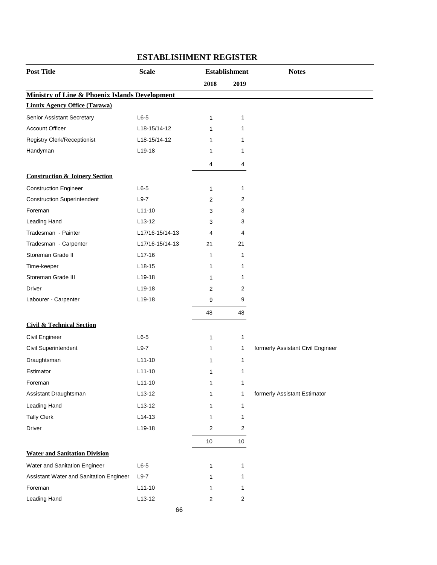| <b>Post Title</b>                                         | <b>Scale</b>    | <b>Establishment</b> |                  | <b>Notes</b>                      |
|-----------------------------------------------------------|-----------------|----------------------|------------------|-----------------------------------|
|                                                           |                 | 2018                 | 2019             |                                   |
| <b>Ministry of Line &amp; Phoenix Islands Development</b> |                 |                      |                  |                                   |
| <b>Linnix Agency Office (Tarawa)</b>                      |                 |                      |                  |                                   |
| Senior Assistant Secretary                                | $L6-5$          | $\mathbf{1}$         | $\mathbf{1}$     |                                   |
| <b>Account Officer</b>                                    | L18-15/14-12    | 1                    | 1                |                                   |
| <b>Registry Clerk/Receptionist</b>                        | L18-15/14-12    | 1                    | 1                |                                   |
| Handyman                                                  | L19-18          | 1                    | 1                |                                   |
|                                                           |                 | $\overline{4}$       | 4                |                                   |
| <b>Construction &amp; Joinery Section</b>                 |                 |                      |                  |                                   |
| <b>Construction Engineer</b>                              | $L6-5$          | 1                    | 1                |                                   |
| <b>Construction Superintendent</b>                        | $L9-7$          | $\overline{2}$       | 2                |                                   |
| Foreman                                                   | $L11-10$        | 3                    | 3                |                                   |
| Leading Hand                                              | $L13-12$        | 3                    | 3                |                                   |
| Tradesman - Painter                                       | L17/16-15/14-13 | 4                    | 4                |                                   |
| Tradesman - Carpenter                                     | L17/16-15/14-13 | 21                   | 21               |                                   |
| Storeman Grade II                                         | $L17-16$        | $\mathbf{1}$         | 1                |                                   |
| Time-keeper                                               | $L18-15$        | 1                    | 1                |                                   |
| Storeman Grade III                                        | L19-18          | 1                    | 1                |                                   |
| Driver                                                    | $L$ 19-18       | $\overline{2}$       | 2                |                                   |
| Labourer - Carpenter                                      | L19-18          | 9                    | 9                |                                   |
|                                                           |                 | 48                   | 48               |                                   |
| <b>Civil &amp; Technical Section</b>                      |                 |                      |                  |                                   |
| Civil Engineer                                            | $L6-5$          | 1                    | $\mathbf{1}$     |                                   |
| Civil Superintendent                                      | $L9-7$          | 1                    | 1                | formerly Assistant Civil Engineer |
| Draughtsman                                               | $L11 - 10$      | 1                    | 1                |                                   |
| Estimator                                                 | $L11-10$        | 1                    | 1                |                                   |
| Foreman                                                   | $L11-10$        | 1                    | 1                |                                   |
| Assistant Draughtsman                                     | $L13-12$        | 1                    | 1                | formerly Assistant Estimator      |
| Leading Hand                                              | $L13-12$        | 1                    | 1                |                                   |
| <b>Tally Clerk</b>                                        | $L14-13$        | 1                    | 1                |                                   |
| Driver                                                    | L19-18          | 2                    | $\overline{2}$   |                                   |
|                                                           |                 | 10                   | 10               |                                   |
| <b>Water and Sanitation Division</b>                      |                 |                      |                  |                                   |
| Water and Sanitation Engineer                             | $L6-5$          | 1                    | $\mathbf{1}$     |                                   |
| Assistant Water and Sanitation Engineer                   | $L9-7$          | 1                    | 1                |                                   |
| Foreman                                                   | $L11-10$        | 1                    | 1                |                                   |
| Leading Hand                                              | $L13-12$        | $\overline{2}$       | $\boldsymbol{2}$ |                                   |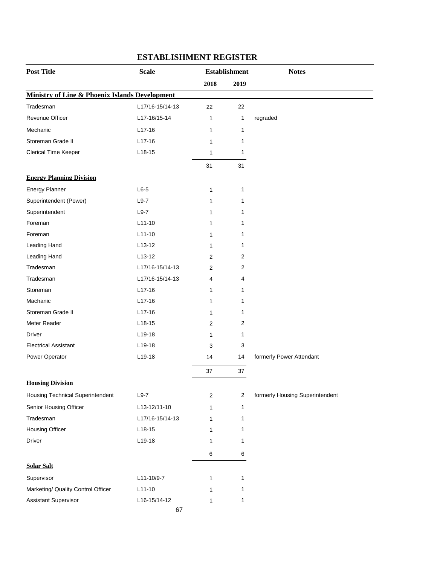| <b>Post Title</b>                                         | <b>Scale</b>    | <b>Establishment</b> |                | <b>Notes</b>                    |
|-----------------------------------------------------------|-----------------|----------------------|----------------|---------------------------------|
|                                                           |                 | 2018                 | 2019           |                                 |
| <b>Ministry of Line &amp; Phoenix Islands Development</b> |                 |                      |                |                                 |
| Tradesman                                                 | L17/16-15/14-13 | 22                   | 22             |                                 |
| Revenue Officer                                           | L17-16/15-14    | $\mathbf{1}$         | 1              | regraded                        |
| Mechanic                                                  | $L17-16$        | 1                    | 1              |                                 |
| Storeman Grade II                                         | $L17-16$        | 1                    | 1              |                                 |
| Clerical Time Keeper                                      | $L18-15$        | 1                    | 1              |                                 |
|                                                           |                 | 31                   | 31             |                                 |
| <b>Energy Planning Division</b>                           |                 |                      |                |                                 |
| <b>Energy Planner</b>                                     | $L6-5$          | 1                    | 1              |                                 |
| Superintendent (Power)                                    | $L9-7$          | 1                    | 1              |                                 |
| Superintendent                                            | $L9-7$          | 1                    | 1              |                                 |
| Foreman                                                   | $L11-10$        | 1                    | 1              |                                 |
| Foreman                                                   | $L11-10$        | 1                    | 1              |                                 |
| Leading Hand                                              | $L13-12$        | 1                    | 1              |                                 |
| Leading Hand                                              | $L13-12$        | 2                    | 2              |                                 |
| Tradesman                                                 | L17/16-15/14-13 | 2                    | 2              |                                 |
| Tradesman                                                 | L17/16-15/14-13 | 4                    | 4              |                                 |
| Storeman                                                  | $L17-16$        | 1                    | 1              |                                 |
| Machanic                                                  | L17-16          | 1                    | 1              |                                 |
| Storeman Grade II                                         | $L17-16$        | 1                    | 1              |                                 |
| Meter Reader                                              | L18-15          | 2                    | 2              |                                 |
| <b>Driver</b>                                             | L19-18          | 1                    | 1              |                                 |
| <b>Electrical Assistant</b>                               | L19-18          | 3                    | 3              |                                 |
| Power Operator                                            | L19-18          | 14                   | 14             | formerly Power Attendant        |
|                                                           |                 | 37                   | 37             |                                 |
| <b>Housing Division</b>                                   |                 |                      |                |                                 |
| Housing Technical Superintendent                          | $L9-7$          | $\overline{2}$       | $\overline{2}$ | formerly Housing Superintendent |
| Senior Housing Officer                                    | L13-12/11-10    | 1                    | 1              |                                 |
| Tradesman                                                 | L17/16-15/14-13 | 1                    | 1              |                                 |
| <b>Housing Officer</b>                                    | $L18-15$        | 1                    | 1              |                                 |
| Driver                                                    | L19-18          | 1                    | 1              |                                 |
|                                                           |                 | $\,6\,$              | 6              |                                 |
| <b>Solar Salt</b>                                         |                 |                      |                |                                 |
| Supervisor                                                | L11-10/9-7      | 1                    | 1              |                                 |
| Marketing/ Quality Control Officer                        | $L11-10$        | 1                    | 1              |                                 |
| Assistant Supervisor                                      | L16-15/14-12    | 1                    | 1              |                                 |
|                                                           | 67              |                      |                |                                 |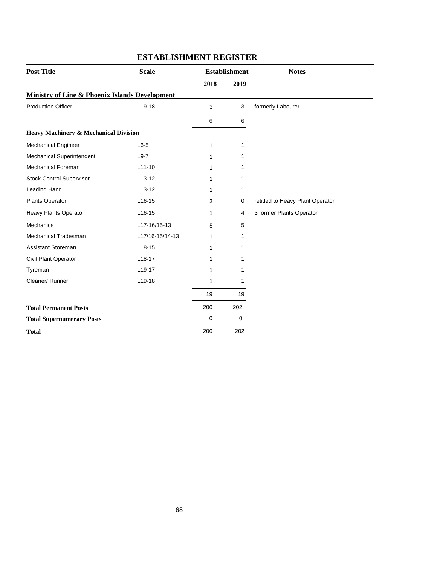| <b>Post Title</b>                                | <b>Scale</b>        |              | <b>Establishment</b> | <b>Notes</b>                     |
|--------------------------------------------------|---------------------|--------------|----------------------|----------------------------------|
|                                                  | 2018<br>2019        |              |                      |                                  |
| Ministry of Line & Phoenix Islands Development   |                     |              |                      |                                  |
| <b>Production Officer</b>                        | L19-18              | 3            | 3                    | formerly Labourer                |
|                                                  |                     | 6            | 6                    |                                  |
| <b>Heavy Machinery &amp; Mechanical Division</b> |                     |              |                      |                                  |
| Mechanical Engineer                              | $L6-5$              | $\mathbf{1}$ | 1                    |                                  |
| Mechanical Superintendent                        | $L9-7$              | 1            | 1                    |                                  |
| Mechanical Foreman                               | $L11-10$            | 1            | 1                    |                                  |
| <b>Stock Control Supervisor</b>                  | $L13-12$            | 1            | 1                    |                                  |
| Leading Hand                                     | $L13-12$            | 1            | 1                    |                                  |
| Plants Operator                                  | $L16-15$            | 3            | 0                    | retitled to Heavy Plant Operator |
| <b>Heavy Plants Operator</b>                     | $L16-15$            | $\mathbf{1}$ | 4                    | 3 former Plants Operator         |
| <b>Mechanics</b>                                 | L17-16/15-13        | 5            | 5                    |                                  |
| Mechanical Tradesman                             | L17/16-15/14-13     | $\mathbf{1}$ | 1                    |                                  |
| Assistant Storeman                               | $L18-15$            | 1            | 1                    |                                  |
| Civil Plant Operator                             | $L18-17$            | 1            | 1                    |                                  |
| Tyreman                                          | L <sub>19</sub> -17 | 1            | 1                    |                                  |
| Cleaner/Runner                                   | L19-18              | 1            | 1                    |                                  |
|                                                  |                     | 19           | 19                   |                                  |
| <b>Total Permanent Posts</b>                     |                     | 200          | 202                  |                                  |
| <b>Total Supernumerary Posts</b>                 |                     | 0            | 0                    |                                  |
| <b>Total</b>                                     |                     | 200          | 202                  |                                  |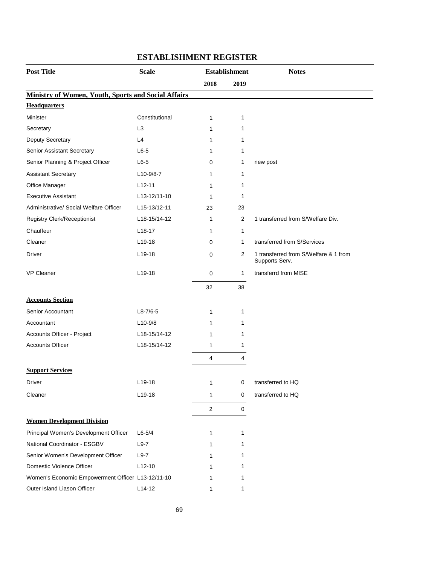| <b>Post Title</b>                                          | <b>Scale</b>   | <b>Establishment</b> |              | <b>Notes</b>                                            |
|------------------------------------------------------------|----------------|----------------------|--------------|---------------------------------------------------------|
|                                                            |                | 2018                 | 2019         |                                                         |
| <b>Ministry of Women, Youth, Sports and Social Affairs</b> |                |                      |              |                                                         |
| <b>Headquarters</b>                                        |                |                      |              |                                                         |
| Minister                                                   | Constitutional | $\mathbf{1}$         | 1            |                                                         |
| Secretary                                                  | L <sub>3</sub> | 1                    | 1            |                                                         |
| Deputy Secretary                                           | L4             | 1                    | 1            |                                                         |
| Senior Assistant Secretary                                 | $L6-5$         | 1                    | 1            |                                                         |
| Senior Planning & Project Officer                          | $L6-5$         | 0                    | 1            | new post                                                |
| <b>Assistant Secretary</b>                                 | $L10-9/8-7$    | 1                    | 1            |                                                         |
| Office Manager                                             | $L12-11$       | 1                    | 1            |                                                         |
| <b>Executive Assistant</b>                                 | L13-12/11-10   | 1                    | 1            |                                                         |
| Administrative/ Social Welfare Officer                     | L15-13/12-11   | 23                   | 23           |                                                         |
| <b>Registry Clerk/Receptionist</b>                         | L18-15/14-12   | 1                    | 2            | 1 transferred from S/Welfare Div.                       |
| Chauffeur                                                  | $L18-17$       | $\mathbf{1}$         | $\mathbf{1}$ |                                                         |
| Cleaner                                                    | $L$ 19-18      | 0                    | $\mathbf 1$  | transferred from S/Services                             |
| Driver                                                     | $L19-18$       | 0                    | 2            | 1 transferred from S/Welfare & 1 from<br>Supports Serv. |
| <b>VP Cleaner</b>                                          | L19-18         | 0                    | $\mathbf{1}$ | transferrd from MISE                                    |
|                                                            |                | 32                   | 38           |                                                         |
| <b>Accounts Section</b>                                    |                |                      |              |                                                         |
| Senior Accountant                                          | $L8 - 7/6 - 5$ | 1                    | 1            |                                                         |
| Accountant                                                 | $L10-9/8$      | 1                    | 1            |                                                         |
| Accounts Officer - Project                                 | L18-15/14-12   | 1                    | 1            |                                                         |
| <b>Accounts Officer</b>                                    | L18-15/14-12   | $\mathbf{1}$         | 1            |                                                         |
|                                                            |                | 4                    | 4            |                                                         |
| <b>Support Services</b>                                    |                |                      |              |                                                         |
| Driver                                                     | $L$ 19-18      | 1                    | 0            | transferred to HQ                                       |
| Cleaner                                                    | L19-18         | 1                    | 0            | transferred to HQ                                       |
|                                                            |                | $\overline{c}$       | 0            |                                                         |
| <b>Women Development Division</b>                          |                |                      |              |                                                         |
| Principal Women's Development Officer                      | $L6 - 5/4$     | 1                    | $\mathbf{1}$ |                                                         |
| National Coordinator - ESGBV                               | $L9-7$         | 1                    | 1            |                                                         |
| Senior Women's Development Officer                         | $L9-7$         | 1                    | 1            |                                                         |
| Domestic Violence Officer                                  | $L12-10$       | 1                    | 1            |                                                         |
| Women's Economic Empowerment Officer L13-12/11-10          |                | 1                    | 1            |                                                         |
| Outer Island Liason Officer                                | $L14-12$       | 1                    | 1            |                                                         |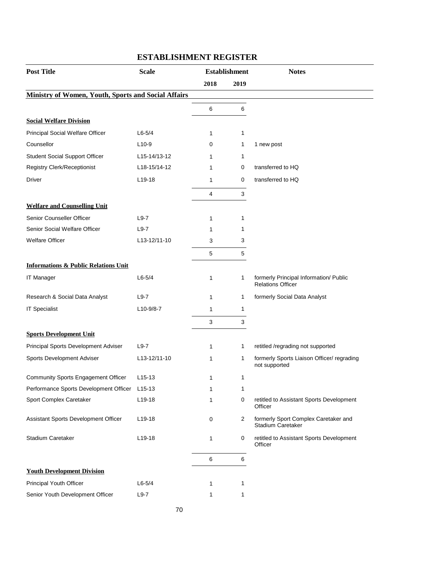| <b>Scale</b> | <b>Establishment</b>                                                                                        |                | <b>Notes</b>                                                       |
|--------------|-------------------------------------------------------------------------------------------------------------|----------------|--------------------------------------------------------------------|
|              | 2018                                                                                                        | 2019           |                                                                    |
|              |                                                                                                             |                |                                                                    |
|              | 6                                                                                                           | 6              |                                                                    |
|              |                                                                                                             |                |                                                                    |
| $L6 - 5/4$   | 1                                                                                                           | 1              |                                                                    |
| $L10-9$      | 0                                                                                                           | 1              | 1 new post                                                         |
| L15-14/13-12 | 1                                                                                                           | 1              |                                                                    |
| L18-15/14-12 | 1                                                                                                           | 0              | transferred to HQ                                                  |
| $L19-18$     | 1                                                                                                           | 0              | transferred to HQ                                                  |
|              | 4                                                                                                           | 3              |                                                                    |
|              |                                                                                                             |                |                                                                    |
| $L9-7$       | 1                                                                                                           | 1              |                                                                    |
| $L9-7$       | 1                                                                                                           | 1              |                                                                    |
| L13-12/11-10 | 3                                                                                                           | 3              |                                                                    |
|              | 5                                                                                                           | 5              |                                                                    |
|              |                                                                                                             |                |                                                                    |
| $L6-5/4$     | 1                                                                                                           | 1              | formerly Principal Information/ Public<br><b>Relations Officer</b> |
| $L9-7$       | 1                                                                                                           | 1              | formerly Social Data Analyst                                       |
| $L10-9/8-7$  | 1                                                                                                           | 1              |                                                                    |
|              | 3                                                                                                           | 3              |                                                                    |
|              |                                                                                                             |                |                                                                    |
| $L9-7$       | 1                                                                                                           | 1              | retitled /regrading not supported                                  |
| L13-12/11-10 | 1                                                                                                           | 1              | formerly Sports Liaison Officer/ regrading<br>not supported        |
| $L15-13$     | 1                                                                                                           | 1              |                                                                    |
|              | $\mathbf 1$                                                                                                 | 1              |                                                                    |
| $L19-18$     | 1                                                                                                           | 0              | retitled to Assistant Sports Development<br>Officer                |
| L19-18       | 0                                                                                                           | $\overline{2}$ | formerly Sport Complex Caretaker and<br>Stadium Caretaker          |
| L19-18       | 1                                                                                                           | 0              | retitled to Assistant Sports Development<br>Officer                |
|              | 6                                                                                                           | $\,6$          |                                                                    |
|              |                                                                                                             |                |                                                                    |
| $L6 - 5/4$   | 1                                                                                                           | 1              |                                                                    |
| $L9-7$       | 1                                                                                                           | 1              |                                                                    |
|              | <b>Ministry of Women, Youth, Sports and Social Affairs</b><br>Performance Sports Development Officer L15-13 |                |                                                                    |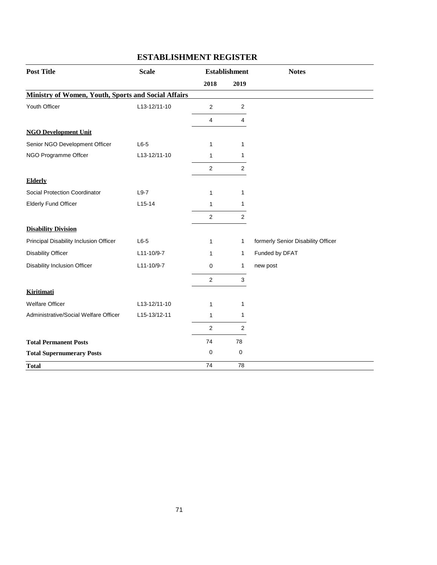| <b>Post Title</b>                                          | <b>Scale</b> |                | <b>Establishment</b> | <b>Notes</b>                       |
|------------------------------------------------------------|--------------|----------------|----------------------|------------------------------------|
|                                                            |              | 2018           | 2019                 |                                    |
| <b>Ministry of Women, Youth, Sports and Social Affairs</b> |              |                |                      |                                    |
| Youth Officer                                              | L13-12/11-10 | $\overline{2}$ | 2                    |                                    |
|                                                            |              | $\overline{4}$ | 4                    |                                    |
| <b>NGO Development Unit</b>                                |              |                |                      |                                    |
| Senior NGO Development Officer                             | $L6-5$       | $\mathbf{1}$   | 1                    |                                    |
| NGO Programme Offcer                                       | L13-12/11-10 | 1              | 1                    |                                    |
|                                                            |              | $\overline{c}$ | $\overline{2}$       |                                    |
| <b>Elderly</b>                                             |              |                |                      |                                    |
| Social Protection Coordinator                              | $L9-7$       | 1              | 1                    |                                    |
| <b>Elderly Fund Officer</b>                                | $L15-14$     | 1              | 1                    |                                    |
|                                                            |              | $\mathbf 2$    | $\mathbf 2$          |                                    |
| <b>Disability Division</b>                                 |              |                |                      |                                    |
| Principal Disability Inclusion Officer                     | $L6-5$       | $\mathbf{1}$   | 1                    | formerly Senior Disability Officer |
| <b>Disability Officer</b>                                  | L11-10/9-7   | 1              | 1                    | Funded by DFAT                     |
| Disability Inclusion Officer                               | L11-10/9-7   | 0              | 1                    | new post                           |
|                                                            |              | $\overline{2}$ | 3                    |                                    |
| <b>Kiritimati</b>                                          |              |                |                      |                                    |
| <b>Welfare Officer</b>                                     | L13-12/11-10 | 1              | 1                    |                                    |
| Administrative/Social Welfare Officer                      | L15-13/12-11 | 1              | 1                    |                                    |
|                                                            |              | $\overline{2}$ | 2                    |                                    |
| <b>Total Permanent Posts</b>                               |              | 74             | 78                   |                                    |
| <b>Total Supernumerary Posts</b>                           |              | 0              | 0                    |                                    |
| <b>Total</b>                                               |              | 74             | 78                   |                                    |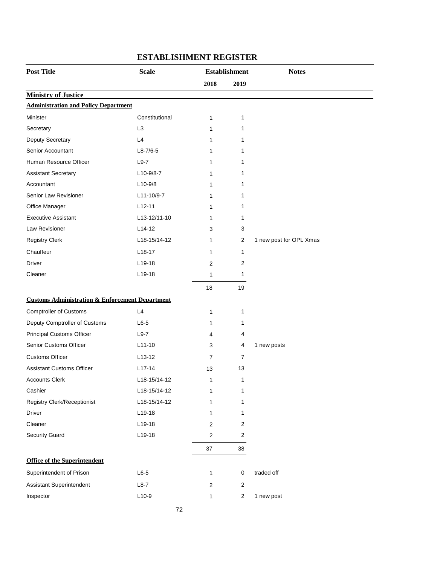| <b>Post Title</b>                                          | <b>Scale</b>   |                | <b>Establishment</b>    | <b>Notes</b>            |
|------------------------------------------------------------|----------------|----------------|-------------------------|-------------------------|
|                                                            |                | 2018           | 2019                    |                         |
| <b>Ministry of Justice</b>                                 |                |                |                         |                         |
| <b>Administration and Policy Department</b>                |                |                |                         |                         |
| Minister                                                   | Constitutional | 1              | 1                       |                         |
| Secretary                                                  | L <sub>3</sub> | 1              | 1                       |                         |
| Deputy Secretary                                           | L4             | $\mathbf{1}$   | 1                       |                         |
| Senior Accountant                                          | $L8 - 7/6 - 5$ | 1              | 1                       |                         |
| Human Resource Officer                                     | $L9-7$         | 1              | 1                       |                         |
| <b>Assistant Secretary</b>                                 | L10-9/8-7      | 1              | 1                       |                         |
| Accountant                                                 | $L10-9/8$      | 1              | 1                       |                         |
| Senior Law Revisioner                                      | L11-10/9-7     | 1              | 1                       |                         |
| Office Manager                                             | $L12-11$       | 1              | 1                       |                         |
| <b>Executive Assistant</b>                                 | L13-12/11-10   | 1              | 1                       |                         |
| Law Revisioner                                             | $L14-12$       | 3              | 3                       |                         |
| <b>Registry Clerk</b>                                      | L18-15/14-12   | 1              | $\overline{2}$          | 1 new post for OPL Xmas |
| Chauffeur                                                  | $L18-17$       | 1              | 1                       |                         |
| Driver                                                     | L19-18         | 2              | 2                       |                         |
| Cleaner                                                    | L19-18         | $\mathbf{1}$   | 1                       |                         |
|                                                            |                | 18             | 19                      |                         |
| <b>Customs Administration &amp; Enforcement Department</b> |                |                |                         |                         |
| <b>Comptroller of Customs</b>                              | L4             | 1              | 1                       |                         |
| Deputy Comptroller of Customs                              | $L6-5$         | 1              | 1                       |                         |
| <b>Principal Customs Officer</b>                           | $L9-7$         | 4              | 4                       |                         |
| <b>Senior Customs Officer</b>                              | $L11-10$       | 3              | 4                       | 1 new posts             |
| <b>Customs Officer</b>                                     | $L13-12$       | $\overline{7}$ | 7                       |                         |
| <b>Assistant Customs Officer</b>                           | $L17-14$       | 13             | 13                      |                         |
| <b>Accounts Clerk</b>                                      | L18-15/14-12   | 1              | 1                       |                         |
| Cashier                                                    | L18-15/14-12   | 1              | 1                       |                         |
| <b>Registry Clerk/Receptionist</b>                         | L18-15/14-12   | $\mathbf{1}$   | 1                       |                         |
| Driver                                                     | L19-18         | $\mathbf{1}$   | 1                       |                         |
| Cleaner                                                    | L19-18         | $\overline{2}$ | $\overline{c}$          |                         |
| <b>Security Guard</b>                                      | L19-18         | $\sqrt{2}$     | $\overline{\mathbf{c}}$ |                         |
|                                                            |                | 37             | 38                      |                         |
| <b>Office of the Superintendent</b>                        |                |                |                         |                         |
| Superintendent of Prison                                   | $L6-5$         | $\mathbf{1}$   | $\mathsf 0$             | traded off              |
| Assistant Superintendent                                   | $L8-7$         | $\overline{c}$ | $\overline{c}$          |                         |
| Inspector                                                  | $L10-9$        | $\mathbf{1}$   | $\overline{\mathbf{c}}$ | 1 new post              |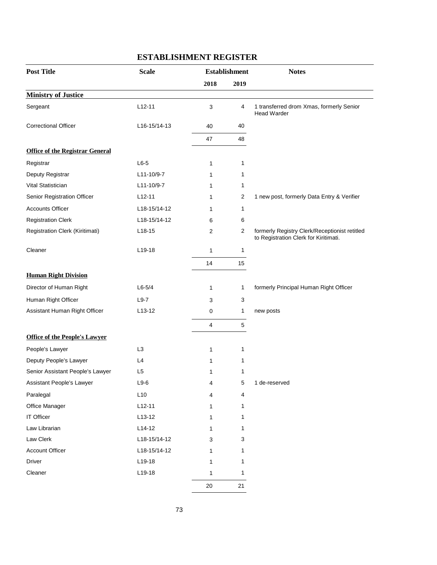| <b>Post Title</b>                      | <b>Scale</b>   | <b>Establishment</b> |              | <b>Notes</b>                                                                           |
|----------------------------------------|----------------|----------------------|--------------|----------------------------------------------------------------------------------------|
|                                        |                | 2018                 | 2019         |                                                                                        |
| <b>Ministry of Justice</b>             |                |                      |              |                                                                                        |
| Sergeant                               | $L12-11$       | 3                    | 4            | 1 transferred drom Xmas, formerly Senior<br><b>Head Warder</b>                         |
| <b>Correctional Officer</b>            | L16-15/14-13   | 40                   | 40           |                                                                                        |
|                                        |                | 47                   | 48           |                                                                                        |
| <b>Office of the Registrar General</b> |                |                      |              |                                                                                        |
| Registrar                              | $L6-5$         | 1                    | 1            |                                                                                        |
| Deputy Registrar                       | L11-10/9-7     | 1                    | 1            |                                                                                        |
| Vital Statistician                     | L11-10/9-7     | 1                    | 1            |                                                                                        |
| Senior Registration Officer            | $L12-11$       | 1                    | 2            | 1 new post, formerly Data Entry & Verifier                                             |
| <b>Accounts Officer</b>                | L18-15/14-12   | 1                    | 1            |                                                                                        |
| <b>Registration Clerk</b>              | L18-15/14-12   | 6                    | 6            |                                                                                        |
| Registration Clerk (Kiritimati)        | $L18-15$       | 2                    | $\sqrt{2}$   | formerly Registry Clerk/Receptionist retitled<br>to Registration Clerk for Kiritimati. |
| Cleaner                                | $L$ 19-18      | $\mathbf{1}$         | $\mathbf{1}$ |                                                                                        |
|                                        |                | 14                   | 15           |                                                                                        |
| <b>Human Right Division</b>            |                |                      |              |                                                                                        |
| Director of Human Right                | $L6-5/4$       | 1                    | 1            | formerly Principal Human Right Officer                                                 |
| Human Right Officer                    | $L9-7$         | 3                    | 3            |                                                                                        |
| Assistant Human Right Officer          | $L13-12$       | 0                    | 1            | new posts                                                                              |
|                                        |                | 4                    | 5            |                                                                                        |
| <b>Office of the People's Lawyer</b>   |                |                      |              |                                                                                        |
| People's Lawyer                        | L <sub>3</sub> | $\mathbf{1}$         | 1            |                                                                                        |
| Deputy People's Lawyer                 | L4             | 1                    | 1            |                                                                                        |
| Senior Assistant People's Lawyer       | L <sub>5</sub> | 1                    | 1            |                                                                                        |
| Assistant People's Lawyer              | $L9-6$         | 4                    | 5            | 1 de-reserved                                                                          |
| Paralegal                              | L10            | 4                    | 4            |                                                                                        |
| Office Manager                         | $L12-11$       | $\mathbf{1}$         | 1            |                                                                                        |
| IT Officer                             | $L13-12$       | 1                    | 1            |                                                                                        |
| Law Librarian                          | $L14-12$       | 1                    | 1            |                                                                                        |
| Law Clerk                              | L18-15/14-12   | 3                    | 3            |                                                                                        |
| <b>Account Officer</b>                 | L18-15/14-12   | 1                    | 1            |                                                                                        |
| Driver                                 | L19-18         | 1                    | 1            |                                                                                        |
| Cleaner                                | L19-18         | $\mathbf{1}$         | 1            |                                                                                        |
|                                        |                | $20\,$               | 21           |                                                                                        |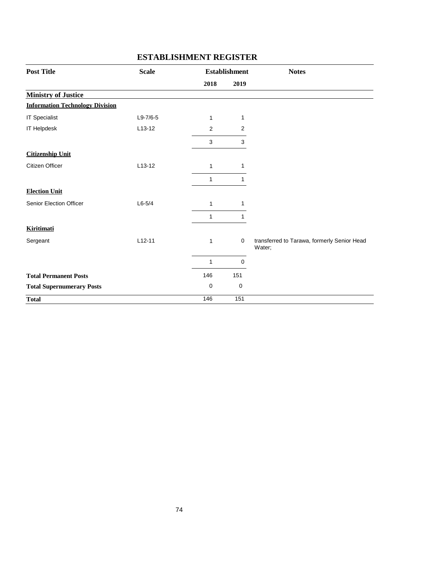| <b>Post Title</b>                      | <b>Scale</b> |                | <b>Establishment</b> | <b>Notes</b>                                          |
|----------------------------------------|--------------|----------------|----------------------|-------------------------------------------------------|
|                                        |              | 2018           | 2019                 |                                                       |
| <b>Ministry of Justice</b>             |              |                |                      |                                                       |
| <b>Information Technology Division</b> |              |                |                      |                                                       |
| <b>IT Specialist</b>                   | $L9-7/6-5$   | 1              | 1                    |                                                       |
| <b>IT Helpdesk</b>                     | $L13-12$     | $\overline{c}$ | $\overline{2}$       |                                                       |
|                                        |              | 3              | 3                    |                                                       |
| <b>Citizenship Unit</b>                |              |                |                      |                                                       |
| Citizen Officer                        | $L13-12$     | 1              | 1                    |                                                       |
|                                        |              | 1              | 1                    |                                                       |
| <b>Election Unit</b>                   |              |                |                      |                                                       |
| Senior Election Officer                | $L6-5/4$     | 1              | 1                    |                                                       |
|                                        |              | 1              | 1                    |                                                       |
| <b>Kiritimati</b>                      |              |                |                      |                                                       |
| Sergeant                               | $L12 - 11$   | 1              | $\mathbf 0$          | transferred to Tarawa, formerly Senior Head<br>Water; |
|                                        |              | 1              | 0                    |                                                       |
| <b>Total Permanent Posts</b>           |              | 146            | 151                  |                                                       |
| <b>Total Supernumerary Posts</b>       |              | 0              | 0                    |                                                       |
| <b>Total</b>                           |              | 146            | 151                  |                                                       |